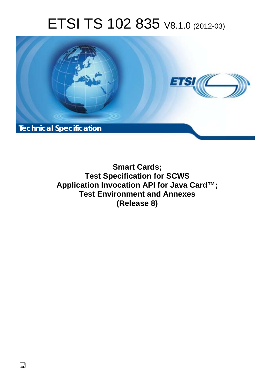# ETSI TS 102 835 V8.1.0 (2012-03)



**Smart Cards; Test Specification for SCWS Application Invocation API for Java Card™; Test Environment and Annexes (Release 8)**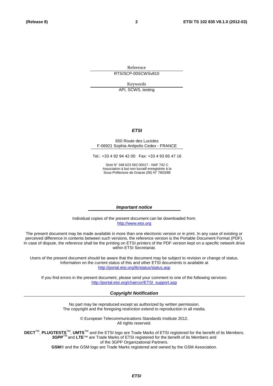Reference RTS/SCP-00SCWSv810

Keywords

API, SCWS, testing

#### *ETSI*

#### 650 Route des Lucioles F-06921 Sophia Antipolis Cedex - FRANCE

Tel.: +33 4 92 94 42 00 Fax: +33 4 93 65 47 16

Siret N° 348 623 562 00017 - NAF 742 C Association à but non lucratif enregistrée à la Sous-Préfecture de Grasse (06) N° 7803/88

#### *Important notice*

Individual copies of the present document can be downloaded from: [http://www.etsi.org](http://www.etsi.org/)

The present document may be made available in more than one electronic version or in print. In any case of existing or perceived difference in contents between such versions, the reference version is the Portable Document Format (PDF). In case of dispute, the reference shall be the printing on ETSI printers of the PDF version kept on a specific network drive within ETSI Secretariat.

Users of the present document should be aware that the document may be subject to revision or change of status. Information on the current status of this and other ETSI documents is available at <http://portal.etsi.org/tb/status/status.asp>

If you find errors in the present document, please send your comment to one of the following services: [http://portal.etsi.org/chaircor/ETSI\\_support.asp](http://portal.etsi.org/chaircor/ETSI_support.asp)

#### *Copyright Notification*

No part may be reproduced except as authorized by written permission. The copyright and the foregoing restriction extend to reproduction in all media.

> © European Telecommunications Standards Institute 2012. All rights reserved.

DECT<sup>™</sup>, PLUGTESTS<sup>™</sup>, UMTS<sup>™</sup> and the ETSI logo are Trade Marks of ETSI registered for the benefit of its Members. **3GPP**TM and **LTE**™ are Trade Marks of ETSI registered for the benefit of its Members and of the 3GPP Organizational Partners.

**GSM**® and the GSM logo are Trade Marks registered and owned by the GSM Association.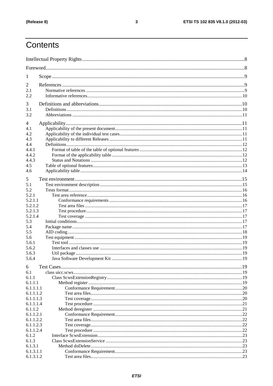# Contents

| 1                      |  |
|------------------------|--|
| 2                      |  |
| 2.1                    |  |
| 2.2                    |  |
| 3                      |  |
| 3.1                    |  |
| 3.2                    |  |
| 4                      |  |
| 4.1                    |  |
| 4.2                    |  |
| 4.3                    |  |
| 4.4                    |  |
| 4.4.1                  |  |
| 4.4.2                  |  |
| 4.4.3                  |  |
| 4.5                    |  |
| 4.6                    |  |
| 5                      |  |
| 5.1                    |  |
| 5.2                    |  |
| 5.2.1                  |  |
| 5.2.1.1                |  |
| 5.2.1.2                |  |
| 5.2.1.3                |  |
| 5.2.1.4                |  |
| 5.3                    |  |
| 5.4                    |  |
| 5.5                    |  |
| 5.6                    |  |
| 5.6.1<br>5.6.2         |  |
| 5.6.3                  |  |
| 5.6.4                  |  |
|                        |  |
| 6                      |  |
| 6.1                    |  |
| 6.1.1                  |  |
| 6.1.1.1                |  |
| 6.1.1.1.1<br>6.1.1.1.2 |  |
| 6.1.1.1.3              |  |
| 6.1.1.1.4              |  |
| 6.1.1.2                |  |
| 6.1.1.2.1              |  |
| 6.1.1.2.2              |  |
| 6.1.1.2.3              |  |
| 6.1.1.2.4              |  |
| 6.1.2                  |  |
| 6.1.3                  |  |
| 6.1.3.1                |  |
| 6.1.3.1.1              |  |
| 6.1.3.1.2              |  |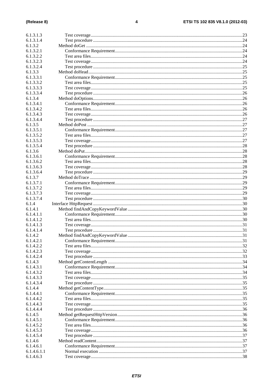| 6.1.3.1.3                |  |
|--------------------------|--|
| 6.1.3.1.4                |  |
| 6.1.3.2                  |  |
| 6.1.3.2.1                |  |
| 6.1.3.2.2                |  |
| 6.1.3.2.3                |  |
| 6.1.3.2.4                |  |
| 6.1.3.3                  |  |
| 6.1.3.3.1                |  |
| 6.1.3.3.2                |  |
| 6.1.3.3.3                |  |
| 6.1.3.3.4                |  |
| 6.1.3.4                  |  |
| 6.1.3.4.1                |  |
| 6.1.3.4.2                |  |
| 6.1.3.4.3                |  |
| 6.1.3.4.4                |  |
| 6.1.3.5                  |  |
| 6.1.3.5.1                |  |
| 6.1.3.5.2                |  |
| 6.1.3.5.3                |  |
| 6.1.3.5.4                |  |
| 6.1.3.6                  |  |
| 6.1.3.6.1                |  |
| 6.1.3.6.2                |  |
| 6.1.3.6.3                |  |
| 6.1.3.6.4                |  |
| 6.1.3.7                  |  |
| 6.1.3.7.1                |  |
| 6.1.3.7.2                |  |
| 6.1.3.7.3                |  |
|                          |  |
|                          |  |
| 6.1.3.7.4                |  |
| 6.1.4                    |  |
| 6.1.4.1                  |  |
| 6.1.4.1.1                |  |
| 6.1.4.1.2                |  |
| 6.1.4.1.3                |  |
| 6.1.4.1.4                |  |
| 6.1.4.2                  |  |
| 6.1.4.2.1                |  |
| 6.1.4.2.2                |  |
| 6.1.4.2.3                |  |
| 6.1.4.2.4                |  |
| 6.1.4.3                  |  |
| 6.1.4.3.1                |  |
| 6.1.4.3.2                |  |
| 6.1.4.3.3                |  |
| 6.1.4.3.4                |  |
| 6.1.4.4                  |  |
| 6.1.4.4.1                |  |
| 6.1.4.4.2                |  |
| 6.1.4.4.3                |  |
| 6.1.4.4.4                |  |
| 6.1.4.5                  |  |
| 6.1.4.5.1                |  |
| 6.1.4.5.2                |  |
| 6.1.4.5.3                |  |
| 6.1.4.5.4                |  |
| 6.1.4.6                  |  |
| 6.1.4.6.1                |  |
| 6.1.4.6.1.1<br>6.1.4.6.3 |  |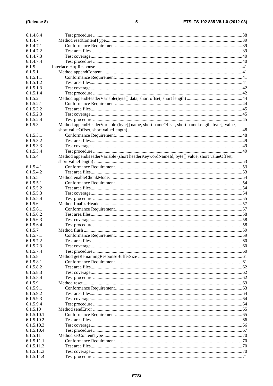| 6.1.4.6.4              |                                                                                             |  |
|------------------------|---------------------------------------------------------------------------------------------|--|
| 6.1.4.7                |                                                                                             |  |
| 6.1.4.7.1              |                                                                                             |  |
| 6.1.4.7.2              |                                                                                             |  |
| 6.1.4.7.3              |                                                                                             |  |
| 6.1.4.7.4              |                                                                                             |  |
| 6.1.5                  |                                                                                             |  |
| 6.1.5.1                |                                                                                             |  |
| 6.1.5.1.1              |                                                                                             |  |
| 6.1.5.1.2              |                                                                                             |  |
| 6.1.5.1.3              |                                                                                             |  |
| 6.1.5.1.4              |                                                                                             |  |
| 6.1.5.2                |                                                                                             |  |
| 6.1.5.2.1              |                                                                                             |  |
| 6.1.5.2.2              |                                                                                             |  |
| 6.1.5.2.3              |                                                                                             |  |
| 6.1.5.2.4              |                                                                                             |  |
| 6.1.5.3                | Method appendHeaderVariable (byte[] name, short nameOffset, short nameLength, byte[] value, |  |
|                        |                                                                                             |  |
| 6.1.5.3.1              |                                                                                             |  |
| 6.1.5.3.2              |                                                                                             |  |
| 6.1.5.3.3              |                                                                                             |  |
| 6.1.5.3.4              |                                                                                             |  |
| 6.1.5.4                | Method appendHeaderVariable (short headerKeywordNameId, byte[] value, short valueOffset,    |  |
|                        |                                                                                             |  |
| 6.1.5.4.1              |                                                                                             |  |
| 6.1.5.4.2              |                                                                                             |  |
| 6.1.5.5                |                                                                                             |  |
| 6.1.5.5.1              |                                                                                             |  |
| 6.1.5.5.2              |                                                                                             |  |
| 6.1.5.5.3              |                                                                                             |  |
| 6.1.5.5.4              |                                                                                             |  |
| 6.1.5.6                |                                                                                             |  |
| 6.1.5.6.1<br>6.1.5.6.2 |                                                                                             |  |
|                        |                                                                                             |  |
| 6.1.5.6.3<br>6.1.5.6.4 |                                                                                             |  |
| 6.1.5.7                |                                                                                             |  |
| 6.1.5.7.1              |                                                                                             |  |
| 6.1.5.7.2              |                                                                                             |  |
| 6.1.5.7.3              |                                                                                             |  |
| 6.1.5.7.4              |                                                                                             |  |
| 6.1.5.8                |                                                                                             |  |
| 6.1.5.8.1              |                                                                                             |  |
| 6.1.5.8.2              |                                                                                             |  |
| 6.1.5.8.3              |                                                                                             |  |
| 6.1.5.8.4              |                                                                                             |  |
| 6.1.5.9                |                                                                                             |  |
| 6.1.5.9.1              |                                                                                             |  |
| 6.1.5.9.2              |                                                                                             |  |
| 6.1.5.9.3              |                                                                                             |  |
| 6.1.5.9.4              |                                                                                             |  |
| 6.1.5.10               |                                                                                             |  |
| 6.1.5.10.1             |                                                                                             |  |
| 6.1.5.10.2             |                                                                                             |  |
| 6.1.5.10.3             |                                                                                             |  |
| 6.1.5.10.4             |                                                                                             |  |
| 6.1.5.11               |                                                                                             |  |
| 6.1.5.11.1             |                                                                                             |  |
| 6.1.5.11.2             |                                                                                             |  |
| 6.1.5.11.3             |                                                                                             |  |
| 6.1.5.11.4             |                                                                                             |  |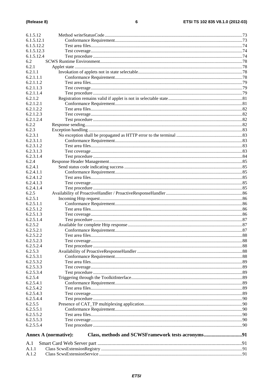| 6.1.5.12   |                             |     |
|------------|-----------------------------|-----|
| 6.1.5.12.1 |                             |     |
| 6.1.5.12.2 |                             |     |
| 6.1.5.12.3 |                             |     |
| 6.1.5.12.4 |                             |     |
| 6.2        |                             |     |
| 6.2.1      |                             |     |
| 6.2.1.1    |                             |     |
| 6.2.1.1.1  |                             |     |
| 6.2.1.1.2  |                             |     |
| 6.2.1.1.3  |                             |     |
| 6.2.1.1.4  |                             |     |
| 6.2.1.2    |                             |     |
| 6.2.1.2.1  |                             |     |
| 6.2.1.2.2  |                             |     |
| 6.2.1.2.3  |                             |     |
| 6.2.1.2.4  |                             |     |
| 6.2.2      |                             |     |
| 6.2.3      |                             |     |
| 6.2.3.1    |                             |     |
| 6.2.3.1.1  |                             |     |
| 6.2.3.1.2  |                             |     |
| 6.2.3.1.3  |                             |     |
| 6.2.3.1.4  |                             |     |
| 6.2.4      |                             |     |
| 6.2.4.1    |                             |     |
| 6.2.4.1.1  |                             |     |
| 6.2.4.1.2  |                             |     |
| 6.2.4.1.3  |                             |     |
| 6.2.4.1.4  |                             |     |
| 6.2.5      |                             |     |
| 6.2.5.1    |                             |     |
| 6.2.5.1.1  |                             |     |
| 6.2.5.1.2  |                             |     |
| 6.2.5.1.3  |                             |     |
| 6.2.5.1.4  |                             |     |
| 6.2.5.2    |                             |     |
| 6.2.5.2.1  |                             |     |
| 6.2.5.2.2  | Test area files.            | .88 |
| 6.2.5.2.3  |                             |     |
| 6.2.5.2.4  |                             |     |
| 6.2.5.3    |                             |     |
| 6.2.5.3.1  |                             |     |
| 6.2.5.3.2  |                             |     |
| 6.2.5.3.3  |                             |     |
| 6.2.5.3.4  |                             |     |
| 6.2.5.4    |                             |     |
| 6.2.5.4.1  |                             |     |
| 6.2.5.4.2  |                             |     |
| 6.2.5.4.3  |                             |     |
| 6.2.5.4.4  |                             |     |
| 6.2.5.5    |                             |     |
| 6.2.5.5.1  |                             |     |
| 6.2.5.5.2  |                             |     |
| 6.2.5.5.3  |                             |     |
| 6.2.5.5.4  |                             |     |
|            | <b>Annex A (normative):</b> |     |
| A.1        |                             |     |
| A.1.1      |                             |     |
| A12        | Class SewsExtensionService  | 91  |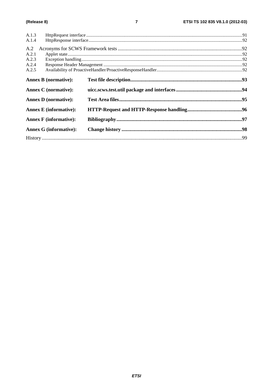| A.1.3                                   |  |
|-----------------------------------------|--|
| A.1.4                                   |  |
| A.2<br>A.2.1<br>A.2.3<br>A.2.4<br>A.2.5 |  |
| <b>Annex B</b> (normative):             |  |
| <b>Annex C</b> (normative):             |  |
| <b>Annex D</b> (normative):             |  |
| <b>Annex E</b> (informative):           |  |
| <b>Annex F</b> (informative):           |  |
| <b>Annex G (informative):</b>           |  |
|                                         |  |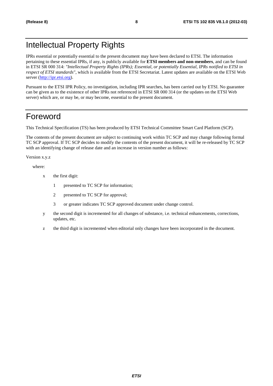# Intellectual Property Rights

IPRs essential or potentially essential to the present document may have been declared to ETSI. The information pertaining to these essential IPRs, if any, is publicly available for **ETSI members and non-members**, and can be found in ETSI SR 000 314: *"Intellectual Property Rights (IPRs); Essential, or potentially Essential, IPRs notified to ETSI in respect of ETSI standards"*, which is available from the ETSI Secretariat. Latest updates are available on the ETSI Web server [\(http://ipr.etsi.org](http://webapp.etsi.org/IPR/home.asp)).

Pursuant to the ETSI IPR Policy, no investigation, including IPR searches, has been carried out by ETSI. No guarantee can be given as to the existence of other IPRs not referenced in ETSI SR 000 314 (or the updates on the ETSI Web server) which are, or may be, or may become, essential to the present document.

# Foreword

This Technical Specification (TS) has been produced by ETSI Technical Committee Smart Card Platform (SCP).

The contents of the present document are subject to continuing work within TC SCP and may change following formal TC SCP approval. If TC SCP decides to modify the contents of the present document, it will be re-released by TC SCP with an identifying change of release date and an increase in version number as follows:

Version x.y.z

where:

- x the first digit:
	- 1 presented to TC SCP for information;
	- 2 presented to TC SCP for approval;
	- 3 or greater indicates TC SCP approved document under change control.
- y the second digit is incremented for all changes of substance, i.e. technical enhancements, corrections, updates, etc.
- z the third digit is incremented when editorial only changes have been incorporated in the document.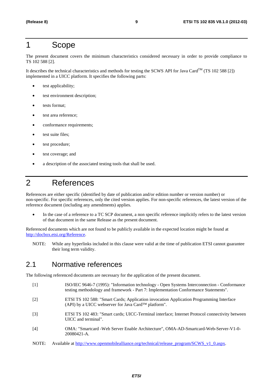# 1 Scope

The present document covers the minimum characteristics considered necessary in order to provide compliance to TS 102 588 [2].

It describes the technical characteristics and methods for testing the SCWS API for Java Card<sup>TM</sup> (TS 102 588 [2]) implemented in a UICC platform. It specifies the following parts:

- test applicability;
- test environment description;
- tests format;
- test area reference:
- conformance requirements;
- test suite files;
- test procedure:
- test coverage; and
- a description of the associated testing tools that shall be used.

# 2 References

References are either specific (identified by date of publication and/or edition number or version number) or non-specific. For specific references, only the cited version applies. For non-specific references, the latest version of the reference document (including any amendments) applies.

• In the case of a reference to a TC SCP document, a non specific reference implicitly refers to the latest version of that document in the same Release as the present document.

Referenced documents which are not found to be publicly available in the expected location might be found at <http://docbox.etsi.org/Reference>.

NOTE: While any hyperlinks included in this clause were valid at the time of publication ETSI cannot guarantee their long term validity.

# 2.1 Normative references

The following referenced documents are necessary for the application of the present document.

- [1] ISO/IEC 9646-7 (1995): "Information technology Open Systems Interconnection Conformance testing methodology and framework - Part 7: Implementation Conformance Statements".
- [2] ETSI TS 102 588: "Smart Cards; Application invocation Application Programming Interface (API) by a UICC webserver for Java Card™ platform".
- [3] ETSI TS 102 483: "Smart cards; UICC-Terminal interface; Internet Protocol connectivity between UICC and terminal".
- [4] OMA: "Smartcard -Web Server Enable Architecture", OMA-AD-Smartcard-Web-Server-V1-0- 20080421-A.
- NOTE: Available at [http://www.openmobilealliance.org/technical/release\\_program/SCWS\\_v1\\_0.aspx](http://www.openmobilealliance.org/technical/release_program/SCWS_v1_0.aspx).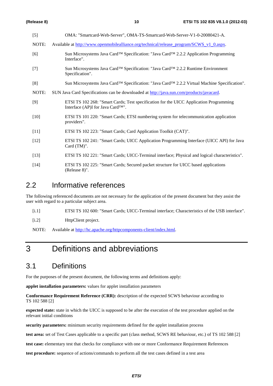| $[5]$  | OMA: "Smartcard-Web-Server", OMA-TS-Smartcard-Web-Server-V1-0-20080421-A.                                                                |
|--------|------------------------------------------------------------------------------------------------------------------------------------------|
| NOTE:  | Available at http://www.openmobilealliance.org/technical/release_program/SCWS_v1_0.aspx.                                                 |
| [6]    | Sun Microsystems Java Card <sup>TM</sup> Specification: "Java Card <sup>TM</sup> 2.2.2 Application Programming<br>Interface".            |
| $[7]$  | Sun Microsystems Java Card™ Specification: "Java Card™ 2.2.2 Runtime Environment<br>Specification".                                      |
| [8]    | Sun Microsystems Java Card™ Specification: "Java Card™ 2.2.2 Virtual Machine Specification".                                             |
| NOTE:  | SUN Java Card Specifications can be downloaded at http://java.sun.com/products/javacard.                                                 |
| $[9]$  | ETSI TS 102 268: "Smart Cards; Test specification for the UICC Application Programming<br>Interface (AP)I for Java Card <sup>TM"</sup> . |
| $[10]$ | ETSI TS 101 220: "Smart Cards; ETSI numbering system for telecommunication application<br>providers".                                    |
| $[11]$ | ETSI TS 102 223: "Smart Cards; Card Application Toolkit (CAT)".                                                                          |
| $[12]$ | ETSI TS 102 241: "Smart Cards; UICC Application Programming Interface (UICC API) for Java<br>Card (TM)".                                 |
| $[13]$ | ETSI TS 102 221: "Smart Cards; UICC-Terminal interface; Physical and logical characteristics".                                           |
| $[14]$ | ETSI TS 102 225: "Smart Cards; Secured packet structure for UICC based applications<br>(Release 8)".                                     |

# 2.2 Informative references

The following referenced documents are not necessary for the application of the present document but they assist the user with regard to a particular subject area.

[i.1] ETSI TS 102 600: "Smart Cards; UICC-Terminal interface; Characteristics of the USB interface".

[i.2] HttpClient project.

NOTE: Available at<http://hc.apache.org/httpcomponents-client/index.html>.

# 3 Definitions and abbreviations

# 3.1 Definitions

For the purposes of the present document, the following terms and definitions apply:

**applet installation parameters:** values for applet installation parameters

**Conformance Requirement Reference (CRR):** description of the expected SCWS behaviour according to TS 102 588 [2]

**expected state:** state in which the UICC is supposed to be after the execution of the test procedure applied on the relevant initial conditions

**security parameters:** minimum security requirements defined for the applet installation process

**test area:** set of Test Cases applicable to a specific part (class method, SCWS RE behaviour, etc.) of TS 102 588 [2]

**test case:** elementary test that checks for compliance with one or more Conformance Requirement References

**test procedure:** sequence of actions/commands to perform all the test cases defined in a test area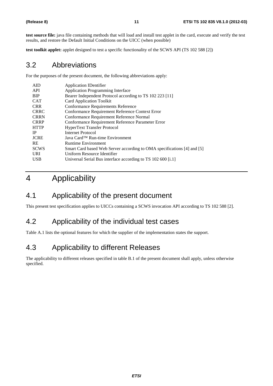**test source file:** java file containing methods that will load and install test applet in the card, execute and verify the test results, and restore the Default Initial Conditions on the UICC (when possible)

**test toolkit applet:** applet designed to test a specific functionality of the SCWS API (TS 102 588 [2])

# 3.2 Abbreviations

For the purposes of the present document, the following abbreviations apply:

| <b>Application IDentifier</b>                                           |
|-------------------------------------------------------------------------|
| <b>Application Programming Interface</b>                                |
| Bearer Independent Protocol according to TS 102 223 [11]                |
| <b>Card Application Toolkit</b>                                         |
| Conformance Requirements Reference                                      |
| Conformance Requirement Reference Context Error                         |
| Conformance Requirement Reference Normal                                |
| Conformance Requirement Reference Parameter Error                       |
| <b>HyperText Transfer Protocol</b>                                      |
| Internet Protocol                                                       |
| Java Card <sup>TM</sup> Run-time Environment                            |
| <b>Runtime Environment</b>                                              |
| Smart Card based Web Server according to OMA specifications [4] and [5] |
| Uniform Resource Identifier                                             |
| Universal Serial Bus interface according to TS 102 600 [i.1]            |
|                                                                         |

# 4 Applicability

# 4.1 Applicability of the present document

This present test specification applies to UICCs containing a SCWS invocation API according to TS 102 588 [2].

# 4.2 Applicability of the individual test cases

Table A.1 lists the optional features for which the supplier of the implementation states the support.

# 4.3 Applicability to different Releases

The applicability to different releases specified in table B.1 of the present document shall apply, unless otherwise specified.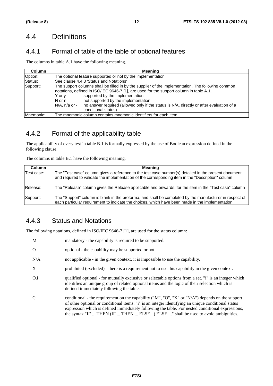# 4.4 Definitions

# 4.4.1 Format of table of the table of optional features

The columns in table A.1 have the following meaning.

| <b>Column</b> | <b>Meaning</b>                                                                                                                                                                                                                                                                                                                                                                                                                        |  |
|---------------|---------------------------------------------------------------------------------------------------------------------------------------------------------------------------------------------------------------------------------------------------------------------------------------------------------------------------------------------------------------------------------------------------------------------------------------|--|
| Option:       | The optional feature supported or not by the implementation.                                                                                                                                                                                                                                                                                                                                                                          |  |
| Status:       | See clause 4.4.3 'Status and Notations'                                                                                                                                                                                                                                                                                                                                                                                               |  |
| Support:      | The support columns shall be filled in by the supplier of the implementation. The following common<br>Inotations, defined in ISO/IEC 9646-7 [1], are used for the support column in table A.1.<br>supported by the implementation<br>Y or y<br>not supported by the implementation<br>$N$ or n<br>$N/A$ , n/a or -<br>no answer required (allowed only if the status is N/A, directly or after evaluation of a<br>conditional status) |  |
| Mnemonic:     | The mnemonic column contains mnemonic identifiers for each item.                                                                                                                                                                                                                                                                                                                                                                      |  |

# 4.4.2 Format of the applicability table

The applicability of every test in table B.1 is formally expressed by the use of Boolean expression defined in the following clause.

The columns in table B.1 have the following meaning.

| Column     | <b>Meaning</b>                                                                                                                                                                                              |
|------------|-------------------------------------------------------------------------------------------------------------------------------------------------------------------------------------------------------------|
| Test case: | The "Test case" column gives a reference to the test case number(s) detailed in the present document<br>and required to validate the implementation of the corresponding item in the "Description" column   |
|            |                                                                                                                                                                                                             |
| Release:   | The "Release" column gives the Release applicable and onwards, for the item in the "Test case" column                                                                                                       |
|            |                                                                                                                                                                                                             |
| Support:   | The "Support" column is blank in the proforma, and shall be completed by the manufacturer in respect of<br>each particular requirement to indicate the choices, which have been made in the implementation. |

# 4.4.3 Status and Notations

The following notations, defined in ISO/IEC 9646-7 [1], are used for the status column:

- M mandatory the capability is required to be supported.
- O optional the capability may be supported or not.
- N/A not applicable in the given context, it is impossible to use the capability.
- X prohibited (excluded) there is a requirement not to use this capability in the given context.
- O.i qualified optional for mutually exclusive or selectable options from a set. "i" is an integer which identifies an unique group of related optional items and the logic of their selection which is defined immediately following the table.
- Ci conditional the requirement on the capability ("M", "O", "X" or "N/A") depends on the support of other optional or conditional items. "i" is an integer identifying an unique conditional status expression which is defined immediately following the table. For nested conditional expressions, the syntax "IF ... THEN (IF ... THEN ... ELSE...) ELSE ..." shall be used to avoid ambiguities.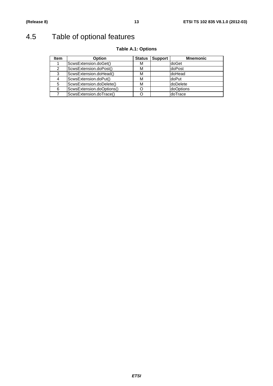# 4.5 Table of optional features

| <b>Item</b>   | <b>Option</b>             | <b>Status</b> | <b>Support</b> | <b>Mnemonic</b> |
|---------------|---------------------------|---------------|----------------|-----------------|
|               | ScwsExtension.doGet()     | М             |                | doGet           |
| $\mathcal{P}$ | ScwsExtension.doPost()    | М             |                | doPost          |
| 3             | ScwsExtension.doHead()    | М             |                | doHead          |
| 4             | ScwsExtension.doPut()     | М             |                | doPut           |
| 5             | ScwsExtension.doDelete()  | М             |                | doDelete        |
| 6             | ScwsExtension.doOptions() |               |                | doOptions       |
|               | ScwsExtension.doTrace()   |               |                | doTrace         |

# **Table A.1: Options**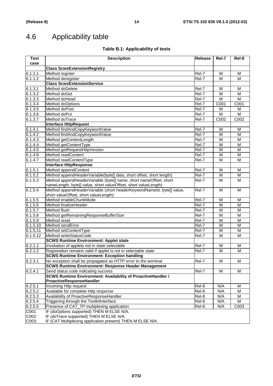# 4.6 Applicability table

# **Table B.1: Applicability of tests**

| <b>Test</b> | <b>Description</b>                                                    | <b>Release</b> | Rel-7  | Rel-8                   |
|-------------|-----------------------------------------------------------------------|----------------|--------|-------------------------|
| case        | <b>Class ScwsExtensionRegistry</b>                                    |                |        |                         |
| 6.1.1.1     |                                                                       | Rel-7          |        | M                       |
| 6.1.1.2     | Method register                                                       | Rel-7          | M<br>M | M                       |
|             | Method deregister<br><b>Class ScwsExtensionService</b>                |                |        |                         |
|             |                                                                       |                |        |                         |
| 6.1.3.1     | Method doDelete                                                       | Rel-7          | М      | М                       |
| 6.1.3.2     | Method doGet                                                          | Rel-7          | M      | M                       |
| 6.1.3.3     | Method doHead                                                         | Rel-7          | M      | M                       |
| 6.1.3.4     | Method doOptions                                                      | Rel-7          | C001   | C001                    |
| 6.1.3.5     | Method doPost                                                         | Rel-7          | M      | M                       |
| 6.1.3.6     | Method doPut                                                          | Rel-7          | M      | $\overline{\mathsf{M}}$ |
| 6.1.3.7     | Method doTrace                                                        | Rel-7          | C002   | C002                    |
|             | <b>Interface HttpRequest</b>                                          |                |        |                         |
| 6.1.4.1     | Method findAndCopyKeywordValue                                        | Rel-7          | M      | M                       |
| 6.1.4.2     | Method findAndCopyKeywordValue                                        | Rel-7          | M      | $\overline{M}$          |
| 6.1.4.3     | Method getContentLength                                               | Rel-7          | M      | M                       |
| 6.1.4.4     | Method getContentType                                                 | Rel-7          | M      | M                       |
| 6.1.4.5     | Method getRequestHttpVersion                                          | Rel-7          | M      | M                       |
| 6.1.4.6     | Method readContent                                                    | Rel-7          | M      | M                       |
| 6.1.4.7     | Method readContentType                                                | Rel-7          | м      | M                       |
|             | <b>Interface HttpResponse</b>                                         |                |        |                         |
| 6.1.5.1     | Method appendContent                                                  | Rel-7          | M      | M                       |
| 6.1.5.2     | Method appendHeaderVariable(byte[] data, short offset, short length)  | Rel-7          | M      | M                       |
| 6.1.5.3     | Method appendHeaderVariable (byte[] name, short nameOffset, short     | Rel-7          | M      | M                       |
|             | nameLength, byte[] value, short valueOffset, short valueLength)       |                |        |                         |
| 6.1.5.4     | Method appendHeaderVariable (short headerKeywordNameld, byte[] value, | Rel-7          | M      | M                       |
|             | short valueOffset, short valueLength)                                 |                |        |                         |
| 6.1.5.5     | Method enableChunkMode                                                | Rel-7          | M      | M                       |
| 6.1.5.6     | Method finalizeHeader                                                 | Rel-7          | M      | M                       |
| 6.1.5.7     | Method flush                                                          | Rel-7          | M      | M                       |
| 6.1.5.8     | Method getRemainingResponseBufferSize                                 | Rel-7          | M      | M                       |
| 6.1.5.9     | Method reset                                                          | Rel-7          | M      | M                       |
| 6.1.5.10    | Method sendError                                                      | Rel-7          | M      | M                       |
| 6.1.5.11    | Method setContentType                                                 | Rel-7          | M      | M                       |
| 6.1.5.12    | Method writeStatusCode                                                | Rel-7          | м      | M                       |
|             | <b>SCWS Runtime Environment: Applet state</b>                         |                |        |                         |
| 6.2.1.1     | Invokation of applets not in state selectable                         | Rel-7          | M      | M                       |
| 6.2.1.2     | Registration remains valid if applet is not in selectable state       | Rel-7          | M      | М                       |
|             | <b>SCWS Runtime Environment: Exception handling</b>                   |                |        |                         |
| 6.2.3.1     | No exception shall be propagated as HTTP error to the terminal        | Rel-7          | M      | M                       |
|             | <b>SCWS Runtime Environment: Response Header Management</b>           |                |        |                         |
| 6.2.4.1     | Send status code indicating success                                   | Rel-7          | Μ      | M                       |
|             | <b>SCWS Runtime Environment: Availability of ProactiveHandler /</b>   |                |        |                         |
|             | ProactiveResponseHandler                                              |                |        |                         |
| 6.2.5.1     | Incoming Http request                                                 | Rel-8          | N/A    | M                       |
| 6.2.5.2     | Available for complete Http response                                  | Rel-8          | N/A    | M                       |
| 6.2.5.3     | Availability of ProactiveResponseHandler                              | Rel-8          | N/A    | м                       |
| 6.2.5.4     | Triggering through the ToolkitInterface                               | Rel-8          | N/A    | M                       |
| 6.2.5.5     | Presence of CAT_TP multiplexing application                           | Rel-8          | N/A    | C003                    |
| C001:       | IF (doOptions supported) THEN M ELSE N/A.                             |                |        |                         |
| C002:       | IF (doTrace supported) THEN M ELSE N/A.                               |                |        |                         |
| C003:       | IF (CAT Multiplexing application present) THEN M ELSE N/A.            |                |        |                         |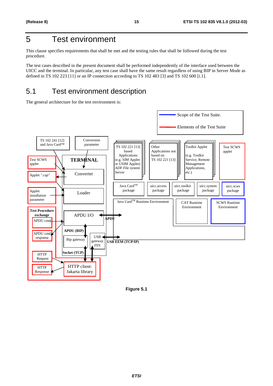# 5 Test environment

This clause specifies requirements that shall be met and the testing rules that shall be followed during the test procedure.

The test cases described in the present document shall be performed independently of the interface used between the UICC and the terminal. In particular, any test case shall have the same result regardless of using BIP in Server Mode as defined in TS 102 223 [11] or an IP connection according to TS 102 483 [3] and TS 102 600 [i.1].

# 5.1 Test environment description

The general architecture for the test environment is:



**Figure 5.1**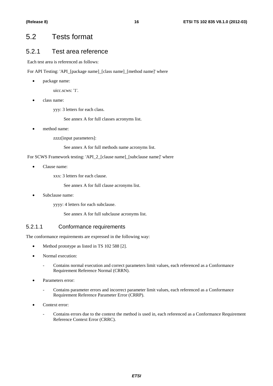# 5.2 Tests format

### 5.2.1 Test area reference

Each test area is referenced as follows:

For API Testing: 'API\_[package name]\_[class name]\_[method name]' where

• package name:

uicc.scws: '1'.

• class name:

yyy: 3 letters for each class.

See annex A for full classes acronyms list.

method name:

zzzz[input parameters]:

See annex A for full methods name acronyms list.

For SCWS Framework testing: 'API\_2\_[clause name]\_[subclause name]' where

• Clause name:

xxx: 3 letters for each clause.

See annex A for full clause acronyms list.

Subclause name:

yyyy: 4 letters for each subclause.

See annex A for full subclause acronyms list.

#### 5.2.1.1 Conformance requirements

The conformance requirements are expressed in the following way:

- Method prototype as listed in TS 102 588 [2].
- Normal execution:
	- Contains normal execution and correct parameters limit values, each referenced as a Conformance Requirement Reference Normal (CRRN).
- Parameters error:
	- Contains parameter errors and incorrect parameter limit values, each referenced as a Conformance Requirement Reference Parameter Error (CRRP).
- Context error:
	- Contains errors due to the context the method is used in, each referenced as a Conformance Requirement Reference Context Error (CRRC).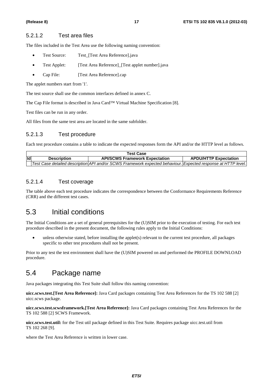#### 5.2.1.2 Test area files

The files included in the Test Area use the following naming convention:

- Test Source: Test\_[Test Area Reference].java
- Test Applet: [Test Area Reference] [Test applet number].java
- Cap File: [Test Area Reference].cap

The applet numbers start from '1'.

The test source shall use the common interfaces defined in annex C.

The Cap File format is described in Java Card™ Virtual Machine Specification [8].

Test files can be run in any order.

All files from the same test area are located in the same subfolder.

#### 5.2.1.3 Test procedure

Each test procedure contains a table to indicate the expected responses form the API and/or the HTTP level as follows.

|                          | <b>Test Case</b>                                                                                                 |                              |
|--------------------------|------------------------------------------------------------------------------------------------------------------|------------------------------|
| ld<br><b>Description</b> | <b>API/SCWS Framework Expectation</b>                                                                            | <b>APDU/HTTP Expectation</b> |
|                          | l Test Case detailed description\API and/or SCWS Framework expected behaviour.\Expected response at HTTP level.\ |                              |

#### 5.2.1.4 Test coverage

The table above each test procedure indicates the correspondence between the Conformance Requirements Reference (CRR) and the different test cases.

# 5.3 Initial conditions

The Initial Conditions are a set of general prerequisites for the (U)SIM prior to the execution of testing. For each test procedure described in the present document, the following rules apply to the Initial Conditions:

• unless otherwise stated, before installing the applet(s) relevant to the current test procedure, all packages specific to other test procedures shall not be present.

Prior to any test the test environment shall have the (U)SIM powered on and performed the PROFILE DOWNLOAD procedure.

# 5.4 Package name

Java packages integrating this Test Suite shall follow this naming convention:

**uicc.scws.test.[Test Area Reference]:** Java Card packages containing Test Area References for the TS 102 588 [2] uicc.scws package.

**uicc.scws.test.scwsframework.[Test Area Reference]:** Java Card packages containing Test Area References for the TS 102 588 [2] SCWS Framework.

**uicc.scws.test.util:** for the Test util package defined in this Test Suite. Requires package uicc.test.util from TS 102 268 [9].

where the Test Area Reference is written in lower case.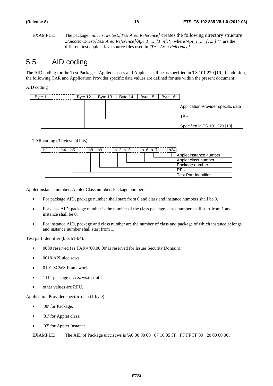EXAMPLE: The package *../uicc.scws.test.[Test Area Reference]* creates the following directory structure *../uicc/scws/test/[Test Area Reference]/Api\_1\_...\_[1..n].\*,* where '*Api\_1\_...\_[1..n].\**' are the different test applets Java source files used in *[Test Area Reference]*.

# 5.5 AID coding

The AID coding for the Test Packages, Applet classes and Applets shall be as specified in TS 101 220 [10]. In addition, the following TAR and Application Provider specific data values are defined for use within the present document:

AID coding

| Byte 1 | Byte 12 | Byte 13 | Byte 14 | Byte 15 | Byte 16 |                                    |
|--------|---------|---------|---------|---------|---------|------------------------------------|
|        |         |         |         |         |         | Application Provider specific data |
|        |         |         |         |         |         | TAR                                |
|        |         |         |         |         |         | Specified in TS 101 220 [10]       |

TAR coding (3 bytes/ 24 bits):

| b1 | b4 | b <sub>5</sub> | b8 | b <sub>9</sub> | b12 b13 | b16 b17 | b24                         |
|----|----|----------------|----|----------------|---------|---------|-----------------------------|
|    |    |                |    |                |         |         | Applet instance number      |
|    |    |                |    |                |         |         | Applet class number         |
|    |    |                |    |                |         |         | Package number              |
|    |    |                |    |                |         |         | RFU                         |
|    |    |                |    |                |         |         | <b>Test Part Identifier</b> |

Applet instance number, Applet Class number, Package number:

- For package AID, package number shall start from 0 and class and instance numbers shall be 0.
- For class AID, package number is the number of the class package, class number shall start from 1 and instance shall be 0.
- For instance AID, package and class number are the number of class and package of which instance belongs, and instance number shall start from 1.

Test part Identifier (bits b1-b4):

- 0000 reserved (as TAR= '00.00.00' is reserved for Issuer Security Domain).
- 0010 API uicc.scws.
- 0101 SCWS Framework.
- 1111 package uicc.scws.test.util
- other values are RFU.

Application Provider specific data (1 byte):

- '00' for Package.
- '01' for Applet class.
- '02' for Applet Instance.

EXAMPLE: The AID of Package uicc.scws is 'A0 00 00 00 87 10 05 FF FF FF FF 89 20 00 00 00'.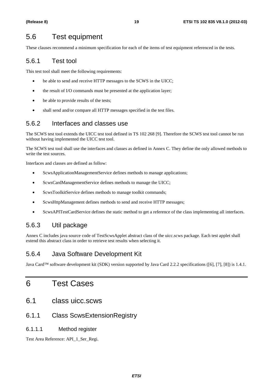# 5.6 Test equipment

These clauses recommend a minimum specification for each of the items of test equipment referenced in the tests.

### 5.6.1 Test tool

This test tool shall meet the following requirements:

- be able to send and receive HTTP messages to the SCWS in the UICC;
- the result of I/O commands must be presented at the application layer;
- be able to provide results of the tests;
- shall send and/or compare all HTTP messages specified in the test files.

### 5.6.2 Interfaces and classes use

The SCWS test tool extends the UICC test tool defined in TS 102 268 [9]. Therefore the SCWS test tool cannot be run without having implemented the UICC test tool.

The SCWS test tool shall use the interfaces and classes as defined in Annex C. They define the only allowed methods to write the test sources.

Interfaces and classes are defined as follow:

- ScwsApplicationManagementService defines methods to manage applications;
- ScwsCardManagementService defines methods to manage the UICC;
- ScwsToolkitService defines methods to manage toolkit commands;
- ScwsHttpManagement defines methods to send and receive HTTP messages;
- ScwsAPITestCardService defines the static method to get a reference of the class implementing all interfaces.

### 5.6.3 Util package

Annex C includes java source code of TestScwsApplet abstract class of the uicc.scws package. Each test applet shall extend this abstract class in order to retrieve test results when selecting it.

### 5.6.4 Java Software Development Kit

Java Card™ software development kit (SDK) version supported by Java Card 2.2.2 specifications ([6], [7], [8]) is 1.4.1.

# 6 Test Cases

- 6.1 class uicc.scws
- 6.1.1 Class ScwsExtensionRegistry
- 6.1.1.1 Method register

Test Area Reference: API\_1\_Ser\_Regi.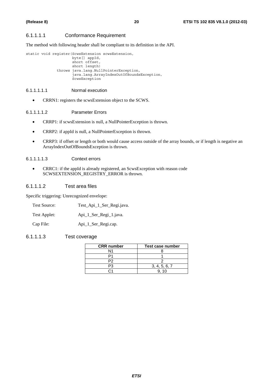#### 6.1.1.1.1 Conformance Requirement

The method with following header shall be compliant to its definition in the API.

static void register(ScwsExtension scwsExtension,

 byte[] appId, short offset, short length) throws java.lang.NullPointerException, java.lang.ArrayIndexOutOfBoundsException, ScwsException

#### 6.1.1.1.1.1 Normal execution

• CRRN1: registers the scwsExtension object to the SCWS.

#### 6.1.1.1.1.2 Parameter Errors

- CRRP1: if scwsExtension is null, a NullPointerException is thrown.
- CRRP2: if appId is null, a NullPointerException is thrown.
- CRRP3: if offset or length or both would cause access outside of the array bounds, or if length is negative an ArrayIndexOutOfBoundsException is thrown.

#### 6.1.1.1.1.3 Context errors

• CRRC1: if the appId is already registered, an ScwsException with reason code SCWSEXTENSION\_REGISTRY\_ERROR is thrown.

#### 6.1.1.1.2 Test area files

Specific triggering: Unrecognized envelope:

| Test Source: | Test_Api_1_Ser_Regi.java. |
|--------------|---------------------------|
|--------------|---------------------------|

|  | Test Applet: | Api_1_Ser_Regi_1.java. |
|--|--------------|------------------------|
|--|--------------|------------------------|

Cap File: Api\_1\_Ser\_Regi.cap.

#### 6.1.1.1.3 Test coverage

| <b>CRR</b> number | Test case number |
|-------------------|------------------|
| N1                |                  |
|                   |                  |
| P2                |                  |
| PЗ                | 3, 4, 5, 6, 7    |
|                   |                  |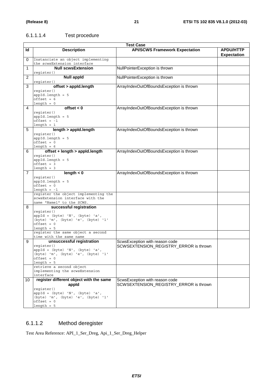### 6.1.1.1.4 Test procedure

|                |                                                                                                                                                                                                                                                          | <b>Test Case</b>                                                         |                                        |  |  |  |
|----------------|----------------------------------------------------------------------------------------------------------------------------------------------------------------------------------------------------------------------------------------------------------|--------------------------------------------------------------------------|----------------------------------------|--|--|--|
| ld             | <b>Description</b>                                                                                                                                                                                                                                       | <b>API/SCWS Framework Expectation</b>                                    | <b>APDU/HTTP</b><br><b>Expectation</b> |  |  |  |
| 0              | Instanciate an object implementing<br>the scwsExtension interface                                                                                                                                                                                        |                                                                          |                                        |  |  |  |
| 1              | <b>Null scwsExtension</b><br>register()                                                                                                                                                                                                                  | NullPointerException is thrown                                           |                                        |  |  |  |
| $\overline{2}$ | <b>Null appid</b><br>register()                                                                                                                                                                                                                          | NullPointerException is thrown                                           |                                        |  |  |  |
| 3              | offset > appld.length<br>register()<br>$appId.length = 5$<br>$offset = 6$<br>length = $0$                                                                                                                                                                | ArrayIndexOutOfBoundsException is thrown                                 |                                        |  |  |  |
| 4              | offset $< 0$<br>register()<br>$appId.length = 5$<br>$offset = -1$<br>$length = 1$                                                                                                                                                                        | ArrayIndexOutOfBoundsException is thrown                                 |                                        |  |  |  |
| 5              | length > appld.length<br>register()<br>$appId.length = 5$<br>$offset = 0$<br>$length = 6$                                                                                                                                                                | ArrayIndexOutOfBoundsException is thrown                                 |                                        |  |  |  |
| 6              | offset + length > appld.length<br>register()<br>$appId.length = 5$<br>$offset = 3$<br>$length = 3$                                                                                                                                                       | ArrayIndexOutOfBoundsException is thrown                                 |                                        |  |  |  |
| 7              | length < 0<br>register()<br>$appId.length = 5$<br>$offset = 0$<br>$length = -1$<br>register the object implementing the<br>scwsExtension interface with the                                                                                              | ArrayIndexOutOfBoundsException is thrown                                 |                                        |  |  |  |
| 8              | name "Name1" to the SCWS.<br>successful registration<br>register()<br>$appId = (byte) 'N', (byte) 'a',$<br>(byte) 'm', (byte) 'e', (byte) '1'<br>$offset = 0$<br>$length = 5$<br>reqister the same object a second                                       |                                                                          |                                        |  |  |  |
| 9              | time with the same name<br>unsuccessful registration<br>register()<br>$appId = (byte) 'N', (byte) 'a',$<br>(byte) 'm', (byte) 'e', (byte) '1'<br>$offset = 0$<br>$length = 5$<br>retrieve a second object<br>implementing the scwsExtension<br>interface | ScwsException with reason code<br>SCWSEXTENSION_REGISTRY_ERROR is thrown |                                        |  |  |  |
| 10             | register different object with the same<br>appid<br>register()<br>$appId = (byte) 'N', (byte) 'a',$<br>(byte) 'm', (byte) 'e', (byte) '1'<br>$offset = 0$<br>length = $5$                                                                                | ScwsException with reason code<br>SCWSEXTENSION_REGISTRY_ERROR is thrown |                                        |  |  |  |

### 6.1.1.2 Method deregister

Test Area Reference: API\_1\_Ser\_Dreg, Api\_1\_Ser\_Dreg\_Helper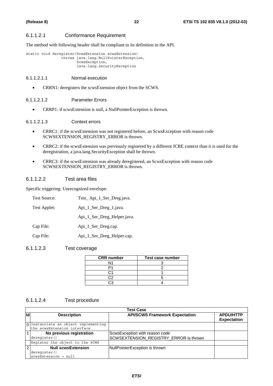#### 6.1.1.2.1 Conformance Requirement

The method with following header shall be compliant to its definition in the API.

```
static void deregister(ScwsExtension scwsExtension) 
      throws java.lang.NullPointerException, 
             ScwsException, 
             java.lang.SecurityException
```
#### 6.1.1.2.1.1 Normal execution

• CRRN1: deregisters the scwsExtension object from the SCWS.

#### 6.1.1.2.1.2 Parameter Errors

• CRRP1: if scwsExtension is null, a NullPointerException is thrown.

#### 6.1.1.2.1.3 Context errors

- CRRC1: if the scwsExtension was not registered before, an ScwsException with reason code SCWSEXTENSION\_REGISTRY\_ERROR is thrown.
- CRRC2: if the scwsExtension was previously registered by a different JCRE context than it is used for the deregistration, a java.lang.SecurityException shall be thrown.
- CRRC3: if the scwsExtension was already deregistered, an ScwsException with reason code SCWSEXTENSION\_REGISTRY\_ERROR is thrown.

#### 6.1.1.2.2 Test area files

Specific triggering: Unrecognized envelope:

| <b>Test Source:</b> | Test_Api_1_Ser_Dreg.java.   |
|---------------------|-----------------------------|
| Test Applet:        | Api_1_Ser_Dreg_1.java.      |
|                     | Api_1_Ser_Dreg_Helper.java. |
| Cap File:           | Api_1_Ser_Dreg.cap.         |
| Cap File:           | Api_1_Ser_Dreg_Helper.cap.  |

#### 6.1.1.2.3 Test coverage

| <b>CRR</b> number | Test case number |
|-------------------|------------------|
| N1                |                  |
|                   |                  |
|                   |                  |
|                   |                  |
|                   |                  |

#### 6.1.1.2.4 Test procedure

|                | <b>Test Case</b>                     |                                        |                                        |  |  |  |
|----------------|--------------------------------------|----------------------------------------|----------------------------------------|--|--|--|
| <b>Id</b>      | <b>Description</b>                   | <b>API/SCWS Framework Expectation</b>  | <b>APDU/HTTP</b><br><b>Expectation</b> |  |  |  |
|                | 0 Instanciate an object implementing |                                        |                                        |  |  |  |
|                | the scwsExtension interface.         |                                        |                                        |  |  |  |
| $\vert$ 1      | No previous registration             | ScwsException with reason code         |                                        |  |  |  |
|                | deregister()                         | SCWSEXTENSION_REGISTRY_ERROR is thrown |                                        |  |  |  |
|                | Register the object to the SCWS      |                                        |                                        |  |  |  |
| $\overline{2}$ | <b>Null scwsExtension</b>            | NullPointerException is thrown         |                                        |  |  |  |
|                | deregister()                         |                                        |                                        |  |  |  |
|                | scwsExtension = null                 |                                        |                                        |  |  |  |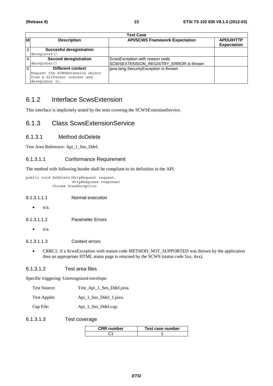|     | Test Case                        |                                        |                    |  |  |  |
|-----|----------------------------------|----------------------------------------|--------------------|--|--|--|
| lld | <b>Description</b>               | <b>API/SCWS Framework Expectation</b>  | <b>APDU/HTTP</b>   |  |  |  |
|     |                                  |                                        | <b>Expectation</b> |  |  |  |
|     | <b>Succesful deregistration</b>  |                                        |                    |  |  |  |
|     | deregister()                     |                                        |                    |  |  |  |
|     | <b>Second deregistration</b>     | ScwsException with reason code         |                    |  |  |  |
|     | deregister()                     | SCWSEXTENSION_REGISTRY_ERROR is thrown |                    |  |  |  |
| 5   | Different context                | java.lang.SecurityException is thrown  |                    |  |  |  |
|     | Request the SCWSExtension object |                                        |                    |  |  |  |
|     | from a different context and     |                                        |                    |  |  |  |
|     | deregister it.                   |                                        |                    |  |  |  |

# 6.1.2 Interface ScwsExtension

This interface is implicitely tested by the tests covering the SCWSExtensionService.

### 6.1.3 Class ScwsExtensionService

#### 6.1.3.1 Method doDelete

Test Area Reference: Api\_1\_Ses\_Ddel.

#### 6.1.3.1.1 Conformance Requirement

The method with following header shall be compliant to its definition in the API.

```
public void doDelete(HttpRequest request, 
           HttpResponse response) 
 throws ScwsException
```
#### 6.1.3.1.1.1 Normal execution

 $n/a$ .

#### 6.1.3.1.1.2 Parameter Errors

 $\bullet$   $\mathsf{n}/\mathsf{a}$ .

#### 6.1.3.1.1.3 Context errors

• CRRC1: if a ScwsException with reason code METHOD\_NOT\_SUPPORTED was thrown by the application then an appropriate HTML status page is returned by the SCWS (status code 5xx, 4xx).

#### 6.1.3.1.2 Test area files

Specific triggering: Unrecognized envelope:

- Test Source: Test\_Api\_1\_Ses\_Ddel.java.
- Test Applet: Api\_1\_Ses\_Ddel\_1.java.

Cap File: Api\_1\_Ses\_Ddel.cap.

#### 6.1.3.1.3 Test coverage

| <b>CRR</b> number | Test case number |
|-------------------|------------------|
|                   |                  |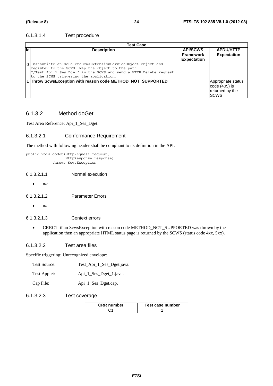#### 6.1.3.1.4 Test procedure

|     | <b>Test Case</b>                                                                                                                                                                                                                   |                                                           |                                                                         |  |  |  |
|-----|------------------------------------------------------------------------------------------------------------------------------------------------------------------------------------------------------------------------------------|-----------------------------------------------------------|-------------------------------------------------------------------------|--|--|--|
| lld | <b>Description</b>                                                                                                                                                                                                                 | <b>API/SCWS</b><br><b>Framework</b><br><b>Expectation</b> | <b>APDU/HTTP</b><br><b>Expectation</b>                                  |  |  |  |
|     | O Instantiate an doDeleteScwsExtensionServiceObject object and<br>register to the SCWS. Map the object to the path<br>"/Test Api 1 Ses Ddel" in the SCWS and send a HTTP Delete request<br>to the SCWS triggering the application. |                                                           |                                                                         |  |  |  |
|     | 1 Throw ScwsException with reason code METHOD_NOT_SUPPORTED                                                                                                                                                                        |                                                           | Appropriate status<br>code $(405)$ is<br>returned by the<br><b>SCWS</b> |  |  |  |

### 6.1.3.2 Method doGet

Test Area Reference: Api\_1\_Ses\_Dget.

#### 6.1.3.2.1 Conformance Requirement

The method with following header shall be compliant to its definition in the API.

```
public void doGet(HttpRequest request, 
       HttpResponse response) 
 throws ScwsException
```
#### 6.1.3.2.1.1 Normal execution

 $\bullet$   $n/a$ .

6.1.3.2.1.2 Parameter Errors

 $\bullet$   $n/a$ .

#### 6.1.3.2.1.3 Context errors

• CRRC1: if an ScwsException with reason code METHOD\_NOT\_SUPPORTED was thrown by the application then an appropriate HTML status page is returned by the SCWS (status code 4xx, 5xx).

#### 6.1.3.2.2 Test area files

Specific triggering: Unrecognized envelope:

| Test Source: | Test_Api_1_Ses_Dget.java. |
|--------------|---------------------------|
|--------------|---------------------------|

| Test Applet: |  | Api_1_Ses_Dget_1.java. |
|--------------|--|------------------------|

Cap File: Api\_1\_Ses\_Dget.cap.

#### 6.1.3.2.3 Test coverage

| <b>CRR</b> number | Test case number |
|-------------------|------------------|
|                   |                  |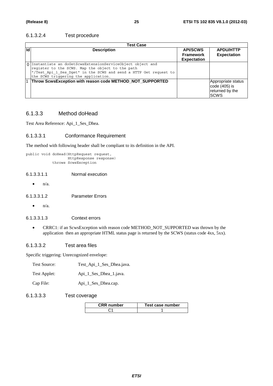#### 6.1.3.2.4 Test procedure

| Test Case                                                                                                                                                                                                                    |                                                           |                                                                         |  |  |
|------------------------------------------------------------------------------------------------------------------------------------------------------------------------------------------------------------------------------|-----------------------------------------------------------|-------------------------------------------------------------------------|--|--|
| <b>Id</b><br><b>Description</b>                                                                                                                                                                                              | <b>API/SCWS</b><br><b>Framework</b><br><b>Expectation</b> | <b>APDU/HTTP</b><br><b>Expectation</b>                                  |  |  |
| n Instantiate an doGetScwsExtensionServiceObject object and<br>register to the SCWS. Map the object to the path<br>"/Test_Api_1_Ses_Dget" in the SCWS and send a HTTP Get request to<br>the SCWS triggering the application. |                                                           |                                                                         |  |  |
| Throw ScwsException with reason code METHOD NOT SUPPORTED                                                                                                                                                                    |                                                           | Appropriate status<br>code $(405)$ is<br>returned by the<br><b>SCWS</b> |  |  |

### 6.1.3.3 Method doHead

Test Area Reference: Api\_1\_Ses\_Dhea.

#### 6.1.3.3.1 Conformance Requirement

The method with following header shall be compliant to its definition in the API.

```
public void doHead(HttpRequest request, 
        HttpResponse response) 
 throws ScwsException
```
#### 6.1.3.3.1.1 Normal execution

 $\bullet$   $n/a$ .

6.1.3.3.1.2 Parameter Errors

 $\bullet$   $n/a$ .

#### 6.1.3.3.1.3 Context errors

• CRRC1: if an ScwsException with reason code METHOD\_NOT\_SUPPORTED was thrown by the application then an appropriate HTML status page is returned by the SCWS (status code 4xx, 5xx).

#### 6.1.3.3.2 Test area files

Specific triggering: Unrecognized envelope:

| Test Source: | Test_Api_1_Ses_Dhea.java. |
|--------------|---------------------------|
|--------------|---------------------------|

| Test Applet: |  |  | Api_1_Ses_Dhea_1.java. |
|--------------|--|--|------------------------|
|              |  |  |                        |

Cap File: Api\_1\_Ses\_Dhea.cap.

#### 6.1.3.3.3 Test coverage

| <b>CRR</b> number | Test case number |
|-------------------|------------------|
|                   |                  |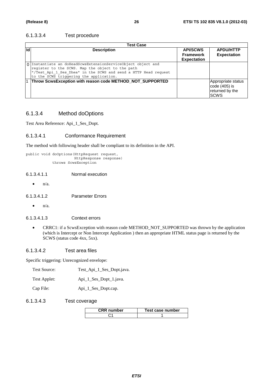#### 6.1.3.3.4 Test procedure

|    | <b>Test Case</b>                                                                                                                                                                                                               |                                                           |                                                                         |  |  |
|----|--------------------------------------------------------------------------------------------------------------------------------------------------------------------------------------------------------------------------------|-----------------------------------------------------------|-------------------------------------------------------------------------|--|--|
| Id | <b>Description</b>                                                                                                                                                                                                             | <b>API/SCWS</b><br><b>Framework</b><br><b>Expectation</b> | <b>APDU/HTTP</b><br><b>Expectation</b>                                  |  |  |
|    | O Instantiate an doHeadScwsExtensionServiceObject object and<br>register to the SCWS. Map the object to the path<br>"/Test_Api_1_Ses_Dhea" in the SCWS and send a HTTP Head request<br>to the SCWS triggering the application. |                                                           |                                                                         |  |  |
|    | Throw ScwsException with reason code METHOD_NOT_SUPPORTED                                                                                                                                                                      |                                                           | Appropriate status<br>code $(405)$ is<br>returned by the<br><b>SCWS</b> |  |  |

### 6.1.3.4 Method doOptions

Test Area Reference: Api\_1\_Ses\_Dopt.

#### 6.1.3.4.1 Conformance Requirement

The method with following header shall be compliant to its definition in the API.

```
public void doOptions(HttpRequest request, 
            HttpResponse response) 
 throws ScwsException
```
#### 6.1.3.4.1.1 Normal execution

 $\bullet$   $n/a$ .

6.1.3.4.1.2 Parameter Errors

 $\bullet$   $n/a$ .

#### 6.1.3.4.1.3 Context errors

• CRRC1: if a ScwsException with reason code METHOD\_NOT\_SUPPORTED was thrown by the application (which is Intercept or Non Intercept Application ) then an appropriate HTML status page is returned by the SCWS (status code 4xx, 5xx).

#### 6.1.3.4.2 Test area files

Specific triggering: Unrecognized envelope:

| Test Source: | Test_Api_1_Ses_Dopt.java. |
|--------------|---------------------------|
|--------------|---------------------------|

| Api_1_Ses_Dopt_1.java. |
|------------------------|
|                        |

Cap File: Api\_1\_Ses\_Dopt.cap.

#### 6.1.3.4.3 Test coverage

| <b>CRR</b> number | Test case number |
|-------------------|------------------|
|                   |                  |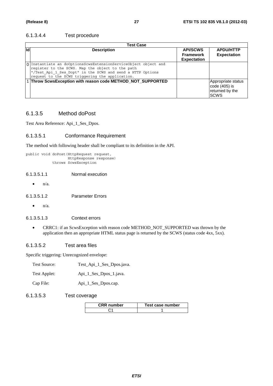#### 6.1.3.4.4 Test procedure

|           | Test Case                                                                                                                                                                                                                            |                                                           |                                                                          |  |  |
|-----------|--------------------------------------------------------------------------------------------------------------------------------------------------------------------------------------------------------------------------------------|-----------------------------------------------------------|--------------------------------------------------------------------------|--|--|
| <b>Id</b> | <b>Description</b>                                                                                                                                                                                                                   | <b>API/SCWS</b><br><b>Framework</b><br><b>Expectation</b> | <b>APDU/HTTP</b><br><b>Expectation</b>                                   |  |  |
|           | 0 Instantiate an doOptionsScwsExtensionServiceObject object and<br>register to the SCWS. Map the object to the path<br>"/Test Api 1 Ses Dopt" in the SCWS and send a HTTP Options<br>request to the SCWS triggering the application. |                                                           |                                                                          |  |  |
|           | 1 Throw ScwsException with reason code METHOD_NOT_SUPPORTED                                                                                                                                                                          |                                                           | Appropriate status<br>code $(405)$ is<br>returned by the<br><b>ISCWS</b> |  |  |

### 6.1.3.5 Method doPost

Test Area Reference: Api\_1\_Ses\_Dpos.

#### 6.1.3.5.1 Conformance Requirement

The method with following header shall be compliant to its definition in the API.

```
public void doPost(HttpRequest request, 
        HttpResponse response) 
 throws ScwsException
```
#### 6.1.3.5.1.1 Normal execution

 $\bullet$   $n/a$ .

6.1.3.5.1.2 Parameter Errors

 $\bullet$  n/a.

#### 6.1.3.5.1.3 Context errors

• CRRC1: if an ScwsException with reason code METHOD\_NOT\_SUPPORTED was thrown by the application then an appropriate HTML status page is returned by the SCWS (status code 4xx, 5xx).

#### 6.1.3.5.2 Test area files

Specific triggering: Unrecognized envelope:

| Test Applet: |  |  | Api_1_Ses_Dpos_1.java. |  |
|--------------|--|--|------------------------|--|

Cap File: Api\_1\_Ses\_Dpos.cap.

#### 6.1.3.5.3 Test coverage

| CRR number | Test case number |
|------------|------------------|
|            |                  |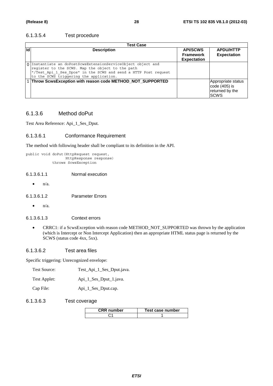#### 6.1.3.5.4 Test procedure

|           | <b>Test Case</b>                                                                                                                                                                                                               |                                                           |                                                                          |
|-----------|--------------------------------------------------------------------------------------------------------------------------------------------------------------------------------------------------------------------------------|-----------------------------------------------------------|--------------------------------------------------------------------------|
| <b>Id</b> | <b>Description</b>                                                                                                                                                                                                             | <b>API/SCWS</b><br><b>Framework</b><br><b>Expectation</b> | <b>APDU/HTTP</b><br><b>Expectation</b>                                   |
|           | 0 Instantiate an doPostScwsExtensionServiceObject object and<br>register to the SCWS. Map the object to the path<br>"/Test Api 1 Ses Dpos" in the SCWS and send a HTTP Post request<br>to the SCWS triggering the application. |                                                           |                                                                          |
|           | 1 Throw ScwsException with reason code METHOD_NOT_SUPPORTED                                                                                                                                                                    |                                                           | Appropriate status<br>code $(405)$ is<br>returned by the<br><b>ISCWS</b> |

### 6.1.3.6 Method doPut

Test Area Reference: Api\_1\_Ses\_Dput.

#### 6.1.3.6.1 Conformance Requirement

The method with following header shall be compliant to its definition in the API.

public void doPut(HttpRequest request, HttpResponse response) throws ScwsException

#### 6.1.3.6.1.1 Normal execution

 $\bullet$   $n/a$ .

6.1.3.6.1.2 Parameter Errors

 $\bullet$   $n/a$ .

#### 6.1.3.6.1.3 Context errors

• CRRC1: if a ScwsException with reason code METHOD\_NOT\_SUPPORTED was thrown by the application (which is Intercept or Non Intercept Application) then an appropriate HTML status page is returned by the SCWS (status code 4xx, 5xx).

#### 6.1.3.6.2 Test area files

Specific triggering: Unrecognized envelope:

| Test Applet: | Api_1_Ses_Dput_1.java. |
|--------------|------------------------|
|--------------|------------------------|

Cap File: Api\_1\_Ses\_Dput.cap.

#### 6.1.3.6.3 Test coverage

| <b>CRR</b> number | Test case number |
|-------------------|------------------|
|                   |                  |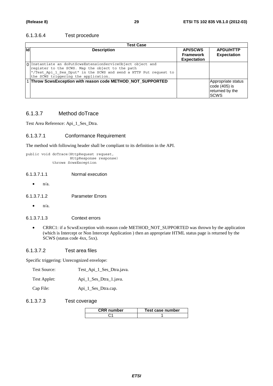#### 6.1.3.6.4 Test procedure

|     | <b>Test Case</b>                                                                                                                                                                                                             |                                                           |                                                                         |
|-----|------------------------------------------------------------------------------------------------------------------------------------------------------------------------------------------------------------------------------|-----------------------------------------------------------|-------------------------------------------------------------------------|
| lld | <b>Description</b>                                                                                                                                                                                                           | <b>API/SCWS</b><br><b>Framework</b><br><b>Expectation</b> | <b>APDU/HTTP</b><br><b>Expectation</b>                                  |
|     | 0 Instantiate an doPutScwsExtensionServiceObject object and<br>register to the SCWS. Map the object to the path<br>"/Test_Api_1_Ses_Dput" in the SCWS and send a HTTP Put request to<br>the SCWS triggering the application. |                                                           |                                                                         |
|     | Throw ScwsException with reason code METHOD_NOT_SUPPORTED                                                                                                                                                                    |                                                           | Appropriate status<br>code $(405)$ is<br>returned by the<br><b>SCWS</b> |

### 6.1.3.7 Method doTrace

Test Area Reference: Api\_1\_Ses\_Dtra.

#### 6.1.3.7.1 Conformance Requirement

The method with following header shall be compliant to its definition in the API.

```
public void doTrace(HttpRequest request, 
         HttpResponse response) 
 throws ScwsException
```
#### 6.1.3.7.1.1 Normal execution

 $\bullet$   $n/a$ .

6.1.3.7.1.2 Parameter Errors

 $\bullet$  n/a.

#### 6.1.3.7.1.3 Context errors

• CRRC1: if a ScwsException with reason code METHOD\_NOT\_SUPPORTED was thrown by the application (which is Intercept or Non Intercept Application ) then an appropriate HTML status page is returned by the SCWS (status code 4xx, 5xx).

#### 6.1.3.7.2 Test area files

Specific triggering: Unrecognized envelope:

| Test Source: | Test_Api_1_Ses_Dtra.java. |
|--------------|---------------------------|
| Test Applet: | Api_1_Ses_Dtra_1.java.    |

Cap File: Api\_1\_Ses\_Dtra.cap.

#### 6.1.3.7.3 Test coverage

| <b>CRR</b> number | Test case number |
|-------------------|------------------|
|                   |                  |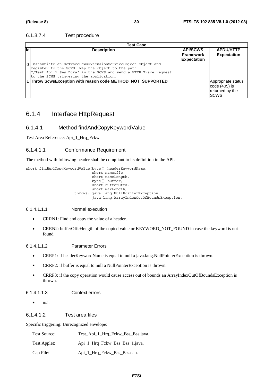#### 6.1.3.7.4 Test procedure

|     | Test Case                                                                                                                                                                                                                        |                                                           |                                                                   |
|-----|----------------------------------------------------------------------------------------------------------------------------------------------------------------------------------------------------------------------------------|-----------------------------------------------------------|-------------------------------------------------------------------|
| lld | <b>Description</b>                                                                                                                                                                                                               | <b>API/SCWS</b><br><b>Framework</b><br><b>Expectation</b> | <b>APDU/HTTP</b><br><b>Expectation</b>                            |
|     | 0 Instantiate an doTraceScwsExtensionServiceObject object and<br>register to the SCWS. Map the object to the path<br>"/Test Api 1 Ses Dtra" in the SCWS and send a HTTP Trace request<br>to the SCWS triggering the application. |                                                           |                                                                   |
|     | 1 Throw ScwsException with reason code METHOD_NOT_SUPPORTED                                                                                                                                                                      |                                                           | Appropriate status<br>code $(405)$ is<br>returned by the<br>SCWS. |

### 6.1.4 Interface HttpRequest

#### 6.1.4.1 Method findAndCopyKeywordValue

Test Area Reference: Api\_1\_Hrq\_Fckw.

#### 6.1.4.1.1 Conformance Requirement

The method with following header shall be compliant to its definition in the API.

short findAndCopyKeywordValue(byte[] headerKeywordName,  $short$  nameOffs, short nameLength, byte[] buffer, short bufferOffs, short maxLength) throws: java.lang.NullPointerException, java.lang.ArrayIndexOutOfBoundsException.

#### 6.1.4.1.1.1 Normal execution

- CRRN1: Find and copy the value of a header.
- CRRN2: bufferOffs+length of the copied value or KEYWORD\_NOT\_FOUND in case the keyword is not found.

#### 6.1.4.1.1.2 Parameter Errors

- CRRP1: if headerKeywordName is equal to null a java.lang.NullPointerException is thrown.
- CRRP2: if buffer is equal to null a NullPointerException is thrown.
- CRRP3: if the copy operation would cause access out of bounds an ArrayIndexOutOfBoundsException is thrown.

#### 6.1.4.1.1.3 Context errors

 $\bullet$   $n/a$ .

#### 6.1.4.1.2 Test area files

Specific triggering: Unrecognized envelope:

| <b>Test Source:</b> | Test_Api_1_Hrq_Fckw_Bss_Bss.java. |
|---------------------|-----------------------------------|
| Test Applet:        | Api 1 Hrq Fckw Bss Bss 1.java.    |
| Cap File:           | Api_1_Hrq_Fckw_Bss_Bss.cap.       |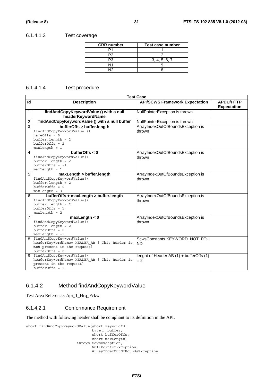#### 6.1.4.1.3 Test coverage

| <b>CRR</b> number | Test case number |
|-------------------|------------------|
|                   |                  |
|                   |                  |
|                   | 3, 4, 5, 6, 7    |
| ۱1                |                  |
|                   |                  |

#### 6.1.4.1.4 Test procedure

| <b>Test Case</b>                                                                                  |                    |  |  |  |
|---------------------------------------------------------------------------------------------------|--------------------|--|--|--|
| <b>API/SCWS Framework Expectation</b><br><b>Description</b><br>Id                                 | <b>APDU/HTTP</b>   |  |  |  |
|                                                                                                   | <b>Expectation</b> |  |  |  |
| findAndCopyKeywordValue () with a null<br>1<br>NullPointerException is thrown                     |                    |  |  |  |
| headerKeywordName                                                                                 |                    |  |  |  |
| findAndCopyKeywordValue () with a null buffer<br>$\overline{c}$<br>NullPointerException is thrown |                    |  |  |  |
| $\overline{3}$<br>bufferOffs ≥ buffer.length<br>ArrayIndexOutOfBoundsException is                 |                    |  |  |  |
| findAndCopyKeywordValue ()<br>thrown                                                              |                    |  |  |  |
| $nameOffs = 0$                                                                                    |                    |  |  |  |
| $buffer.length = 2$                                                                               |                    |  |  |  |
| $bufferOffs = 2$                                                                                  |                    |  |  |  |
| $maxLength = 1$                                                                                   |                    |  |  |  |
| bufferOffs $< 0$<br>4<br>ArrayIndexOutOfBoundsException is                                        |                    |  |  |  |
| findAndCopyKeywordValue()<br>thrown                                                               |                    |  |  |  |
| $buffer.length = 2$                                                                               |                    |  |  |  |
| $bufferOffs = -1$                                                                                 |                    |  |  |  |
| $maxLength = 1$                                                                                   |                    |  |  |  |
| 5<br>maxLength > buffer.length<br>ArrayIndexOutOfBoundsException is                               |                    |  |  |  |
| findAndCopyKeywordValue()<br>thrown                                                               |                    |  |  |  |
| $buffer.length = 2$                                                                               |                    |  |  |  |
| $bufferOffs = 0$                                                                                  |                    |  |  |  |
| $maxLength = 3$                                                                                   |                    |  |  |  |
| bufferOffs + maxLength > buffer.length<br>ArrayIndexOutOfBoundsException is<br>6                  |                    |  |  |  |
| findAndCopyKeywordValue()<br>thrown                                                               |                    |  |  |  |
| $buffer.length = 2$                                                                               |                    |  |  |  |
| $bufferOffs = 1$                                                                                  |                    |  |  |  |
| $maxLength = 2$                                                                                   |                    |  |  |  |
| $\overline{7}$<br>ArrayIndexOutOfBoundsException is<br>maxLength < 0                              |                    |  |  |  |
| findAndCopyKeywordValue()<br>thrown                                                               |                    |  |  |  |
| $buffer.length = 2$                                                                               |                    |  |  |  |
| $bufferOffs = 0$                                                                                  |                    |  |  |  |
| $maxLength = -1$<br>findAndCopyKeywordValue()                                                     |                    |  |  |  |
| 8<br>ScwsConstants.KEYWORD NOT FOU<br>headerKeywordName= HEADER AB [ This header is               |                    |  |  |  |
| <b>ND</b><br>not present in the request]                                                          |                    |  |  |  |
| $bufferOffs = 0$                                                                                  |                    |  |  |  |
| findAndCopyKeywordValue()<br>lenght of Header AB (1) + bufferOffs (1)<br>9                        |                    |  |  |  |
| headerKeywordName= HEADER AB [ This header is                                                     |                    |  |  |  |
| $= 2$                                                                                             |                    |  |  |  |
| present in the request]                                                                           |                    |  |  |  |

### 6.1.4.2 Method findAndCopyKeywordValue

Test Area Reference: Api\_1\_Hrq\_Fckw.

#### 6.1.4.2.1 Conformance Requirement

The method with following header shall be compliant to its definition in the API.

```
short findAndCopyKeywordValue(short keywordId, 
                     byte[] buffer, 
                    short bufferOffs,
                   short maxLength)
             throws ScwsException, 
                    NullPointerException, 
                    ArrayIndexOutOfBoundsException
```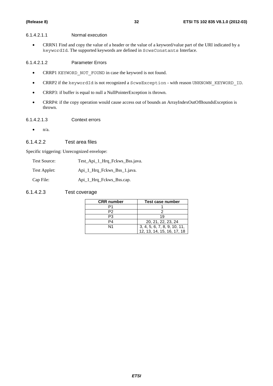#### 6.1.4.2.1.1 Normal execution

• CRRN1 Find and copy the value of a header or the value of a keyword/value part of the URI indicated by a keywordId. The supported keywords are defined in ScwsConstants Interface.

#### 6.1.4.2.1.2 Parameter Errors

- CRRP1 KEYWORD NOT FOUND in case the keyword is not found.
- CRRP2 if the keywordId is not recognized a ScwsException with reason UNKNOWN KEYWORD ID.
- CRRP3: if buffer is equal to null a NullPointerException is thrown.
- CRRP4: if the copy operation would cause access out of bounds an ArrayIndexOutOfBoundsException is thrown.

#### 6.1.4.2.1.3 Context errors

 $\bullet$   $n/a$ .

#### 6.1.4.2.2 Test area files

Specific triggering: Unrecognized envelope:

Test Source: Test\_Api\_1\_Hrq\_Fckws\_Bss.java.

Test Applet: Api\_1\_Hrq\_Fckws\_Bss\_1.java.

Cap File: Api\_1\_Hrq\_Fckws\_Bss.cap.

#### 6.1.4.2.3 Test coverage

| <b>CRR</b> number | Test case number                                           |
|-------------------|------------------------------------------------------------|
|                   |                                                            |
| P2                |                                                            |
| Р3                | 19                                                         |
| PΔ                | 20, 21, 22, 23, 24                                         |
| N1                | 3, 4, 5, 6, 7, 8, 9, 10, 11,<br>12, 13, 14, 15, 16, 17, 18 |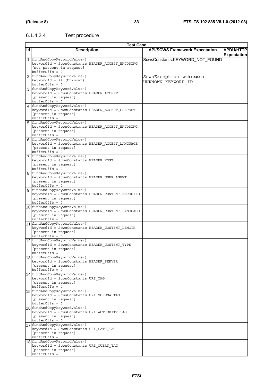### 6.1.4.2.4 Test procedure

|    | <b>Test Case</b>                                                                                                                |                                                   |                                        |  |  |
|----|---------------------------------------------------------------------------------------------------------------------------------|---------------------------------------------------|----------------------------------------|--|--|
| Id | <b>Description</b>                                                                                                              | <b>API/SCWS Framework Expectation</b>             | <b>APDU/HTTP</b><br><b>Expectation</b> |  |  |
|    | 1 findAndCopyKeywordValue()<br>keywordId = ScwsConstants.HEADER_ACCEPT_ENCODING<br>[not present in request]<br>$bufferOffs = 0$ | ScwsConstants.KEYWORD_NOT_FOUND                   |                                        |  |  |
|    | 2   findAndCopyKeywordValue()<br>keywordId = 99 (Unknown)<br>$bufferOffs = 0$                                                   | ScwsException - with reason<br>UNKNOWN KEYWORD ID |                                        |  |  |
|    | 3 findAndCopyKeywordValue()<br>keywordId = ScwsConstants.HEADER ACCEPT<br>[present in request]<br>$bufferOffs = 0$              |                                                   |                                        |  |  |
|    | 4 findAndCopyKeywordValue()<br>keywordId = ScwsConstants.HEADER ACCEPT CHARSET<br>[present in request]<br>$bufferOffs = 0$      |                                                   |                                        |  |  |
|    | 5 findAndCopyKeywordValue()<br>keywordId = ScwsConstants.HEADER ACCEPT ENCODING<br>[present in request]<br>$bufferOffs = 0$     |                                                   |                                        |  |  |
|    | 6 findAndCopyKeywordValue()<br>keywordId = ScwsConstants.HEADER ACCEPT LANGUAGE<br>[present in request]<br>$bufferOffs = 0$     |                                                   |                                        |  |  |
|    | 7 findAndCopyKeywordValue()<br>keywordId = ScwsConstants.HEADER_HOST<br>[present in request]<br>$bufferOffs = 0$                |                                                   |                                        |  |  |
|    | 8 findAndCopyKeywordValue()<br>keywordId = ScwsConstants.HEADER_USER_AGENT<br>[present in request]<br>$bufferOffs = 0$          |                                                   |                                        |  |  |
|    | 9 findAndCopyKeywordValue()<br>keywordId = ScwsConstants.HEADER_CONTENT_ENCODING<br>[present in request]<br>$bufferOffs = 0$    |                                                   |                                        |  |  |
|    | 10 findAndCopyKeywordValue()<br>keywordId = ScwsConstants.HEADER CONTENT LANGUAGE<br>[present in request]<br>$bufferOffs = 0$   |                                                   |                                        |  |  |
|    | 11 findAndCopyKeywordValue()<br>keywordId = ScwsConstants.HEADER CONTENT LENGTH<br>[present in request]<br>$bufferOffs = 0$     |                                                   |                                        |  |  |
|    | 12 findAndCopyKeywordValue()<br>keywordId = ScwsConstants.HEADER CONTENT TYPE<br>[present in request]<br>$bufferOffs = 0$       |                                                   |                                        |  |  |
|    | 13 findAndCopyKeywordValue()<br>keywordId = ScwsConstants.HEADER SERVER<br>[present in request]<br>$bufferOffs = 0$             |                                                   |                                        |  |  |
|    | 14 findAndCopyKeywordValue()<br>keywordId = ScwsConstants.URI TAG<br>[present in request]<br>$bufferOffs = 0$                   |                                                   |                                        |  |  |
|    | 15 findAndCopyKeywordValue()<br>keywordId = ScwsConstants.URI SCHEMA TAG<br>[present in request]<br>$bufferOffs = 0$            |                                                   |                                        |  |  |
|    | 16 findAndCopyKeywordValue()<br>keywordId = ScwsConstants.URI_AUTHORITY_TAG<br>[present in request]<br>$bufferOffs = 0$         |                                                   |                                        |  |  |
|    | 17 findAndCopyKeywordValue()<br>keywordId = ScwsConstants.URI_PATH_TAG<br>[present in request]<br>$bufferOffs = 0$              |                                                   |                                        |  |  |
|    | 18 findAndCopyKeywordValue()<br>keywordId = ScwsConstants.URI QUERY TAG<br>[present in request]<br>$bufferOffs = 0$             |                                                   |                                        |  |  |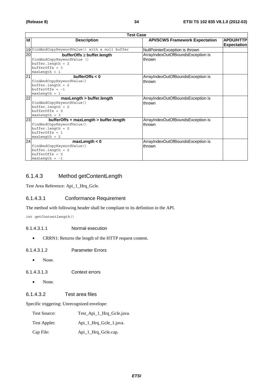|                 | <b>Test Case</b>                                                                                                                  |                                             |                                        |
|-----------------|-----------------------------------------------------------------------------------------------------------------------------------|---------------------------------------------|----------------------------------------|
| Id              | <b>Description</b>                                                                                                                | <b>API/SCWS Framework Expectation</b>       | <b>APDU/HTTP</b><br><b>Expectation</b> |
|                 | 19 findAndCopyKeywordValue() with a null buffer                                                                                   | NullPointerException is thrown              |                                        |
| 20              | $bufferOffs \geq buffer.length$<br>findAndCopyKeywordValue ()<br>$buffer.length = 2$<br>$bufferOffs = 3$<br>$maxLength = 1$       | ArrayIndexOutOfBoundsException is<br>thrown |                                        |
| $\overline{21}$ | bufferOffs $< 0$<br>findAndCopyKeywordValue()<br>$buffer.length = 2$<br>$bufferOffs = -1$<br>$maxLength = 1$                      | ArrayIndexOutOfBoundsException is<br>thrown |                                        |
| 22              | maxLength > buffer.length<br>findAndCopyKeywordValue()<br>$buffer.length = 2$<br>$bufferOffs = 0$<br>$maxLength = 3$              | ArrayIndexOutOfBoundsException is<br>thrown |                                        |
| 23              | bufferOffs + maxLength > buffer.length<br>findAndCopyKeywordValue()<br>$buffer.length = 2$<br>$bufferOffs = 1$<br>$maxLength = 2$ | ArrayIndexOutOfBoundsException is<br>thrown |                                        |
| 24              | maxLength < 0<br>findAndCopyKeywordValue()<br>$buffer.length = 2$<br>$bufferOffs = 0$<br>$maxLength = -1$                         | ArrayIndexOutOfBoundsException is<br>thrown |                                        |

### 6.1.4.3 Method getContentLength

Test Area Reference: Api\_1\_Hrq\_Gcle.

#### 6.1.4.3.1 Conformance Requirement

The method with following header shall be compliant to its definition in the API.

int getContentLength()

- 6.1.4.3.1.1 Normal execution
	- CRRN1: Returns the length of the HTTP request content.
- 6.1.4.3.1.2 Parameter Errors
	- None.
- 6.1.4.3.1.3 Context errors
	- None.

#### 6.1.4.3.2 Test area files

Specific triggering: Unrecognized envelope:

| Test Source: | Test_Api_1_Hrq_Gcle.java. |
|--------------|---------------------------|
| Test Applet: | Api 1 Hrg Gele 1.java.    |
| Cap File:    | Api_1_Hrq_Gcle.cap.       |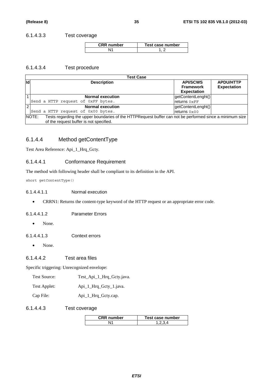#### 6.1.4.3.3 Test coverage

| <b>CRR</b> number | Test case number |
|-------------------|------------------|
|                   |                  |

#### 6.1.4.3.4 Test procedure

|                                                                                                                          | <b>Test Case</b>                        |                    |                    |  |  |
|--------------------------------------------------------------------------------------------------------------------------|-----------------------------------------|--------------------|--------------------|--|--|
| <b>Id</b>                                                                                                                | <b>Description</b>                      | <b>API/SCWS</b>    | <b>APDU/HTTP</b>   |  |  |
|                                                                                                                          |                                         | <b>Framework</b>   | <b>Expectation</b> |  |  |
|                                                                                                                          |                                         | <b>Expectation</b> |                    |  |  |
|                                                                                                                          | <b>Normal execution</b>                 | getContentLenght() |                    |  |  |
|                                                                                                                          | Send a HTTP request of 0xFF bytes.      | returns 0xFF       |                    |  |  |
| $\overline{2}$                                                                                                           | <b>Normal execution</b>                 | getContentLenght() |                    |  |  |
|                                                                                                                          | Send a HTTP request of 0x00 bytes.      | returns 0x00       |                    |  |  |
| Tests regarding the upper boundaries of the HTTPRequest buffer can not be performed since a minimum size<br><b>NOTE:</b> |                                         |                    |                    |  |  |
|                                                                                                                          | of the request buffer is not specified. |                    |                    |  |  |

### 6.1.4.4 Method getContentType

Test Area Reference: Api\_1\_Hrq\_Gcty.

#### 6.1.4.4.1 Conformance Requirement

The method with following header shall be compliant to its definition in the API.

short getContentType()

#### 6.1.4.4.1.1 Normal execution

• CRRN1: Returns the content-type keyword of the HTTP request or an appropriate error code.

#### 6.1.4.4.1.2 Parameter Errors

• None.

6.1.4.4.1.3 Context errors

• None.

#### 6.1.4.4.2 Test area files

Specific triggering: Unrecognized envelope:

| Test Source: |  |  |  |  | Test_Api_1_Hrq_Gcty.java. |  |
|--------------|--|--|--|--|---------------------------|--|
|--------------|--|--|--|--|---------------------------|--|

- Test Applet: Api\_1\_Hrq\_Gcty\_1.java.
- Cap File: Api\_1\_Hrq\_Gcty.cap.

#### 6.1.4.4.3 Test coverage

| <b>CRR</b> number | Test case number |
|-------------------|------------------|
|                   |                  |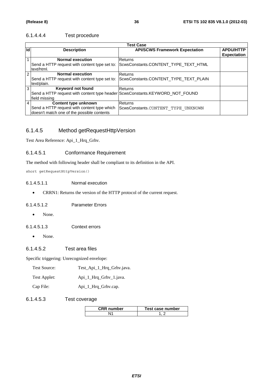#### 6.1.4.4.4 Test procedure

|    | <b>Test Case</b>                                                             |                                       |                                        |  |
|----|------------------------------------------------------------------------------|---------------------------------------|----------------------------------------|--|
| Id | <b>Description</b>                                                           | <b>API/SCWS Framework Expectation</b> | <b>APDU/HTTP</b><br><b>Expectation</b> |  |
|    | <b>Normal execution</b>                                                      | Returns                               |                                        |  |
|    | Send a HTTP request with content type set to:<br>text/html.                  | ScwsConstants.CONTENT_TYPE_TEXT_HTML  |                                        |  |
| 2  | <b>Normal execution</b>                                                      | Returns                               |                                        |  |
|    | Send a HTTP request with content type set to:                                | ScwsConstants.CONTENT_TYPE_TEXT_PLAIN |                                        |  |
|    | text/plain.                                                                  |                                       |                                        |  |
| 3  | <b>Keyword not found</b>                                                     | Returns                               |                                        |  |
|    | Send a HTTP request with content type header ScwsConstants.KEYWORD_NOT_FOUND |                                       |                                        |  |
|    | field missing                                                                |                                       |                                        |  |
| 4  | Content type unknown                                                         | Returns                               |                                        |  |
|    | Send a HTTP request with content type which                                  | ScwsConstants.CONTENT TYPE UNKNOWN    |                                        |  |
|    | doesn't match one of the possible contents                                   |                                       |                                        |  |

### 6.1.4.5 Method getRequestHttpVersion

Test Area Reference: Api\_1\_Hrq\_Grhv.

#### 6.1.4.5.1 Conformance Requirement

The method with following header shall be compliant to its definition in the API.

short getRequestHttpVersion()

#### 6.1.4.5.1.1 Normal execution

• CRRN1: Returns the version of the HTTP protocol of the current request.

#### 6.1.4.5.1.2 Parameter Errors

• None.

6.1.4.5.1.3 Context errors

- None.
- 6.1.4.5.2 Test area files

Specific triggering: Unrecognized envelope:

| Test Source: | Test_Api_1_Hrq_Grhv.java. |
|--------------|---------------------------|
|--------------|---------------------------|

| Test Applet: | Api_1_Hrq_Grhv_1.java. |
|--------------|------------------------|
|--------------|------------------------|

Cap File: Api\_1\_Hrq\_Grhv.cap.

#### 6.1.4.5.3 Test coverage

| <b>CRR</b> number | Test case number |
|-------------------|------------------|
|                   |                  |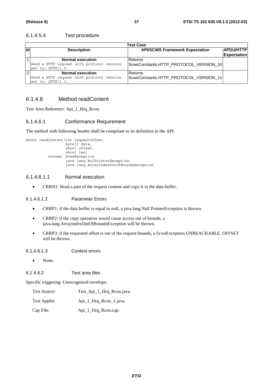### 6.1.4.5.4 Test procedure

|     | <b>Test Case</b>                                                                          |                                                   |                                        |  |
|-----|-------------------------------------------------------------------------------------------|---------------------------------------------------|----------------------------------------|--|
| lld | <b>Description</b>                                                                        | <b>API/SCWS Framework Expectation</b>             | <b>APDU/HTTP</b><br><b>Expectation</b> |  |
|     | <b>Normal execution</b><br>Send a HTTP request with protocol version<br>set to: HTTP/1.0. | Returns<br>ScwsConstants.HTTP_PROTOCOL_VERSION_10 |                                        |  |
|     | <b>Normal execution</b><br>Send a HTTP request with protocol version<br>set to: HTTP/1.1. | Returns<br>ScwsConstants.HTTP_PROTOCOL_VERSION_11 |                                        |  |

### 6.1.4.6 Method readContent

Test Area Reference: Api\_1\_Hrq\_Rcon.

#### 6.1.4.6.1 Conformance Requirement

The method with following header shall be compliant to its definition in the API.

```
short readContent(int requestOffset,
         byte[] data, 
         short offset, 
         short len) 
throws: ScwsException 
         java.lang.NulPointerException 
         java.lang.ArrayIndexOutOfBoundsException
```
#### 6.1.4.6.1.1 Normal execution

• CRRN1: Read a part of the request content and copy it in the data buffer.

6.1.4.6.1.2 Parameter Errors

- CRRP1: if the data buffer is equal to null, a java.lang.Null PointerException is thrown.
- CRRP2: if the copy operation would cause access out of bounds, a java.lang.ArrayIndexOutOfBoundsException will be thrown.
- CRRP3: if the requested offset is out of the request bounds, a ScwsException.UNREACHABLE\_OFFSET will be thrown.

6.1.4.6.1.3 Context errors

• None.

6.1.4.6.2 Test area files

Specific triggering: Unrecognized envelope:

Test Source: Test\_Api\_1\_Hrq\_Rcon.java.

- Test Applet: Api\_1\_Hrq\_Rcon\_1.java.
- Cap File: Api\_1\_Hrq\_Rcon.cap.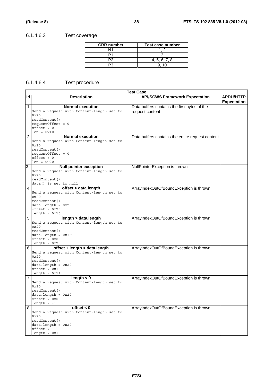# 6.1.4.6.3 Test coverage

| <b>CRR</b> number | Test case number |
|-------------------|------------------|
| N1                |                  |
|                   |                  |
|                   | 4, 5, 6, 7, 8    |
|                   |                  |

# 6.1.4.6.4 Test procedure

|                | Test Case                                 |                                                  |                    |
|----------------|-------------------------------------------|--------------------------------------------------|--------------------|
| Id             | <b>Description</b>                        | <b>API/SCWS Framework Expectation</b>            | <b>APDU/HTTP</b>   |
|                |                                           |                                                  | <b>Expectation</b> |
| 1              | <b>Normal execution</b>                   | Data buffers contains the first bytes of the     |                    |
|                | Send a request with Content-length set to | request content                                  |                    |
|                | 0x20                                      |                                                  |                    |
|                | readContent()                             |                                                  |                    |
|                | $requestOffset = 0$                       |                                                  |                    |
|                | $offset = 0$                              |                                                  |                    |
|                | $len = 0x10$                              |                                                  |                    |
| $\overline{2}$ | Normal execution                          | Data buffers contains the entire request content |                    |
|                | Send a request with Content-length set to |                                                  |                    |
|                | 0x20                                      |                                                  |                    |
|                | readContent()<br>$requestOffset = 0$      |                                                  |                    |
|                | $offset = 0$                              |                                                  |                    |
|                | $len = 0x20$                              |                                                  |                    |
| 3              | <b>Null pointer exception</b>             | NullPointerException is thrown                   |                    |
|                | Send a request with Content-length set to |                                                  |                    |
|                | 0x20                                      |                                                  |                    |
|                | readContent()                             |                                                  |                    |
|                | data[] is set to null                     |                                                  |                    |
| 4              | offset > data.length                      | ArrayIndexOutOfBoundException is thrown          |                    |
|                | Send a request with Content-length set to |                                                  |                    |
|                | 0x20                                      |                                                  |                    |
|                | readContent()                             |                                                  |                    |
|                | $data.length = 0x20$<br>$offset = 0x20$   |                                                  |                    |
|                | $length = 0x10$                           |                                                  |                    |
| 5              | length > data.length                      | ArrayIndexOutOfBoundException is thrown          |                    |
|                | Send a request with Content-length set to |                                                  |                    |
|                | 0x20                                      |                                                  |                    |
|                | readContent()                             |                                                  |                    |
|                | $data.length = 0x1F$                      |                                                  |                    |
|                | $offset = 0x00$                           |                                                  |                    |
|                | $length = 0x20$                           |                                                  |                    |
| 6              | offset + length > data.length             | ArrayIndexOutOfBoundException is thrown          |                    |
|                | Send a request with Content-length set to |                                                  |                    |
|                | 0x20                                      |                                                  |                    |
|                | readContent()<br>$data.length = 0x20$     |                                                  |                    |
|                | $offset = 0x10$                           |                                                  |                    |
|                | $length = 0x11$                           |                                                  |                    |
| $\overline{7}$ | length $< 0$                              | ArrayIndexOutOfBoundException is thrown          |                    |
|                | Send a request with Content-length set to |                                                  |                    |
|                | 0x20                                      |                                                  |                    |
|                | readContent()                             |                                                  |                    |
|                | $data.length = 0x20$                      |                                                  |                    |
|                | $offset = 0x00$                           |                                                  |                    |
|                | $length = -1$                             |                                                  |                    |
| 8              | offset $< 0$                              | ArrayIndexOutOfBoundException is thrown          |                    |
|                | Send a request with Content-length set to |                                                  |                    |
|                | 0x20<br>readContent()                     |                                                  |                    |
|                | $data.length = 0x20$                      |                                                  |                    |
|                | $offset = -1$                             |                                                  |                    |
|                | $length = 0x10$                           |                                                  |                    |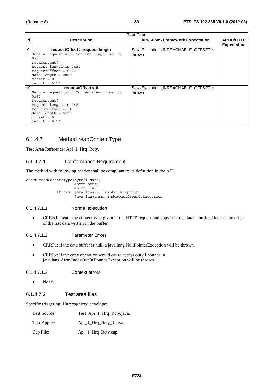|                 |                                           | Test Case                             |                    |
|-----------------|-------------------------------------------|---------------------------------------|--------------------|
| Id              | <b>Description</b>                        | <b>API/SCWS Framework Expectation</b> | <b>APDU/HTTP</b>   |
|                 |                                           |                                       | <b>Expectation</b> |
| 9               | requestOffset > request length            | ScwsException.UNREACHABLE OFFSET is   |                    |
|                 | Send a request with Content-length set to | Ithrown                               |                    |
|                 | 0x20                                      |                                       |                    |
|                 | readContent()                             |                                       |                    |
|                 | Request length is 0x20                    |                                       |                    |
|                 | requestOffset = $0x20$                    |                                       |                    |
|                 | $data.length = 0x20$                      |                                       |                    |
|                 | $offset = 0$                              |                                       |                    |
|                 | $length = 0x10$                           |                                       |                    |
| 10 <sup>1</sup> | requestOffset $< 0$                       | ScwsException.UNREACHABLE OFFSET is   |                    |
|                 | Send a request with Content-length set to | thrown                                |                    |
|                 | 0x20                                      |                                       |                    |
|                 | readContent()                             |                                       |                    |
|                 | Request length is 0x20                    |                                       |                    |
|                 | requestOffset = $-1$                      |                                       |                    |
|                 | $data.length = 0x20$                      |                                       |                    |
|                 | $offset = 0$                              |                                       |                    |
|                 | $l$ ength = $0x10$                        |                                       |                    |

## 6.1.4.7 Method readContentType

Test Area Reference: Api\_1\_Hrq\_Rcty.

### 6.1.4.7.1 Conformance Requirement

The method with following header shall be compliant to its definition in the API.

```
short readContentType(byte[] data, 
             short offs, 
             short len) 
     throws: java.lang.NulPointerException 
             java.lang.ArrayIndexOutOfBoundsException
```
#### 6.1.4.7.1.1 Normal execution

• CRRN1: Reads the content type given in the HTTP request and copy it in the data[ ] buffer. Returns the offset of the last data written in the buffer.

#### 6.1.4.7.1.2 Parameter Errors

- CRRP1: if the data buffer is null, a java.lang.NullPointerException will be thrown.
- CRRP2: if the copy operation would cause access out of bounds, a java.lang.ArrayIndexOutOfBoundsException will be thrown.

#### 6.1.4.7.1.3 Context errors

• None.

#### 6.1.4.7.2 Test area files

Specific triggering: Unrecognized envelope:

| <b>Test Source:</b> | Test_Api_1_Hrq_Rcty.java. |
|---------------------|---------------------------|
| Test Applet:        | Api_1_Hrq_Rcty_1.java.    |
| Cap File:           | Api_1_Hrq_Rcty.cap.       |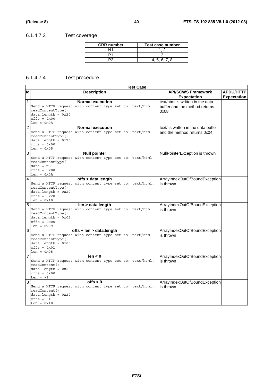# 6.1.4.7.3 Test coverage

| <b>CRR</b> number | Test case number |
|-------------------|------------------|
|                   |                  |
|                   |                  |
|                   | 4.5.6.7.8        |

# 6.1.4.7.4 Test procedure

|                | Test Case                                                                                                                                                             |                                                                           |                                        |
|----------------|-----------------------------------------------------------------------------------------------------------------------------------------------------------------------|---------------------------------------------------------------------------|----------------------------------------|
| Id             | <b>Description</b>                                                                                                                                                    | <b>API/SCWS Framework</b><br><b>Expectation</b>                           | <b>APDU/HTTP</b><br><b>Expectation</b> |
| 1              | <b>Normal execution</b><br>Send a HTTP request with content type set to: text/html.<br>readContentType()<br>$data.length = 0x20$<br>$offset = 0x00$<br>$len = 0x0A$   | text/html is written in the data<br>buffer and the method returns<br>0x08 |                                        |
| $\overline{2}$ | <b>Normal execution</b><br>Send a HTTP request with content type set to: text/html.<br>readContentType()<br>$data.length = 0x20$<br>$offset = 0x00$<br>$len = 0x05$   | text/ is written in the data buffer<br>and the method returns 0x04        |                                        |
| 3              | <b>Null pointer</b><br>Send a HTTP request with content type set to: text/html<br>readContentType()<br>$data = null$<br>$offsets = 0x00$<br>$len = 0x0A$              | NullPointerException is thrown                                            |                                        |
| 4              | offs > data.length<br>Send a HTTP request with content type set to: text/html.<br>readContentType()<br>$data.length = 0x20$<br>$offs = 0x20$<br>$len = 0x10$          | ArrayIndexOutOfBoundException<br>is thrown                                |                                        |
| 5              | len > data.length<br>Send a HTTP request with content type set to: text/html.<br>readContentType()<br>$data.length = 0x05$<br>$offset = 0x00$<br>$len = 0x09$         | ArrayIndexOutOfBoundException<br>is thrown                                |                                        |
| 6              | offs + len > data.length<br>Send a HTTP request with content type set to: text/html.<br>readContentType()<br>$data.length = 0x05$<br>$offsets = 0x01$<br>$len = 0x05$ | ArrayIndexOutOfBoundException<br>is thrown                                |                                        |
| 7              | len < 0<br>Send a HTTP request with content type set to: text/html.<br>readContent()<br>$data.length = 0x20$<br>$offset = 0x00$<br>Len = $-1$                         | ArrayIndexOutOfBoundException<br>is thrown                                |                                        |
| $\infty$       | offs $< 0$<br>Send a HTTP request with content type set to: text/html.<br>readContent()<br>$data.length = 0x20$<br>$offs = -1$<br>Len = $0x10$                        | ArrayIndexOutOfBoundException<br>is thrown                                |                                        |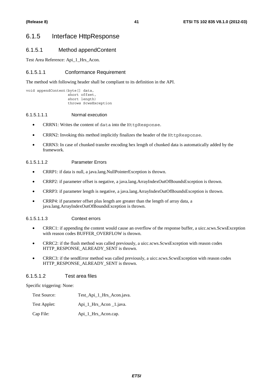# 6.1.5 Interface HttpResponse

### 6.1.5.1 Method appendContent

Test Area Reference: Api\_1\_Hrs\_Acon.

### 6.1.5.1.1 Conformance Requirement

The method with following header shall be compliant to its definition in the API.

```
void appendContent(byte[] data, 
           short offset, 
           short length) 
           throws ScwsException
```
#### 6.1.5.1.1.1 Normal execution

- CRRN1: Writes the content of data into the HttpResponse.
- CRRN2: Invoking this method implicitly finalizes the header of the HttpResponse.
- CRRN3: In case of chunked transfer encoding hex length of chunked data is automatically added by the framework.

#### 6.1.5.1.1.2 Parameter Errors

- CRRP1: if data is null, a java.lang.NullPointerException is thrown.
- CRRP2: if parameter offset is negative, a java.lang.ArrayIndexOutOfBoundsException is thrown.
- CRRP3: if parameter length is negative, a java.lang.ArrayIndexOutOfBoundsException is thrown.
- CRRP4: if parameter offset plus length are greater than the length of array data, a java.lang.ArrayIndexOutOfBoundsException is thrown.

#### 6.1.5.1.1.3 Context errors

- CRRC1: if appending the content would cause an overflow of the response buffer, a uicc.scws.ScwsException with reason codes BUFFER\_OVERFLOW is thrown.
- CRRC2: if the flush method was called previously, a uicc.scws.ScwsException with reason codes HTTP\_RESPONSE\_ALREADY\_SENT is thrown.
- CRRC3: if the sendError method was called previously, a uicc.scws.ScwsException with reason codes HTTP\_RESPONSE\_ALREADY\_SENT is thrown.

#### 6.1.5.1.2 Test area files

Specific triggering: None:

- Test Source: Test\_Api\_1\_Hrs\_Acon.java.
- Test Applet: Api\_1\_Hrs\_Acon \_1.java.

Cap File: Api 1 Hrs Acon.cap.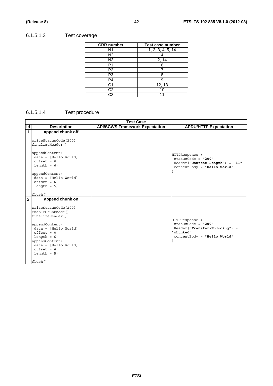# 6.1.5.1.3 Test coverage

| <b>CRR</b> number | <b>Test case number</b> |
|-------------------|-------------------------|
| N <sub>1</sub>    | 1, 2, 3, 4, 5, 14       |
| N <sub>2</sub>    |                         |
| N <sub>3</sub>    | 2, 14                   |
| P1                |                         |
| P2                |                         |
| P3                |                         |
| P <sub>4</sub>    |                         |
| C1                | 12, 13                  |
| $\overline{C2}$   | 10                      |
| CЗ                |                         |

## 6.1.5.1.4 Test procedure

|    | <b>Test Case</b>                                                                                                                                                                                                                                     |                                       |                                                                                                                       |
|----|------------------------------------------------------------------------------------------------------------------------------------------------------------------------------------------------------------------------------------------------------|---------------------------------------|-----------------------------------------------------------------------------------------------------------------------|
| Id | <b>Description</b>                                                                                                                                                                                                                                   | <b>API/SCWS Framework Expectation</b> | <b>APDU/HTTP Expectation</b>                                                                                          |
| 1  | append chunk off<br>writeStatusCode(200)<br>finalizeHeader()                                                                                                                                                                                         |                                       |                                                                                                                       |
|    | appendContent (<br>data = [Hello World]<br>$offset = 0$<br>$length = 6$                                                                                                                                                                              |                                       | HTTPResponse (<br>statusCode = $"200"$<br>Header("Content-Length") = "11"<br>contentBody = "Hello World"              |
|    | appendContent (<br>$data = [Hello World]$<br>$offset = 6$<br>$length = 5$                                                                                                                                                                            |                                       |                                                                                                                       |
|    | flush()                                                                                                                                                                                                                                              |                                       |                                                                                                                       |
| 2  | append chunk on<br>writeStatusCode(200)<br>enableChunkMode()<br>finalizeHeader()<br>appendContent (<br>data = [Hello World]<br>$offset = 0$<br>length = $6)$<br>appendContent (<br>$data = [Hello World]$<br>$offset = 6$<br>$length = 5$<br>flush() |                                       | HTTPResponse (<br>statusCode = $"200"$<br>Header("Transfer-Encoding") =<br>"chunked"<br>$contentBody = "Hello World"$ |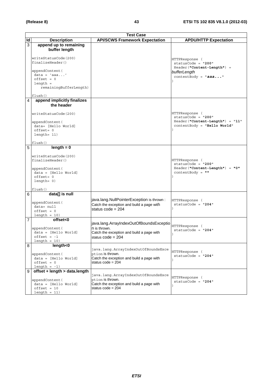|                | <b>Test Case</b>                                               |                                                                                                                |                                                                                             |
|----------------|----------------------------------------------------------------|----------------------------------------------------------------------------------------------------------------|---------------------------------------------------------------------------------------------|
| Id             | <b>Description</b>                                             | <b>API/SCWS Framework Expectation</b>                                                                          | <b>APDU/HTTP Expectation</b>                                                                |
| 3              | append up to remaining<br>buffer length                        |                                                                                                                |                                                                                             |
|                | writeStatusCode(200)<br>finalizeHeader()                       |                                                                                                                | HTTPResponse (<br>statusCode = $"200"$                                                      |
|                | appendContent (<br>$data = 'aaa'$                              |                                                                                                                | Header ("Content-Length") =<br>bufferLength                                                 |
|                | $offset = 0$                                                   |                                                                                                                | contentBody = $"aaa"$                                                                       |
|                | $length =$<br>remainingBufferLength)                           |                                                                                                                |                                                                                             |
|                | flush()                                                        |                                                                                                                |                                                                                             |
| 4              | append implicitly finalizes<br>the header                      |                                                                                                                |                                                                                             |
|                | writeStatusCode(200)                                           |                                                                                                                | HTTPResponse (<br>statusCode = "200"                                                        |
|                | appendContent (<br>data= [Hello World]                         |                                                                                                                | Header("Content-Length") = "11"<br>$contentBody = "Hello World"$                            |
|                | offset= 0<br>$length = 11)$                                    |                                                                                                                |                                                                                             |
|                | flush()                                                        |                                                                                                                |                                                                                             |
| 5              | $length = 0$                                                   |                                                                                                                |                                                                                             |
|                | writeStatusCode(200)<br>finalizeHeader()                       |                                                                                                                | HTTPResponse (<br>$statusCode = "200"$                                                      |
|                | appendContent (<br>$data = [Hello World]$                      |                                                                                                                | $Header('Content-Length") = "0"$<br>contentBody = $^{\blacksquare\blacksquare\blacksquare}$ |
|                | $offset = 0$<br>$length = 0)$                                  |                                                                                                                |                                                                                             |
|                | flush()                                                        |                                                                                                                |                                                                                             |
| 6              | data[] is null                                                 |                                                                                                                |                                                                                             |
|                | appendContent (<br>data= null<br>$offset = 0$<br>$length = 10$ | java.lang.NullPointerException is thrown :<br>Catch the exception and build a page with<br>status code = $204$ | HTTPResponse (<br>statusCode = $"204"$                                                      |
| $\overline{7}$ | offset<0                                                       |                                                                                                                |                                                                                             |
|                |                                                                | java.lang.ArrayIndexOutOfBoundsExceptio<br>n is thrown.                                                        | HTTPResponse (                                                                              |
|                | appendContent (<br>$data = [Hello World]$                      | Catch the exception and build a page with                                                                      | statusCode = $"204"$                                                                        |
|                | $offset = -1$                                                  | status $code = 204$                                                                                            |                                                                                             |
| 8              | $length = 10$<br>length<0                                      |                                                                                                                |                                                                                             |
|                |                                                                | java.lang.ArrayIndexOutOfBoundsExce                                                                            |                                                                                             |
|                | appendContent (                                                | ption is thrown.                                                                                               | HTTPResponse (<br>statusCode = $"204"$                                                      |
|                | $data = [Hello World]$<br>$offset = 0$                         | Catch the exception and build a page with<br>status $code = 204$                                               |                                                                                             |
|                | length $= -1$ )                                                |                                                                                                                |                                                                                             |
| 9              | offset + length > data.length                                  | java.lang.ArrayIndexOutOfBoundsExce                                                                            |                                                                                             |
|                | appendContent (                                                | ption is thrown.                                                                                               | HTTPResponse (<br>$statusCode = "204"$                                                      |
|                | $data = [Hello World]$<br>$offset = 10$                        | Catch the exception and build a page with<br>status code = $204$                                               |                                                                                             |
|                | $length = 11$                                                  |                                                                                                                |                                                                                             |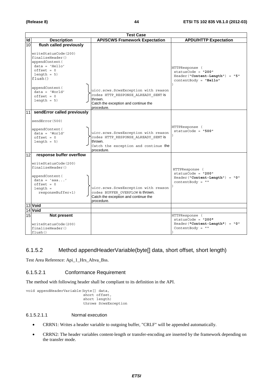|                 | <b>Test Case</b>                                                                                                                 |                                                                                                                                             |                                                                                                     |
|-----------------|----------------------------------------------------------------------------------------------------------------------------------|---------------------------------------------------------------------------------------------------------------------------------------------|-----------------------------------------------------------------------------------------------------|
| <b>Id</b>       | <b>Description</b>                                                                                                               | <b>API/SCWS Framework Expectation</b>                                                                                                       | <b>APDU/HTTP Expectation</b>                                                                        |
| 10              | flush called previously                                                                                                          |                                                                                                                                             |                                                                                                     |
|                 | writeStatusCode(200)<br>finalizeHeader()<br>appendContent (<br>$data = 'Hello'$<br>$offset = 0$<br>$length = 5$<br>flush()       |                                                                                                                                             | HTTPResponse (<br>$statusCode = "200"$<br>Header("Content-Length") = "5"<br>$contentBody = "Hello"$ |
|                 | appendContent (<br>$data = 'World'$<br>$offset = 0$<br>$length = 5$                                                              | uicc.scws.ScwsException with reason<br>codes HTTP RESPONSE ALREADY SENT is<br>thrown.<br>Catch the exception and continue the<br>procedure. |                                                                                                     |
|                 | 11 sendError called previously                                                                                                   |                                                                                                                                             |                                                                                                     |
|                 | sendError(500)<br>appendContent (<br>$data = 'World'$<br>$offset = 0$<br>$length = 5$                                            | uicc.scws.ScwsException with reason<br>codes HTTP RESPONSE ALREADY SENT is<br>thrown.<br>Catch the exception and continue the               | HTTPResponse (<br>$statusCode = "500"$                                                              |
| 12              | response buffer overflow                                                                                                         | procedure.                                                                                                                                  |                                                                                                     |
|                 | writeStatusCode(200)<br>finalizeHeader()<br>appendContent (<br>$data = 'aaa'$<br>$offset = 0$<br>$length =$<br>responseBuffer+1) | uicc.scws.ScwsException with reason<br>codes BUFFER OVERFLOW is thrown.<br>Catch the exception and continue the<br>procedure.               | HTTPResponse (<br>$statusCode = "200"$<br>Header("Content-Length") = "0"<br>contentBody = $""$      |
|                 | 13 Void                                                                                                                          |                                                                                                                                             |                                                                                                     |
|                 | 14 Void                                                                                                                          |                                                                                                                                             |                                                                                                     |
| 15 <sub>l</sub> | Not present<br>writeStatusCode(200)<br>finalizeHeader()                                                                          |                                                                                                                                             | HTTPResponse (<br>$statusCode = "200"$<br>Header("Content-Length") = "0"<br>ContentBody = $""$      |
|                 | flush()                                                                                                                          |                                                                                                                                             |                                                                                                     |

### 6.1.5.2 Method appendHeaderVariable(byte[] data, short offset, short length)

Test Area Reference: Api\_1\_Hrs\_Ahva\_Bss.

#### 6.1.5.2.1 Conformance Requirement

The method with following header shall be compliant to its definition in the API.

```
void appendHeaderVariable(byte[] data, 
                   short offset, 
                   short length) 
                   throws ScwsException
```
#### 6.1.5.2.1.1 Normal execution

- CRRN1: Writes a header variable to outgoing buffer, "CRLF" will be appended automatically.
- CRRN2: The header variables content-length or transfer-encoding are inserted by the framework depending on the transfer mode.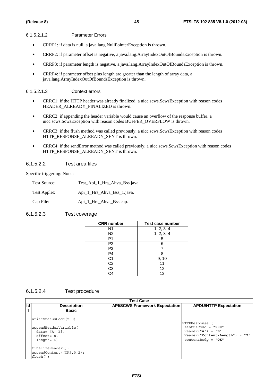#### 6.1.5.2.1.2 Parameter Errors

- CRRP1: if data is null, a java.lang.NullPointerException is thrown.
- CRRP2: if parameter offset is negative, a java.lang.ArrayIndexOutOfBoundsException is thrown.
- CRRP3: if parameter length is negative, a java.lang.ArrayIndexOutOfBoundsException is thrown.
- CRRP4: if parameter offset plus length are greater than the length of array data, a java.lang.ArrayIndexOutOfBoundsException is thrown.

#### 6.1.5.2.1.3 Context errors

- CRRC1: if the HTTP header was already finalized, a uicc.scws.ScwsException with reason codes HEADER\_ALREADY\_FINALIZED is thrown.
- CRRC2: if appending the header variable would cause an overflow of the response buffer, a uicc.scws.ScwsException with reason codes BUFFER\_OVERFLOW is thrown.
- CRRC3: if the flush method was called previously, a uicc.scws.ScwsException with reason codes HTTP\_RESPONSE\_ALREADY\_SENT is thrown.
- CRRC4: if the sendError method was called previously, a uicc.scws.ScwsException with reason codes HTTP\_RESPONSE\_ALREADY\_SENT is thrown.

#### 6.1.5.2.2 Test area files

Specific triggering: None:

| Test Source: | Test_Api_1_Hrs_Ahva_Bss.java.       |
|--------------|-------------------------------------|
| Test Applet: | Api 1 Hrs Ahva Bss 1. <i>java</i> . |
| Cap File:    | Api_1_Hrs_Ahva_Bss.cap.             |

### 6.1.5.2.3 Test coverage

| <b>CRR</b> number | <b>Test case number</b> |
|-------------------|-------------------------|
| N1                | 1, 2, 3, 4              |
| N2                | 1, 2, 3, 4              |
| P1                | 5                       |
| P <sub>2</sub>    | ค                       |
| P3                |                         |
| $\overline{P4}$   | ጸ                       |
| C1                | 9, 10                   |
| C <sub>2</sub>    |                         |
| $\overline{C3}$   | 12                      |
| $\mathbin{\cap}4$ | 13                      |

#### 6.1.5.2.4 Test procedure

|    | Test Case                                                                   |                                       |                                                                                                                           |
|----|-----------------------------------------------------------------------------|---------------------------------------|---------------------------------------------------------------------------------------------------------------------------|
| Id | <b>Description</b>                                                          | <b>API/SCWS Framework Expectation</b> | <b>APDU/HTTP Expectation</b>                                                                                              |
|    | <b>Basic</b>                                                                |                                       |                                                                                                                           |
|    | writeStatusCode(200)                                                        |                                       |                                                                                                                           |
|    | appendHeaderVariable(<br>data= $[A; B]$ ,<br>$offset = 0,$<br>$l$ ength= 4) |                                       | HTTPResponse (<br>$statusCode = "200"$<br>$Header("A") = "B"$<br>$Header('Content-Length") = "2"$<br>$contentBody = "OK"$ |
|    | $finalizeHeader()$ ;<br>appendContent $([OK], 0, 2)$ ;<br>$flush()$ ;       |                                       |                                                                                                                           |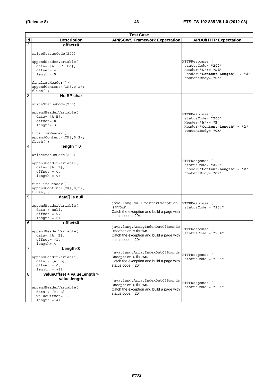|                | <b>Test Case</b>                        |                                                                   |                                                       |
|----------------|-----------------------------------------|-------------------------------------------------------------------|-------------------------------------------------------|
| Id             | <b>Description</b>                      | <b>API/SCWS Framework Expectation</b>                             | <b>APDU/HTTP Expectation</b>                          |
| $\overline{2}$ | offset>0                                |                                                                   |                                                       |
|                |                                         |                                                                   |                                                       |
|                | writeStatusCode(200)                    |                                                                   |                                                       |
|                | appendHeaderVariable(                   |                                                                   | HTTPResponse (                                        |
|                | $data = [A: BC: Dd],$                   |                                                                   | statusCode= "200"                                     |
|                | $offset = 4,$                           |                                                                   | $Header('C") = "Dd"$                                  |
|                | $l$ ength= $5)$                         |                                                                   | $Header('Content-Length") = "2"$<br>contentBody= "OK" |
|                | $finalizeHeader()$ ;                    |                                                                   |                                                       |
|                | appendContent([OK], 0, 2);              |                                                                   |                                                       |
|                | $flush()$ ;                             |                                                                   |                                                       |
| 3              | No SP char                              |                                                                   |                                                       |
|                |                                         |                                                                   |                                                       |
|                | writeStatusCode(200)                    |                                                                   |                                                       |
|                | appendHeaderVariable(                   |                                                                   |                                                       |
|                | $data = [A:B],$                         |                                                                   | HTTPResponse (<br>statusCode= "200"                   |
|                | $offset = 0,$                           |                                                                   | $Header("A") = "B"$                                   |
|                | $l$ enqth= 3)                           |                                                                   | $Header('Content-Length") = "2"$                      |
|                | finalizeHeader();                       |                                                                   | contentBody= "OK"                                     |
|                | appendContent([OK], 0, 2);              |                                                                   |                                                       |
|                | $flush()$ ;                             |                                                                   |                                                       |
| 4              | $length = 0$                            |                                                                   |                                                       |
|                |                                         |                                                                   |                                                       |
|                | writeStatusCode(200)                    |                                                                   |                                                       |
|                | appendHeaderVariable(                   |                                                                   | HTTPResponse (                                        |
|                | $data = [A: B],$                        |                                                                   | statusCode= "200"<br>$Header('Content-Length") = "2"$ |
|                | $offset = 0,$                           |                                                                   | contentBody= "OK"                                     |
|                | $length = 0)$                           |                                                                   |                                                       |
|                | $finalizeHeader()$ ;                    |                                                                   |                                                       |
|                | appendContent([OK], 0, 2);              |                                                                   |                                                       |
|                | $flush()$ ;                             |                                                                   |                                                       |
| 5              | data[] is null                          |                                                                   |                                                       |
|                |                                         | java.lang.NullPointerException                                    | HTTPResponse (                                        |
|                | appendHeaderVariable(<br>$data = null,$ | is thrown.                                                        | $statusCode = "204"$                                  |
|                | $offset = 0,$                           | Catch the exception and build a page with                         |                                                       |
|                | $length = 2)$                           | status code = $204$                                               |                                                       |
| 6              | offset<0                                |                                                                   |                                                       |
|                |                                         | java.lang.ArrayIndexOutOfBounds                                   | HTTPResponse (                                        |
|                | appendHeaderVariable(                   | Exception is thrown.<br>Catch the exception and build a page with | statusCode = $"204"$                                  |
|                | $data = [A: B],$<br>$offset = -1$ ,     | status $code = 204$                                               |                                                       |
|                | $l$ enqth= 4)                           |                                                                   |                                                       |
| $\overline{7}$ | $L$ ength $<$ 0                         |                                                                   |                                                       |
|                |                                         | java.lang.ArrayIndexOutOfBounds                                   | HTTPResponse (                                        |
|                | appendHeaderVariable(                   | Exception is thrown.                                              | $statusCode = "204"$                                  |
|                | $data = [A: B],$<br>$offset = 0$ ,      | Catch the exception and build a page with<br>status code = $204$  |                                                       |
|                | length $= -1$ )                         |                                                                   |                                                       |
| 8              | valueOffset + valueLength >             |                                                                   |                                                       |
|                | value.length                            | java.lang.ArrayIndexOutOfBounds                                   |                                                       |
|                |                                         | Exception is thrown.                                              | HTTPResponse (                                        |
|                | appendHeaderVariable(                   | Catch the exception and build a page with                         | $statusCode = "204"$                                  |
|                | $data = [A: B],$                        | status code = $204$                                               |                                                       |
|                | valueOffset= 1,<br>length = $4)$        |                                                                   |                                                       |
|                |                                         |                                                                   |                                                       |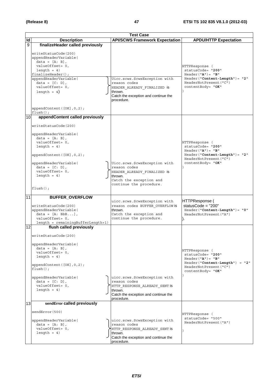|                 | <b>Test Case</b>                                                                                                                                                                                                                                          |                                                                                                                                                |                                                                                                                                               |
|-----------------|-----------------------------------------------------------------------------------------------------------------------------------------------------------------------------------------------------------------------------------------------------------|------------------------------------------------------------------------------------------------------------------------------------------------|-----------------------------------------------------------------------------------------------------------------------------------------------|
| Id              | <b>Description</b>                                                                                                                                                                                                                                        | <b>API/SCWS Framework Expectation</b>                                                                                                          | <b>APDU/HTTP Expectation</b>                                                                                                                  |
| 9               | finalizeHeader called previously                                                                                                                                                                                                                          |                                                                                                                                                |                                                                                                                                               |
|                 | writeStatusCode(200)<br>appendHeaderVariable(<br>$data = [A: B],$<br>valueOffset= 0,<br>$length = 4)$<br>finalizeHeader();<br>appendHeaderVariable(<br>$data = [C: D],$<br>valueOffset= 0,<br>length = $4$ )<br>appendContent([OK], 0, 2);<br>$flush()$ ; | Uicc.scws.ScwsException with<br>reason codes<br>HEADER ALREADY FINALIZED is<br>thrown.<br>Catch the exception and continue the<br>procedure.   | HTTPResponse (<br>statusCode= "200"<br>$Header("A") = "B"$<br>$Header('Content-Length") = "2"$<br>HeaderNotPresent ("C")<br>contentBody= "OK" |
| 10 <sup>1</sup> | appendContent called previously                                                                                                                                                                                                                           |                                                                                                                                                |                                                                                                                                               |
|                 |                                                                                                                                                                                                                                                           |                                                                                                                                                |                                                                                                                                               |
|                 | writeStatusCode(200)<br>appendHeaderVariable(<br>$data = [A: B],$<br>valueOffset= 0,<br>$l$ ength = 4)<br>appendContent([OK], 0, 2);<br>appendHeaderVariable(<br>$data = [C: D],$<br>valueOffset= 0,<br>$length = 4)$<br>$flush()$ ;                      | Uicc.scws.ScwsException with<br>reason codes<br>HEADER ALREADY FINALIZED is<br>thrown.<br>Catch the exception and<br>continue the procedure.   | HTTPResponse (<br>statusCode= "200"<br>$Header("A") = "B"$<br>$Header('Content-Length") = "2"$<br>HeaderNotPresent ("C")<br>contentBody= "OK" |
| 11              | <b>BUFFER_OVERFLOW</b>                                                                                                                                                                                                                                    |                                                                                                                                                |                                                                                                                                               |
|                 | writeStatusCode(200)<br>appendHeaderVariable(<br>$data = [A: BbB],$<br>valueOffset= 0,<br>length = remainingBufferLength+1)                                                                                                                               | uicc.scws.ScwsException with<br>reason codes BUFFER OVERFLOW is<br>thrown.<br>Catch the exception and<br>continue the procedure.               | HTTPResponse (<br>statusCode = $"200"$<br>$Header('Content-Length") = "0"$<br>HeaderNotPresent ("A")<br>Ι.                                    |
| 12              | flush called previously                                                                                                                                                                                                                                   |                                                                                                                                                |                                                                                                                                               |
|                 | writeStatusCode(200)<br>appendHeaderVariable(<br>$data = [A: B],$<br>valueOffset= 0,<br>length $= 4$ )<br>appendContent([OK], 0, 2);<br>$flush()$ ;<br>appendHeaderVariable(<br>$data = [C: D],$<br>valueOffset= 0,<br>length = $4)$                      | uicc.scws.ScwsException with<br>reason codes<br>HTTP RESPONSE ALREADY SENT is<br>thrown.<br>Catch the exception and continue the<br>procedure. | HTTPResponse (<br>statusCode= "200"<br>$Header('A") = "B"$<br>$Header("Content-Length") = "2"$<br>HeaderNotPresent ("C")<br>contentBody= "OK" |
| 13              | sendError called previously                                                                                                                                                                                                                               |                                                                                                                                                |                                                                                                                                               |
|                 | sendError(500)<br>appendHeaderVariable(<br>$data = [A: B],$<br>valueOffset= 0,<br>$length = 4)$                                                                                                                                                           | uicc.scws.ScwsException with<br>reason codes<br>HTTP RESPONSE ALREADY SENT is<br>thrown.<br>Catch the exception and continue the<br>procedure. | HTTPResponse (<br>statusCode= "500"<br>HeaderNotPresent ("A")                                                                                 |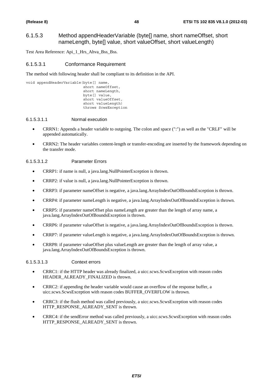### 6.1.5.3 Method appendHeaderVariable (byte[] name, short nameOffset, short nameLength, byte[] value, short valueOffset, short valueLength)

Test Area Reference: Api\_1\_Hrs\_Ahva\_Bss\_Bss.

#### 6.1.5.3.1 Conformance Requirement

The method with following header shall be compliant to its definition in the API.

```
void appendHeaderVariable(byte[] name, 
                   short nameOffset, 
                   short nameLength, 
                   byte[] value, 
                  short valueOffset,
                   short valueLength) 
                   throws ScwsException
```
#### 6.1.5.3.1.1 Normal execution

- CRRN1: Appends a header variable to outgoing. The colon and space (":") as well as the "CRLF" will be appended automatically.
- CRRN2: The header variables content-length or transfer-encoding are inserted by the framework depending on the transfer mode.

#### 6.1.5.3.1.2 Parameter Errors

- CRRP1: if name is null, a java.lang.NullPointerException is thrown.
- CRRP2: if value is null, a java.lang.NullPointerException is thrown.
- CRRP3: if parameter nameOffset is negative, a java.lang.ArrayIndexOutOfBoundsException is thrown.
- CRRP4: if parameter nameLength is negative, a java.lang.ArrayIndexOutOfBoundsException is thrown.
- CRRP5: if parameter nameOffset plus nameLength are greater than the length of array name, a java.lang.ArrayIndexOutOfBoundsException is thrown.
- CRRP6: if parameter valueOffset is negative, a java.lang.ArrayIndexOutOfBoundsException is thrown.
- CRRP7: if parameter valueLength is negative, a java.lang.ArrayIndexOutOfBoundsException is thrown.
- CRRP8: if parameter valueOffset plus valueLength are greater than the length of array value, a java.lang.ArrayIndexOutOfBoundsException is thrown.

#### 6.1.5.3.1.3 Context errors

- CRRC1: if the HTTP header was already finalized, a uicc.scws.ScwsException with reason codes HEADER\_ALREADY\_FINALIZED is thrown.
- CRRC2: if appending the header variable would cause an overflow of the response buffer, a uicc.scws.ScwsException with reason codes BUFFER\_OVERFLOW is thrown.
- CRRC3: if the flush method was called previously, a uicc.scws.ScwsException with reason codes HTTP\_RESPONSE\_ALREADY\_SENT is thrown.
- CRRC4: if the sendError method was called previously, a uicc.scws.ScwsException with reason codes HTTP\_RESPONSE\_ALREADY\_SENT is thrown.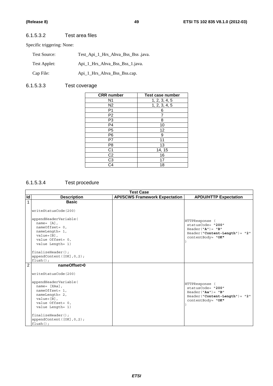### 6.1.5.3.2 Test area files

Specific triggering: None:

| Test Source: | Test_Api_1_Hrs_Ahva_Bss_Bss .java. |
|--------------|------------------------------------|
| Test Applet: | Api_1_Hrs_Ahva_Bss_Bss_1.java.     |
| Cap File:    | Api_1_Hrs_Ahva_Bss_Bss.cap.        |

# 6.1.5.3.3 Test coverage

| <b>CRR</b> number      | <b>Test case number</b> |
|------------------------|-------------------------|
| N1                     | 1, 2, 3, 4, 5           |
| N <sub>2</sub>         | 1, 2, 3, 4, 5           |
| P <sub>1</sub>         | 6                       |
| P <sub>2</sub>         | 7                       |
| P3                     | 8                       |
| P4                     | 10                      |
| P <sub>5</sub>         | 12                      |
| P <sub>6</sub>         | 9                       |
| P7                     | 11                      |
| P8                     | 13                      |
| C <sub>1</sub>         | 14, 15                  |
| $\overline{C2}$        | 16                      |
| $\overline{\text{C3}}$ | 17                      |
| $\overline{\text{C4}}$ | 18                      |

# 6.1.5.3.4 Test procedure

|                | <b>Test Case</b>                                                                                                                                                                                                                                          |                                       |                                                                                                                          |
|----------------|-----------------------------------------------------------------------------------------------------------------------------------------------------------------------------------------------------------------------------------------------------------|---------------------------------------|--------------------------------------------------------------------------------------------------------------------------|
| Id             | <b>Description</b>                                                                                                                                                                                                                                        | <b>API/SCWS Framework Expectation</b> | <b>APDU/HTTP Expectation</b>                                                                                             |
| 1              | <b>Basic</b><br>writeStatusCode(200)                                                                                                                                                                                                                      |                                       |                                                                                                                          |
|                | appendHeaderVariable(<br>$name = [A]$ ,<br>$nameOffset = 0$ ,<br>nameLength= 1,<br>$value = [B]$ ,<br>value Offset= $0,$<br>value Length= 1)                                                                                                              |                                       | <b>HTTPResponse</b><br>statusCode= "200"<br>$Header("A") = "B"$<br>$Header('Content-Length") = "2"$<br>contentBody= "OK" |
|                | $finalizeHeader()$ ;<br>appendContent $([OK], 0, 2)$ ;<br>$flush()$ ;                                                                                                                                                                                     |                                       |                                                                                                                          |
| $\overline{2}$ | nameOffset>0<br>writeStatusCode(200)<br>appendHeaderVariable(<br>$name = [XAa]$ ,<br>nameOffset= 1,<br>nameLength= 2,<br>$value = [B]$ ,<br>value Offset= 0,<br>value Length= 1)<br>$finalizeHeader()$ ;<br>appendContent $([OK], 0, 2)$ ;<br>$flush()$ ; |                                       | HTTPResponse<br>statusCode= "200"<br>$Header('Aa") = "B"$<br>$Header('Content-Length") = "2"$<br>contentBody= "OK"       |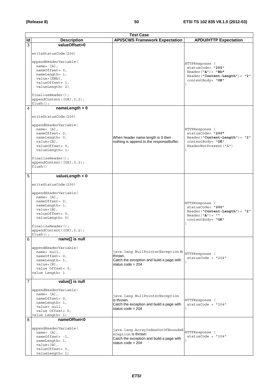|                | <b>Test Case</b>                                                  |                                           |                                  |
|----------------|-------------------------------------------------------------------|-------------------------------------------|----------------------------------|
| Id             | <b>Description</b>                                                | <b>API/SCWS Framework Expectation</b>     | <b>APDU/HTTP Expectation</b>     |
| 3              | valueOffset>0                                                     |                                           |                                  |
|                | writeStatusCode(200)                                              |                                           |                                  |
|                | appendHeaderVariable(                                             |                                           | HTTPResponse (                   |
|                | name= $[A]$ ,                                                     |                                           | statusCode= "200"                |
|                | nameOffset= 0,<br>nameLength= 1,                                  |                                           | $Header('A") = "Bb"$             |
|                | $value = [XBb]$ ,                                                 |                                           | Header("Content-Length")= "2"    |
|                | valueOffset= 1,                                                   |                                           | contentBody= "OK"                |
|                | valueLength= 2)                                                   |                                           |                                  |
|                | $finalizeHeader()$ ;<br>appendContent([OK], 0, 2);<br>$flush()$ ; |                                           |                                  |
| 4              | $nameLength = 0$                                                  |                                           |                                  |
|                |                                                                   |                                           |                                  |
|                | writeStatusCode(200)                                              |                                           |                                  |
|                | appendHeaderVariable(                                             |                                           |                                  |
|                | name= $[A]$ ,                                                     |                                           | HTTPResponse (                   |
|                | $nameOffset = 0$ ,                                                |                                           | statusCode= "200"                |
|                | nameLength= 0,                                                    | When header name length is 0 then         | $Header('Content-Length") = "2"$ |
|                | $value = [B]$ ,                                                   | nothing is append to the responseBuffer.  | contentBody= "OK"                |
|                | valueOffset= 0,<br>valueLength= 1)                                |                                           | HeaderNotPresent ("A")           |
|                |                                                                   |                                           |                                  |
|                | $finalizeHeader()$ ;                                              |                                           |                                  |
|                | appendContent([OK], 0, 2);                                        |                                           |                                  |
|                | flush()                                                           |                                           |                                  |
|                |                                                                   |                                           |                                  |
| $\sqrt{5}$     | valueLength = $0$                                                 |                                           |                                  |
|                | writeStatusCode(200)                                              |                                           |                                  |
|                | appendHeaderVariable(                                             |                                           |                                  |
|                | name= $[A]$ ,                                                     |                                           |                                  |
|                | nameOffset= 0,                                                    |                                           | HTTPResponse (                   |
|                | nameLength= 1,<br>$value = [B]$ ,                                 |                                           | statusCode= "200"                |
|                | valueOffset= 0,                                                   |                                           | $Header("Content-Length") = "2"$ |
|                | valueLength= 0)                                                   |                                           | $Header("A") = ""$               |
|                |                                                                   |                                           | contentBody= "OK"                |
|                | $finalizeHeader()$ ;                                              |                                           |                                  |
|                | appendContent([OK], 0, 2);                                        |                                           |                                  |
| 6              | $flush()$ ;<br>name[] is null                                     |                                           |                                  |
|                |                                                                   |                                           |                                  |
|                | appendHeaderVariable(                                             |                                           |                                  |
|                | $name = null$ ,                                                   | java.lang.NullPointerException is         | HTTPResponse (                   |
|                | $nameOffset = 0.$                                                 | thrown.                                   | $statusCode = "204"$             |
|                | nameLength= 1,                                                    | Catch the exception and build a page with |                                  |
|                | $value = [B]$ ,<br>value Offset= 0,                               | status code = $204$                       |                                  |
|                | value Length= 1                                                   |                                           |                                  |
|                |                                                                   |                                           |                                  |
| $\overline{7}$ | value[] is null                                                   |                                           |                                  |
|                | appendHeaderVariable(                                             |                                           |                                  |
|                | name= $[A]$ ,                                                     | java.lang.NullPointerException            |                                  |
|                | nameOffset= 0,                                                    | is thrown.                                | HTTPResponse (                   |
|                | nameLength= 1,                                                    | Catch the exception and build a page with | $statusCode = "204"$             |
|                | value= null,                                                      | status code = $204$                       |                                  |
|                | value Offset= 0,<br>value Length= 1)                              |                                           |                                  |
| 8              | nameOffset<0                                                      |                                           |                                  |
|                |                                                                   |                                           |                                  |
|                | appendHeaderVariable(                                             | java.lang.ArrayIndexOutOfBoundsE          |                                  |
|                | name= $[A]$ ,                                                     | xception is thrown.                       | HTTPResponse (                   |
|                | $nameOffset = -1$ ,                                               | Catch the exception and build a page with | $statusCode = "204"$             |
|                | nameLength= 1,                                                    | status code = $204$                       |                                  |
|                | $value = [B]$ ,                                                   |                                           |                                  |
|                | valueOffset= 0,<br>valueLength= 1)                                |                                           |                                  |
|                |                                                                   |                                           |                                  |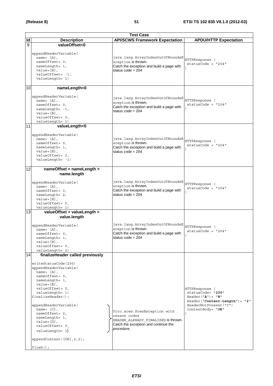|                          | <b>Test Case</b>                                                                                                                                                                                                                                                                                                                                                                                                |                                                                                                                                           |                                                                                                                                               |
|--------------------------|-----------------------------------------------------------------------------------------------------------------------------------------------------------------------------------------------------------------------------------------------------------------------------------------------------------------------------------------------------------------------------------------------------------------|-------------------------------------------------------------------------------------------------------------------------------------------|-----------------------------------------------------------------------------------------------------------------------------------------------|
| $\overline{\mathsf{Id}}$ | <b>Description</b>                                                                                                                                                                                                                                                                                                                                                                                              | <b>API/SCWS Framework Expectation</b>                                                                                                     | <b>APDU/HTTP Expectation</b>                                                                                                                  |
| 9                        | valueOffset<0<br>appendHeaderVariable(<br>$name = [A],$<br>nameOffset= 0,<br>nameLength= 1,<br>$value = [B]$ ,<br>$valueOffset = -1,$<br>valueLength= 1)                                                                                                                                                                                                                                                        | java.lang.ArrayIndexOutOfBoundsE<br>xception is thrown.<br>Catch the exception and build a page with<br>status code = $204$               | HTTPResponse (<br>$statusCode = "204"$                                                                                                        |
| 10                       | nameLength<0<br>appendHeaderVariable(<br>name= $[A]$ ,<br>nameOffset= 0,<br>$nameLength = -1,$<br>$value = [B]$ ,<br>valueOffset= 0,<br>valueLength= 1)                                                                                                                                                                                                                                                         | java.lang.ArrayIndexOutOfBoundsE<br>xception is thrown.<br>Catch the exception and build a page with<br>status $code = 204$               | HTTPResponse (<br>$statusCode = "204"$                                                                                                        |
| 11                       | valueLength<0<br>appendHeaderVariable(<br>name= $[A]$ ,<br>nameOffset= 0,<br>nameLength= 1,<br>$value = [B]$ ,<br>valueOffset= 0,<br>$valueLength = -1)$                                                                                                                                                                                                                                                        | java.lang.ArrayIndexOutOfBoundsE<br>xception is thrown.<br>Catch the exception and build a page with<br>status code = $204$               | HTTPResponse (<br>$statusCode = "204"$                                                                                                        |
| 12                       | nameOffset + nameLength ><br>name.length<br>appendHeaderVariable(<br>$name = [A],$<br>nameOffset= 0,<br>nameLength= 2,<br>$value = [B]$ ,<br>valueOffset= 0,<br>valueLength= 1)                                                                                                                                                                                                                                 | java.lang.ArrayIndexOutOfBoundsE<br>xception is thrown.<br>Catch the exception and build a page with<br>status $code = 204$               | HTTPResponse (<br>$statusCode = "204"$                                                                                                        |
| 13                       | valueOffset + valueLength ><br>value.length<br>appendHeaderVariable(<br>$name = [A],$<br>$nameOffset = 0$ ,<br>nameLength= 1,<br>$value = [B]$ ,<br>valueOffset= 0,<br>valueLength= 2)                                                                                                                                                                                                                          | java.lang.ArrayIndexOutOfBoundsE<br>xception is thrown.<br>Catch the exception and build a page with<br>status $code = 204$               | HTTPResponse (<br>$statusCode = "204"$                                                                                                        |
| 14                       | finalizeHeader called previously<br>writeStatusCode(200)<br>appendHeaderVariable(<br>$name = [A]$ ,<br>nameOffset= 0,<br>nameLength= 1,<br>$value = [B]$ ,<br>valueOffset= 0,<br>valueLength= 1)<br>$finalizeHeader()$ ;<br>appendHeaderVariable(<br>name= $[C]$ ,<br>nameOffset= 0,<br>nameLength= 1,<br>$value = [D]$ ,<br>valueOffset= 0,<br>$valueLength = 1)$<br>appendContent([OK], 0, 2);<br>$flush()$ ; | Uicc.scws.ScwsException with<br>reason codes<br>HEADER ALREADY FINALIZED is thrown.<br>Catch the exception and continue the<br>procedure. | HTTPResponse (<br>statusCode= "200"<br>$Header("A") = "B"$<br>$Header('Content-Length') = "2"$<br>HeaderNotPresent ("C")<br>contentBody= "OK" |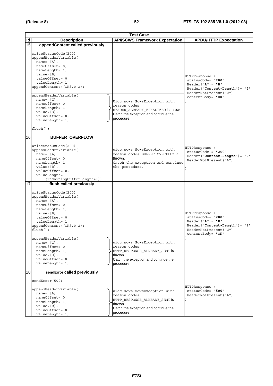|                          | <b>Test Case</b>                                                                                                                                                                                                                                                                                                                                                                |                                                                                                                                                |                                                                                                                                                |
|--------------------------|---------------------------------------------------------------------------------------------------------------------------------------------------------------------------------------------------------------------------------------------------------------------------------------------------------------------------------------------------------------------------------|------------------------------------------------------------------------------------------------------------------------------------------------|------------------------------------------------------------------------------------------------------------------------------------------------|
| $\overline{\mathsf{Id}}$ | <b>Description</b>                                                                                                                                                                                                                                                                                                                                                              | <b>API/SCWS Framework Expectation</b>                                                                                                          | <b>APDU/HTTP Expectation</b>                                                                                                                   |
| $\overline{15}$          | appendContent called previously<br>writeStatusCode(200)<br>appendHeaderVariable(<br>name= $[A]$ ,<br>nameOffset= 0,<br>nameLength= 1,<br>$value = [B]$ ,<br>valueOffset= 0,<br>valueLength= 1)<br>appendContent([OK], 0, 2);<br>appendHeaderVariable(<br>name= $[C]$ ,<br>nameOffset= 0,<br>nameLength= 1,<br>$value = [D]$ ,<br>valueOffset= 0,<br>valueLength= 1)             | Uicc.scws.ScwsException with<br>reason codes<br>HEADER ALREADY FINALIZED is thrown.<br>Catch the exception and continue the<br>procedure.      | HTTPResponse (<br>statusCode= "200"<br>$Header("A") = "B"$<br>Header("Content-Length")= "2"<br>HeaderNotPresent ("C")<br>contentBody= "OK"     |
|                          | $flush()$ ;                                                                                                                                                                                                                                                                                                                                                                     |                                                                                                                                                |                                                                                                                                                |
| 16                       | <b>BUFFER_OVERFLOW</b><br>writeStatusCode(200)<br>appendHeaderVariable(<br>name= $[A]$ ,<br>nameOffset= 0,<br>nameLength= 1,<br>$value = [B]$ ,<br>valueOffset= 0,<br>valueLength=<br>(remainingBufferLength+1))                                                                                                                                                                | uicc.scws.ScwsException with<br>reason codes BUFFER OVERFLOW is<br>thrown.<br>Catch the exception and continue<br>the procedure.               | HTTPResponse (<br>statusCode = "200"<br>$Header('Content-Length") = "0"$<br>HeaderNotPresent ("A")                                             |
| 17                       | flush called previously<br>writeStatusCode(200)<br>appendHeaderVariable(<br>$name = [A],$<br>nameOffset= 0,<br>nameLength= 1,<br>$value = [B]$ ,<br>valueOffset= 0,<br>valueLength= 1)<br>appendContent ([OK], 0, 2);<br>$flush()$ ;<br>appendHeaderVariable(<br>name= $[C]$ ,<br>$nameOffset = 0$ ,<br>nameLength= 1,<br>$value = [D]$ ,<br>valueOffset= 0,<br>valueLength= 1) | uicc.scws.ScwsException with<br>reason codes<br>HTTP RESPONSE ALREADY SENT is<br>thrown.<br>Catch the exception and continue the<br>procedure. | HTTPResponse (<br>statusCode= "200"<br>$Header(''A") = "B"$<br>$Header("Content-Length") = "2"$<br>HeaderNotPresent ("C")<br>contentBody= "OK" |
| 18                       | sendError called previously<br>sendError (500)<br>appendHeaderVariable(<br>$name = [A],$<br>$nameOffset = 0$ ,<br>nameLength= 1,<br>$value = [B]$ ,<br>valueOffset= 0,<br>valueLength= 1)                                                                                                                                                                                       | uicc.scws.ScwsException with<br>reason codes<br>HTTP RESPONSE ALREADY SENT is<br>thrown.<br>Catch the exception and continue the<br>procedure. | HTTPResponse (<br>statusCode= "500"<br>HeaderNotPresent ("A")                                                                                  |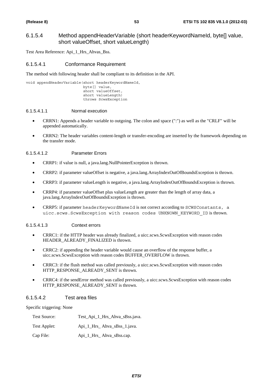### 6.1.5.4 Method appendHeaderVariable (short headerKeywordNameId, byte[] value, short valueOffset, short valueLength)

Test Area Reference: Api\_1\_Hrs\_Ahvas\_Bss.

#### 6.1.5.4.1 Conformance Requirement

The method with following header shall be compliant to its definition in the API.

void appendHeaderVariable(short headerKeywordNameId, byte[] value, short valueOffset, short valueLength) throws ScwsException

#### 6.1.5.4.1.1 Normal execution

- CRRN1: Appends a header variable to outgoing. The colon and space (":") as well as the "CRLF" will be appended automatically.
- CRRN2: The header variables content-length or transfer-encoding are inserted by the framework depending on the transfer mode.

#### 6.1.5.4.1.2 Parameter Errors

- CRRP1: if value is null, a java.lang.NullPointerException is thrown.
- CRRP2: if parameter valueOffset is negative, a java.lang.ArrayIndexOutOfBoundsException is thrown.
- CRRP3: if parameter valueLength is negative, a java.lang.ArrayIndexOutOfBoundsException is thrown.
- CRRP4: if parameter valueOffset plus valueLength are greater than the length of array data, a java.lang.ArrayIndexOutOfBoundsException is thrown.
- CRRP5: if parameter headerKeywordNameId is not correct according to SCWSConstants, a uicc.scws.ScwsException with reason codes UNKNOWN\_KEYWORD\_ID is thrown.

#### 6.1.5.4.1.3 Context errors

- CRRC1: if the HTTP header was already finalized, a uicc.scws.ScwsException with reason codes HEADER\_ALREADY\_FINALIZED is thrown.
- CRRC2: if appending the header variable would cause an overflow of the response buffer, a uicc.scws.ScwsException with reason codes BUFFER\_OVERFLOW is thrown.
- CRRC3: if the flush method was called previously, a uicc.scws.ScwsException with reason codes HTTP\_RESPONSE\_ALREADY\_SENT is thrown.
- CRRC4: if the sendError method was called previously, a uicc.scws.ScwsException with reason codes HTTP\_RESPONSE\_ALREADY\_SENT is thrown.

#### 6.1.5.4.2 Test area files

Specific triggering: None

| Test Source: | Test_Api_1_Hrs_Ahva_sBss.java. |
|--------------|--------------------------------|
| Test Applet: | Api_1_Hrs_Ahva_sBss_1.java.    |
| Cap File:    | Api_1_Hrs_Ahva_sBss.cap.       |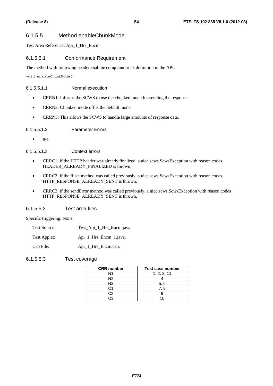### 6.1.5.5 Method enableChunkMode

Test Area Reference: Api\_1\_Hrs\_Encm.

#### 6.1.5.5.1 Conformance Requirement

The method with following header shall be compliant to its definition in the API.

void enableChunkMode()

#### 6.1.5.5.1.1 Normal execution

- CRRN1: Informs the SCWS to use the chunked mode for sending the response.
- CRRN2: Chunked mode off is the default mode.
- CRRN3: This allows the SCWS to handle large amounts of response data.

#### 6.1.5.5.1.2 Parameter Errors

 $\bullet$   $n/a$ .

6.1.5.5.1.3 Context errors

- CRRC1: if the HTTP header was already finalized, a uicc.scws.ScwsException with reason codes HEADER\_ALREADY\_FINALIZED is thrown.
- CRRC2: if the flush method was called previously, a uicc.scws.ScwsException with reason codes HTTP\_RESPONSE\_ALREADY\_SENT is thrown.
- CRRC3: if the sendError method was called previously, a uicc.scws.ScwsException with reason codes HTTP\_RESPONSE\_ALREADY\_SENT is thrown.

#### 6.1.5.5.2 Test area files

Specific triggering: None:

- Test Source: Test\_Api\_1\_Hrs\_Encm.java.
- Test Applet: Api\_1\_Hrs\_Encm\_1.java.

Cap File: Api\_1\_Hrs\_Encm.cap.

6.1.5.5.3 Test coverage

| <b>CRR</b> number | Test case number |
|-------------------|------------------|
| N1                | 1, 2, 3, 11      |
| N2                |                  |
| N3                | 5.6              |
| ่า:1              | ′8               |
| פר                |                  |
|                   |                  |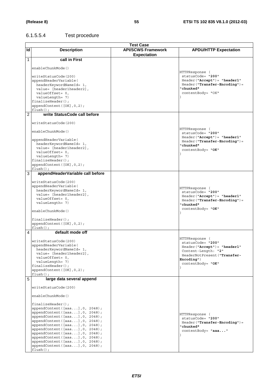# 6.1.5.5.4 Test procedure

|                |                                                                   | <b>Test Case</b>                                |                                                                   |
|----------------|-------------------------------------------------------------------|-------------------------------------------------|-------------------------------------------------------------------|
| <b>Id</b>      | <b>Description</b>                                                | <b>API/SCWS Framework</b><br><b>Expectation</b> | <b>APDU/HTTP Expectation</b>                                      |
| 1              | call in First                                                     |                                                 |                                                                   |
|                | enableChunkMode()                                                 |                                                 | HTTPResponse (                                                    |
|                | writeStatusCode(200)                                              |                                                 | statusCode= "200"                                                 |
|                | appendHeaderVariable(                                             |                                                 | $Header('Accept") = "header1"$                                    |
|                | headerKeywordNameId= 1,                                           |                                                 | Header("Transfer-Encoding")=<br>"chunked"                         |
|                | value= [header1header2],<br>valueOffset= 0,                       |                                                 | contentBody= "OK"                                                 |
|                | valueLength= 7)                                                   |                                                 |                                                                   |
|                | $finalizeHeader()$ ;                                              |                                                 |                                                                   |
|                | appendContent ([OK], 0, 2);<br>$flush()$ ;                        |                                                 |                                                                   |
| $\overline{c}$ | write StatusCode call before                                      |                                                 |                                                                   |
|                | writeStatusCode(200)                                              |                                                 |                                                                   |
|                | enableChunkMode()                                                 |                                                 | HTTPResponse (<br>statusCode= "200"                               |
|                | appendHeaderVariable(                                             |                                                 | $Header('Accept") = "header1"$<br>$Header("Transfer-Encoding") =$ |
|                | headerKeywordNameId= 1,                                           |                                                 | "chunked"                                                         |
|                | value= [header1header2],<br>valueOffset= 0,                       |                                                 | contentBody= "OK"                                                 |
|                | valueLength= 7)                                                   |                                                 |                                                                   |
|                | $finalizeHeader()$ ;                                              |                                                 |                                                                   |
|                | appendContent ([OK], 0, 2);<br>$flush()$ ;                        |                                                 |                                                                   |
| 3              | appendHeaderVariable call before                                  |                                                 |                                                                   |
|                | writeStatusCode(200)                                              |                                                 |                                                                   |
|                | appendHeaderVariable(                                             |                                                 | HTTPResponse (                                                    |
|                | headerKeywordNameId= 1,<br>value= [header1header2],               |                                                 | statusCode= "200"                                                 |
|                | valueOffset= 0,                                                   |                                                 | Header ("Accept") = "header1"<br>$Header("Transfer-Encoding") =$  |
|                | valueLength= 7)                                                   |                                                 | "chunked"                                                         |
|                | enableChunkMode()                                                 |                                                 | contentBody= "OK"                                                 |
|                |                                                                   |                                                 |                                                                   |
|                | $finalizeHeader()$ ;                                              |                                                 |                                                                   |
|                | appendContent ([OK], 0, 2);<br>$flush()$ ;                        |                                                 |                                                                   |
| 4              | default mode off                                                  |                                                 |                                                                   |
|                |                                                                   |                                                 | HTTPResponse (                                                    |
|                | writeStatusCode(200)<br>appendHeaderVariable(                     |                                                 | statusCode= "200"                                                 |
|                | headerKeywordNameld= 1,                                           |                                                 | $Header('Accept") = "header1"$                                    |
|                | value= [header1header2],                                          |                                                 | Content-Length: "2"<br>HeaderNotPresent ("Transfer-               |
|                | valueOffset= 0,<br>valueLength= 7)                                |                                                 | Encoding")                                                        |
|                | $finalizeHeader()$ ;                                              |                                                 | contentBody= "OK"                                                 |
|                | appendContent ([OK], 0, 2);<br>$flush()$ ;                        |                                                 |                                                                   |
| 5              | large data several append                                         |                                                 |                                                                   |
|                | writeStatusCode(200)                                              |                                                 |                                                                   |
|                | enableChunkMode()                                                 |                                                 |                                                                   |
|                | $finalizeHeader()$ ;                                              |                                                 |                                                                   |
|                | appendContent ([aaa], 0, 2048);                                   |                                                 |                                                                   |
|                | appendContent([aaa], 0, 2048);                                    |                                                 | HTTPResponse (                                                    |
|                | appendContent([aaa], 0, 2048);                                    |                                                 | statusCode= "200"                                                 |
|                | appendContent([aaa], 0, 2048);<br>appendContent ([aaa], 0, 2048); |                                                 | $Header("Transfer-Encoding") =$                                   |
|                | appendContent([aaa], 0, 2048);                                    |                                                 | "chunked <b>"</b><br>contentBody= "aaa"                           |
|                | appendContent([aaa], 0, 2048);                                    |                                                 |                                                                   |
|                | appendContent([aaa], 0, 2048);                                    |                                                 |                                                                   |
|                | appendContent([aaa], 0, 2048);<br>appendContent([aaa], 0, 2048);  |                                                 |                                                                   |
|                | $flush()$ ;                                                       |                                                 |                                                                   |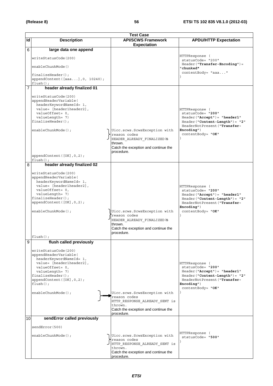|                | <b>Test Case</b>                                                                                                                                                                                                                      |                                                                                                                                                |                                                                                                                                                                                     |
|----------------|---------------------------------------------------------------------------------------------------------------------------------------------------------------------------------------------------------------------------------------|------------------------------------------------------------------------------------------------------------------------------------------------|-------------------------------------------------------------------------------------------------------------------------------------------------------------------------------------|
| ld             | <b>Description</b>                                                                                                                                                                                                                    | <b>API/SCWS Framework</b>                                                                                                                      | <b>APDU/HTTP Expectation</b>                                                                                                                                                        |
|                |                                                                                                                                                                                                                                       | <b>Expectation</b>                                                                                                                             |                                                                                                                                                                                     |
| 6              | large data one append<br>writeStatusCode(200)                                                                                                                                                                                         |                                                                                                                                                | HTTPResponse (<br>statusCode= "200"                                                                                                                                                 |
|                | enableChunkMode()                                                                                                                                                                                                                     |                                                                                                                                                | $Header("Transfer-Encoding") =$<br>"chunked"<br>contentBody= "aaa"                                                                                                                  |
|                | $finalizeHeader()$ ;<br>appendContent ([aaa], 0, 10240);<br>$flush()$ ;                                                                                                                                                               |                                                                                                                                                |                                                                                                                                                                                     |
| $\overline{7}$ | header already finalized 01                                                                                                                                                                                                           |                                                                                                                                                |                                                                                                                                                                                     |
|                | writeStatusCode(200)<br>appendHeaderVariable(<br>headerKeywordNameId= 1,<br>value= [header1header2],<br>valueOffset= 0,<br>valueLength= 7)<br>$finalizeHeader()$ ;<br>enableChunkMode();                                              | Uicc.scws.ScwsException with                                                                                                                   | HTTPResponse (<br>statusCode= "200"<br>$Header('Accept") = "header1"$<br>$Header('Content-Length") = "2"$<br>HeaderNotPresent ("Transfer-<br>Encoder <sub>1</sub>                   |
|                | appendContent([OK], 0, 2);<br>$flush()$ ;                                                                                                                                                                                             | reason codes<br>HEADER ALREADY FINALIZED is<br>thrown.<br>Catch the exception and continue the<br>procedure.                                   | contentBody= "OK"                                                                                                                                                                   |
| 8              | header already finalized 02                                                                                                                                                                                                           |                                                                                                                                                |                                                                                                                                                                                     |
|                | writeStatusCode(200)<br>appendHeaderVariable(<br>headerKeywordNameId= 1,<br>value= [header1header2],<br>valueOffset= 0,<br>valueLength= 7)<br>$finalizeHeader()$ ;<br>appendContent([OK], 0, 2);<br>enableChunkMode();<br>flush():    | Uicc.scws.ScwsException with<br>reason codes<br>HEADER ALREADY FINALIZED is<br>thrown.<br>Catch the exception and continue the<br>procedure.   | HTTPResponse (<br>statusCode= "200"<br>$Header('Accept") = "header1"$<br>Header("Content-Length")= "2"<br>HeaderNotPresent ("Transfer-<br>Encoder <sub>1</sub><br>contentBody= "OK" |
| 9              | flush called previously                                                                                                                                                                                                               |                                                                                                                                                |                                                                                                                                                                                     |
|                | writeStatusCode(200)<br>appendHeaderVariable(<br>headerKeywordNameId= 1,<br>value= [header1header2],<br>valueOffset= 0,<br>valueLength= 7)<br>$finalizeHeader()$ ;<br>appendContent([OK], 0, 2);<br>$flush()$ ;<br>enableChunkMode(); | Uicc.scws.ScwsException with<br>reason codes                                                                                                   | HTTPResponse (<br>statusCode= "200"<br>$Header('Accept") = "header1"$<br>Header("Content-Length")= "2"<br>HeaderNotPresent ("Transfer-<br>Encoder")<br>contentBody= "OK"            |
|                |                                                                                                                                                                                                                                       | HTTP RESPONSE ALREADY SENT is<br>thrown.<br>Catch the exception and continue the<br>procedure.                                                 |                                                                                                                                                                                     |
| 10             | sendError called previously                                                                                                                                                                                                           |                                                                                                                                                |                                                                                                                                                                                     |
|                | sendError (500)                                                                                                                                                                                                                       |                                                                                                                                                |                                                                                                                                                                                     |
|                | enableChunkMode();                                                                                                                                                                                                                    | Uicc.scws.ScwsException with<br>reason codes<br>HTTP RESPONSE ALREADY SENT is<br>thrown.<br>Catch the exception and continue the<br>procedure. | HTTPResponse (<br>statusCode= "500"                                                                                                                                                 |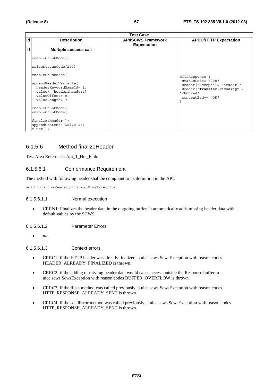|    | <b>Test Case</b>                                 |                                                 |                                                     |
|----|--------------------------------------------------|-------------------------------------------------|-----------------------------------------------------|
| Id | <b>Description</b>                               | <b>API/SCWS Framework</b><br><b>Expectation</b> | <b>APDU/HTTP Expectation</b>                        |
| 11 | Multiple success call                            |                                                 |                                                     |
|    | enableChunkMode()                                |                                                 |                                                     |
|    | writeStatusCode(200)                             |                                                 |                                                     |
|    | enableChunkMode()                                |                                                 | HTTPResponse (                                      |
|    | appendHeaderVariable(<br>headerKeywordNameId= 1, |                                                 | statusCode= "200"<br>$Header("Accept") = "header1"$ |
|    | value= [header1header2],                         |                                                 | $Header("Transfer-Encoding") =$<br>"chunked"        |
|    | valueOffset= 0,                                  |                                                 | contentBody= "OK"                                   |
|    | valueLength= 7)                                  |                                                 |                                                     |
|    | enableChunkMode()                                |                                                 |                                                     |
|    | enableChunkMode()                                |                                                 |                                                     |
|    | $finalizeHeader()$ ;                             |                                                 |                                                     |
|    | appendContent $([OK], 0, 2)$ ;                   |                                                 |                                                     |
|    | $flush()$ ;                                      |                                                 |                                                     |

### 6.1.5.6 Method finalizeHeader

Test Area Reference: Api\_1\_Hrs\_Finh.

### 6.1.5.6.1 Conformance Requirement

The method with following header shall be compliant to its definition in the API.

void finalizeHeader()throws ScwsException

#### 6.1.5.6.1.1 Normal execution

• CRRN1: Finalizes the header data in the outgoing buffer. It automatically adds missing header data with default values by the SCWS.

6.1.5.6.1.2 Parameter Errors

 $\bullet$   $\frac{n}{a}$ .

#### 6.1.5.6.1.3 Context errors

- CRRC1: if the HTTP header was already finalized, a uicc.scws.ScwsException with reason codes HEADER\_ALREADY\_FINALIZED is thrown.
- CRRC2: if the adding of missing header data would cause access outside the Response buffer, a uicc.scws.ScwsException with reason codes BUFFER\_OVERFLOW is thrown.
- CRRC3: if the flush method was called previously, a uicc.scws.ScwsException with reason codes HTTP\_RESPONSE\_ALREADY\_SENT is thrown.
- CRRC4: if the sendError method was called previously, a uicc.scws.ScwsException with reason codes HTTP\_RESPONSE\_ALREADY\_SENT is thrown.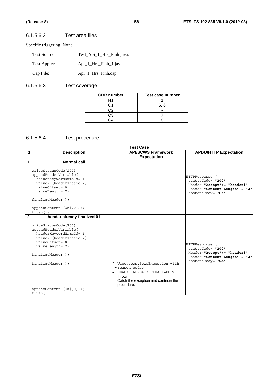### 6.1.5.6.2 Test area files

Specific triggering: None:

| Test Source: | Test Api 1 Hrs Finh.java. |
|--------------|---------------------------|
| Test Applet: | Api 1 Hrs Finh 1. java.   |
| Cap File:    | Api_1_Hrs_Finh.cap.       |

# 6.1.5.6.3 Test coverage

| Test case number |
|------------------|
|                  |
| 5.6              |
|                  |
|                  |
|                  |
|                  |

# 6.1.5.6.4 Test procedure

|              | <b>Test Case</b>                                                                                                                                                                                                                                                    |                                                                                                                                              |                                                                                                                                |
|--------------|---------------------------------------------------------------------------------------------------------------------------------------------------------------------------------------------------------------------------------------------------------------------|----------------------------------------------------------------------------------------------------------------------------------------------|--------------------------------------------------------------------------------------------------------------------------------|
| Id           | <b>Description</b>                                                                                                                                                                                                                                                  | <b>API/SCWS Framework</b><br><b>Expectation</b>                                                                                              | <b>APDU/HTTP Expectation</b>                                                                                                   |
| $\mathbf{1}$ | Normal call<br>writeStatusCode(200)<br>appendHeaderVariable(<br>headerKeywordNameId= 1,<br>value= [header1header2],<br>valueOffset= 0,<br>valueLength= 7)<br>finalizeHeader();<br>appendContent $([OK], 0, 2)$ ;<br>$flush()$ ;                                     |                                                                                                                                              | HTTPResponse (<br>statusCode= "200"<br>$Header('^\prime) = "header1"$<br>$Header('Content-Length") = "2"$<br>contentBody= "OK" |
| $\mathbf{2}$ | header already finalized 01<br>writeStatusCode(200)<br>appendHeaderVariable(<br>headerKeywordNameId= 1,<br>value= [header1header2],<br>valueOffset= 0,<br>valueLength= 7)<br>finalizeHeader();<br>finalizeHeader()<br>appendContent $([OK], 0, 2)$ ;<br>$flush()$ ; | Uicc.scws.ScwsException with<br>reason codes<br>HEADER ALREADY FINALIZED IS<br>thrown.<br>Catch the exception and continue the<br>procedure. | HTTPResponse (<br>statusCode= "200"<br>$Header('Accept") = "header1"$<br>$Header('Content-Length") = "2"$<br>contentBody= "OK" |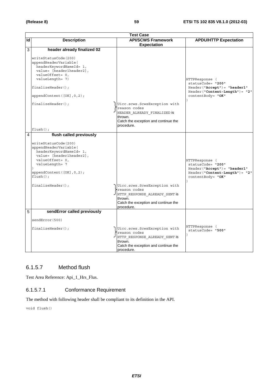|    | <b>Test Case</b>                                                                                                                                                                                                                                                           |                                                                                                                                                |                                                                                                                             |
|----|----------------------------------------------------------------------------------------------------------------------------------------------------------------------------------------------------------------------------------------------------------------------------|------------------------------------------------------------------------------------------------------------------------------------------------|-----------------------------------------------------------------------------------------------------------------------------|
| Id | <b>Description</b>                                                                                                                                                                                                                                                         | <b>API/SCWS Framework</b>                                                                                                                      | <b>APDU/HTTP Expectation</b>                                                                                                |
|    |                                                                                                                                                                                                                                                                            | <b>Expectation</b>                                                                                                                             |                                                                                                                             |
| 3  | header already finalized 02<br>writeStatusCode(200)<br>appendHeaderVariable(<br>headerKeywordNameId= 1,<br>value= [header1header2],<br>valueOffset= 0,<br>valueLength= 7)<br>$finalizeHeader()$ ;<br>appendContent $([OK], 0, 2)$ ;<br>$finalizeHeader()$ ;<br>$flush()$ ; | Uicc.scws.ScwsException with<br>reason codes<br>HEADER ALREADY FINALIZED is<br>thrown.<br>Catch the exception and continue the<br>procedure.   | HTTPResponse (<br>statusCode= "200"<br>$Header('Accept") = "header1"$<br>Header("Content-Length")= "2"<br>contentBody= "OK" |
| 4  | flush called previously<br>writeStatusCode(200)<br>appendHeaderVariable(<br>headerKeywordNameId= 1,<br>value= [header1header2],<br>valueOffset= 0,<br>valueLength= 7<br>appendContent([OK], 0, 2);<br>$flush()$ ;<br>$finalizeHeader()$ ;                                  | Uicc.scws.ScwsException with<br>reason codes<br>HTTP RESPONSE ALREADY SENT is<br>thrown.<br>Catch the exception and continue the<br>procedure. | HTTPResponse (<br>statusCode= "200"<br>Header("Accept")= "header1"<br>Header("Content-Length")= "2"<br>contentBody= "OK"    |
| 5  | sendError called previously                                                                                                                                                                                                                                                |                                                                                                                                                |                                                                                                                             |
|    | sendError (500)                                                                                                                                                                                                                                                            |                                                                                                                                                |                                                                                                                             |
|    | $finalizeHeader()$ ;                                                                                                                                                                                                                                                       | Uicc.scws.ScwsException with<br>reason codes<br>HTTP RESPONSE ALREADY SENT is<br>thrown.<br>Catch the exception and continue the<br>procedure. | HTTPResponse (<br>statusCode= "500"                                                                                         |

# 6.1.5.7 Method flush

Test Area Reference: Api\_1\_Hrs\_Flus.

### 6.1.5.7.1 Conformance Requirement

The method with following header shall be compliant to its definition in the API.

void flush()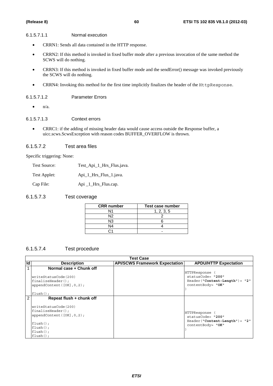#### 6.1.5.7.1.1 Normal execution

- CRRN1: Sends all data contained in the HTTP response.
- CRRN2: If this method is invoked in fixed buffer mode after a previous invocation of the same method the SCWS will do nothing.
- CRRN3: If this method is invoked in fixed buffer mode and the sendError() message was invoked previously the SCWS will do nothing.
- CRRN4: Invoking this method for the first time implicitly finalizes the header of the HttpResponse.

### 6.1.5.7.1.2 Parameter Errors

 $\bullet$   $n/a$ .

### 6.1.5.7.1.3 Context errors

• CRRC1: if the adding of missing header data would cause access outside the Response buffer, a uicc.scws.ScwsException with reason codes BUFFER\_OVERFLOW is thrown.

### 6.1.5.7.2 Test area files

Specific triggering: None:

| Test Source: | Test_Api_1_Hrs_Flus.java. |
|--------------|---------------------------|
|--------------|---------------------------|

Test Applet: Api\_1\_Hrs\_Flus\_1.java.

Cap File: Api \_1\_Hrs\_Flus.cap.

### 6.1.5.7.3 Test coverage

| <b>CRR</b> number | Test case number |
|-------------------|------------------|
| N <sub>1</sub>    | 1, 2, 3, 5       |
| N <sub>2</sub>    |                  |
| N <sub>3</sub>    |                  |
| N4                |                  |
|                   |                  |

### 6.1.5.7.4 Test procedure

|                | <b>Test Case</b>                                                                                                                                                       |                                       |                                                                                            |
|----------------|------------------------------------------------------------------------------------------------------------------------------------------------------------------------|---------------------------------------|--------------------------------------------------------------------------------------------|
| Id             | <b>Description</b>                                                                                                                                                     | <b>API/SCWS Framework Expectation</b> | <b>APDU/HTTP Expectation</b>                                                               |
|                | Normal case + Chunk off<br>writeStatusCode(200)<br>$finalizeHeader()$ ;<br>appendContent $([OK], 0, 2)$ ;<br>$flush()$ ;                                               |                                       | HTTPResponse<br>statusCode= "200"<br>$Header('Content-Length") = "2"$<br>contentBody= "OK" |
| $\mathfrak{p}$ | Repeat flush + chunk off<br>writeStatusCode(200)<br>$finalizeHeader()$ ;<br>appendContent $([OK], 0, 2)$ ;<br>$flush()$ ;<br>$flush()$ ;<br>$flush()$ ;<br>$flush()$ ; |                                       | HTTPResponse<br>statusCode= "200"<br>$Header('Content-Length") = "2"$<br>contentBody= "OK" |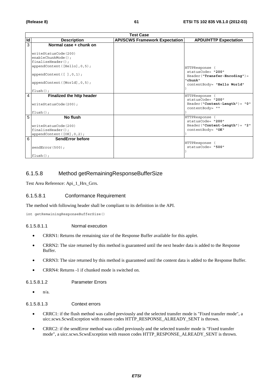|                | <b>Test Case</b>                 |                                       |                                                     |
|----------------|----------------------------------|---------------------------------------|-----------------------------------------------------|
| Id             | <b>Description</b>               | <b>API/SCWS Framework Expectation</b> | <b>APDU/HTTP Expectation</b>                        |
| $\overline{3}$ | Normal case + chunk on           |                                       |                                                     |
|                |                                  |                                       |                                                     |
|                | writeStatusCode(200)             |                                       |                                                     |
|                | enableChunkMode();               |                                       |                                                     |
|                | $finalizeHeader()$ ;             |                                       |                                                     |
|                | appendContent ([Hello], 0, 5);   |                                       | HTTPResponse                                        |
|                |                                  |                                       | statusCode= "200"                                   |
|                | appendContent([ ],0,1);          |                                       | $Header("Transfer-Encoding") =$                     |
|                |                                  |                                       | "chunk"                                             |
|                | appendContent ([World], 0,5);    |                                       | contentBody= "Hello World"                          |
|                |                                  |                                       |                                                     |
|                | $flush()$ ;                      |                                       |                                                     |
| $\overline{4}$ | <b>Finalized the http header</b> |                                       | HTTPResponse                                        |
|                |                                  |                                       | statusCode= "200"                                   |
|                | writeStatusCode(200);            |                                       | $Header('Content-Length") = "0"$<br>contentBody= "" |
|                |                                  |                                       |                                                     |
|                | $flush()$ ;                      |                                       |                                                     |
| 5              | No flush                         |                                       | HTTPResponse                                        |
|                |                                  |                                       | statusCode= "200"                                   |
|                | writeStatusCode(200)             |                                       | $Header('Content-Length") = "2"$                    |
|                | $finalizeHeader()$ ;             |                                       | contentBody= "OK"                                   |
|                | appendContent([OK], 0, 2);       |                                       |                                                     |
| 6              | SendError before                 |                                       |                                                     |
|                |                                  |                                       | HTTPResponse                                        |
|                | sendError(500);                  |                                       | statusCode= "500"                                   |
|                |                                  |                                       |                                                     |
|                | $flush()$ ;                      |                                       |                                                     |

### 6.1.5.8 Method getRemainingResponseBufferSize

Test Area Reference: Api\_1\_Hrs\_Grrs.

#### 6.1.5.8.1 Conformance Requirement

The method with following header shall be compliant to its definition in the API.

int getRemainingResponseBufferSize()

#### 6.1.5.8.1.1 Normal execution

- CRRN1: Returns the remaining size of the Response Buffer available for this applet.
- CRRN2: The size returned by this method is guaranteed until the next header data is added to the Response Buffer.
- CRRN3: The size returned by this method is guaranteed until the content data is added to the Response Buffer.
- CRRN4: Returns -1 if chunked mode is switched on.

#### 6.1.5.8.1.2 Parameter Errors

 $\bullet$  n/a.

### 6.1.5.8.1.3 Context errors

- CRRC1: if the flush method was called previously and the selected transfer mode is "Fixed transfer mode", a uicc.scws.ScwsException with reason codes HTTP\_RESPONSE\_ALREADY\_SENT is thrown.
- CRRC2: if the sendError method was called previously and the selected transfer mode is "Fixed transfer mode", a uicc.scws.ScwsException with reason codes HTTP\_RESPONSE\_ALREADY\_SENT is thrown.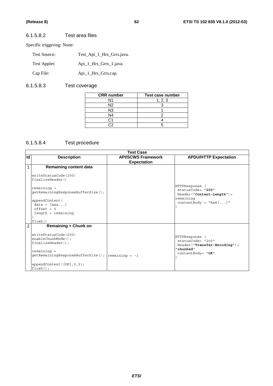### 6.1.5.8.2 Test area files

Specific triggering: None:

| Test Source: | Test Api 1 Hrs Grrs.java. |
|--------------|---------------------------|
| Test Applet: | Api_1_Hrs_Grrs_1.java.    |
| Cap File:    | Api_1_Hrs_Grrs.cap.       |

# 6.1.5.8.3 Test coverage

| <b>CRR</b> number | Test case number |
|-------------------|------------------|
| N1                | 1, 2, 3          |
| N2                |                  |
| N3                |                  |
| N4                |                  |
|                   |                  |
|                   |                  |

## 6.1.5.8.4 Test procedure

|    | <b>Test Case</b>                                                                                                                             |                                                 |                                                                                                          |  |  |
|----|----------------------------------------------------------------------------------------------------------------------------------------------|-------------------------------------------------|----------------------------------------------------------------------------------------------------------|--|--|
| Id | <b>Description</b>                                                                                                                           | <b>API/SCWS Framework</b><br><b>Expectation</b> | <b>APDU/HTTP Expectation</b>                                                                             |  |  |
| 1  | <b>Remaining content data</b>                                                                                                                |                                                 |                                                                                                          |  |  |
|    | writeStatusCode(200)<br>finalizeHeader()                                                                                                     |                                                 |                                                                                                          |  |  |
|    | $remaining =$<br>getRemainingResponseBufferSize();                                                                                           |                                                 | HTTPResponse<br>statusCode= "200"<br>Header ("Content-Length") =                                         |  |  |
|    | appendContent (<br>$data = [aaa]$<br>$offset = 0$                                                                                            |                                                 | remaining<br>$contentBody = "AaA[]$ "                                                                    |  |  |
|    | $length = remaining$<br>flush()                                                                                                              |                                                 |                                                                                                          |  |  |
| 2  | <b>Remaining + Chunk on</b>                                                                                                                  |                                                 |                                                                                                          |  |  |
|    | writeStatusCode(200)<br>enableChunkMode();<br>$finalizeHeader()$ ;<br>$remaining =$<br>$getRemainingResponseBufferSize()$ ; $remaining = -1$ |                                                 | HTTPResponse (<br>statusCode= "200"<br>$Header("Transfer-Encoding") =$<br>"chunked"<br>contentBody= "OK" |  |  |
|    | appendContent $([OK], 0, 2)$ ;<br>$flush()$ ;                                                                                                |                                                 |                                                                                                          |  |  |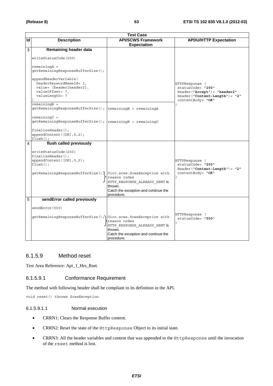|    | <b>Test Case</b>                                                                                                                                                                                                                                                                                                                                                                               |                                                                                                                |                                                                                                                               |  |  |
|----|------------------------------------------------------------------------------------------------------------------------------------------------------------------------------------------------------------------------------------------------------------------------------------------------------------------------------------------------------------------------------------------------|----------------------------------------------------------------------------------------------------------------|-------------------------------------------------------------------------------------------------------------------------------|--|--|
| Id | <b>Description</b>                                                                                                                                                                                                                                                                                                                                                                             | <b>API/SCWS Framework</b><br><b>Expectation</b>                                                                | <b>APDU/HTTP Expectation</b>                                                                                                  |  |  |
| 3  | Remaining header data<br>writeStatusCode(200)<br>$remainingA =$<br>qetRemaininqResponseBufferSize();<br>appendHeaderVariable(<br>headerKeywordNameId= 1,<br>value= [header1header2],<br>valueOffset= 7,<br>valueLength= 7<br>$remainingB =$<br>getRemainingResponseBufferSize();<br>$remainingC =$<br>getRemainingResponseBufferSize();<br>$finalizeHeader()$ ;<br>appendContent ([OK], 0, 2); | remainingB < remainingA<br>$remainingB = remainingC$                                                           | HTTPResponse (<br>statusCode= "200"<br>$Header('Accept") = "header2"$<br>Header ("Content-Length") = "2"<br>contentBody= "OK" |  |  |
| 4  | $flush()$ ;<br>flush called previously<br>writeStatusCode(200)<br>$finalizeHeader()$ ;<br>appendContent([OK], 0, 2);<br>$flush()$ ;<br>getRemainingResponseBufferSize(); Uicc.scws.ScwsException with                                                                                                                                                                                          | reason codes<br>HTTP RESPONSE ALREADY SENT is<br>thrown.<br>Catch the exception and continue the<br>procedure. | HTTPResponse (<br>statusCode= "200"<br>$Header('Content-Length") = "2"$<br>contentBody= "OK"                                  |  |  |
| 5  | sendError called previously<br>sendError(500)<br>qetRemainingResponseBufferSize(); Uicc.scws.ScwsException with                                                                                                                                                                                                                                                                                | reason codes<br>HTTP RESPONSE ALREADY SENT is<br>thrown.<br>Catch the exception and continue the<br>procedure. | HTTPResponse (<br>statusCode= "500"                                                                                           |  |  |

### 6.1.5.9 Method reset

Test Area Reference: Api\_1\_Hrs\_Rset.

#### 6.1.5.9.1 Conformance Requirement

The method with following header shall be compliant to its definition in the API.

void reset() throws ScwsException

### 6.1.5.9.1.1 Normal execution

- CRRN1: Clears the Response Buffer content.
- CRRN2: Reset the state of the HttpResponse Object to its initial state.
- CRRN3: All the header variables and content that was appended to the HttpResponse until the invocation of the reset method is lost.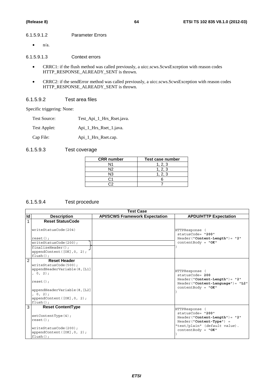#### 6.1.5.9.1.2 Parameter Errors

 $\bullet$  n/a.

6.1.5.9.1.3 Context errors

- CRRC1: if the flush method was called previously, a uicc.scws.ScwsException with reason codes HTTP\_RESPONSE\_ALREADY\_SENT is thrown.
- CRRC2: if the sendError method was called previously, a uicc.scws.ScwsException with reason codes HTTP\_RESPONSE\_ALREADY\_SENT is thrown.

#### 6.1.5.9.2 Test area files

Specific triggering: None:

| Test Source: | Test_Api_1_Hrs_Rset.java. |
|--------------|---------------------------|
| Test Applet: | Api_1_Hrs_Rset_1.java.    |

Cap File: Api\_1\_Hrs\_Rset.cap.

### 6.1.5.9.3 Test coverage

| <b>CRR</b> number | Test case number |
|-------------------|------------------|
|                   | . 2. 3           |
| N12               | 1, 2, 3          |
| N3                | 1, 2, 3          |
|                   |                  |
|                   |                  |

### 6.1.5.9.4 Test procedure

|                | <b>Test Case</b>                                                                                                                                                                              |                                       |                                                                                                                                                              |  |
|----------------|-----------------------------------------------------------------------------------------------------------------------------------------------------------------------------------------------|---------------------------------------|--------------------------------------------------------------------------------------------------------------------------------------------------------------|--|
| Id             | <b>Description</b>                                                                                                                                                                            | <b>API/SCWS Framework Expectation</b> | <b>APDU/HTTP Expectation</b>                                                                                                                                 |  |
|                | <b>Reset StatusCode</b>                                                                                                                                                                       |                                       |                                                                                                                                                              |  |
|                | writeStatusCode(204)                                                                                                                                                                          |                                       | HTTPResponse<br>statusCode= "200"                                                                                                                            |  |
|                | $reset()$ ;                                                                                                                                                                                   |                                       | $Header('Content-Length") = "2"$                                                                                                                             |  |
|                | writeStatusCode(200);                                                                                                                                                                         |                                       | $contentBody = "OK"$                                                                                                                                         |  |
|                | $finalizeHeader()$ ;<br>appendContent ( $[OK]$ , 0, 2);<br>$flush()$ ;                                                                                                                        |                                       |                                                                                                                                                              |  |
| $\mathfrak{p}$ | <b>Reset Header</b><br>writeStatusCode(500);<br>appendHeaderVariable(8, [L1]<br>(0, 2);<br>$reset()$ ;<br>appendHeaderVariable(8, [L2]<br>0, 2);<br>appendContent([OK], 0, 2);<br>$flush()$ ; |                                       | HTTPResponse<br>statusCode= 200<br>$Header('Content-Length") = "2"$<br>Header ("Content-Language") = "L2"<br>$contentBody = "OK"$                            |  |
| 3              | <b>Reset ContentType</b><br>setContentType(4);<br>reset()<br>writeStatusCode(200);<br>appendContent([OK], 0, 2);<br>$flush()$ :                                                               |                                       | HTTPResponse<br>statusCode= "200"<br>$Header('Content-Length") = "2"$<br>$Header('Content-Type") =$<br>"text/plain" (default value).<br>contentBody = $"OK"$ |  |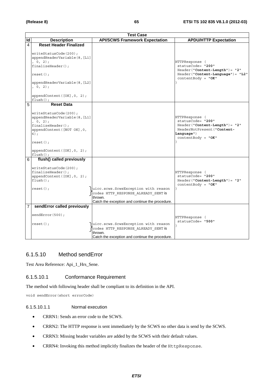|                | <b>Test Case</b>                                                                                                                                                             |                                                                                                                                          |                                                                                                                                              |  |  |
|----------------|------------------------------------------------------------------------------------------------------------------------------------------------------------------------------|------------------------------------------------------------------------------------------------------------------------------------------|----------------------------------------------------------------------------------------------------------------------------------------------|--|--|
| Id             | <b>Description</b>                                                                                                                                                           | <b>API/SCWS Framework Expectation</b>                                                                                                    | <b>APDU/HTTP Expectation</b>                                                                                                                 |  |  |
| 4              | <b>Reset Header Finalized</b>                                                                                                                                                |                                                                                                                                          |                                                                                                                                              |  |  |
|                | writeStatusCode(200);<br>appendHeaderVariable(8, [L1]<br>, 0, 2);<br>finalizeHeader();<br>$reset()$ ;<br>appendHeaderVariable(8, [L2]<br>, 0, 2);                            |                                                                                                                                          | HTTPResponse (<br>statusCode= "200"<br>$Header('Content-Length") = "2"$<br>$Header("Content-Language") = "L2"$<br>$contentBody = "OK"$       |  |  |
|                | appendContent([OK], 0, 2);<br>$flush()$ ;                                                                                                                                    |                                                                                                                                          |                                                                                                                                              |  |  |
| 5              | <b>Reset Data</b>                                                                                                                                                            |                                                                                                                                          |                                                                                                                                              |  |  |
|                | writeStatusCode(200);<br>appendHeaderVariable(8, [L1]<br>, 0, 2);<br>finalizeHeader();<br>appendContent ([NOT OK], 0,<br>$6)$ ;<br>$reset()$ ;<br>appendContent([OK], 0, 2); |                                                                                                                                          | HTTPResponse (<br>statusCode= "200"<br>$Header("Content-Length") = "2"$<br>HeaderNotPresent ("Content-<br>Language")<br>$contentBody = "OK"$ |  |  |
| 6              | $flush()$ ;<br>flush() called previously                                                                                                                                     |                                                                                                                                          |                                                                                                                                              |  |  |
|                | writeStatusCode(200);<br>$finalizeHeader()$ ;<br>appendContent([OK], 0, 2);<br>$flush()$ ;<br>$reset()$ ;                                                                    | uicc.scws.ScwsException with reason<br>codes HTTP RESPONSE ALREADY SENT is<br>thrown.<br>Catch the exception and continue the procedure. | HTTPResponse (<br>statusCode= "200"<br>$Header('Content-Length") = "2"$<br>$contentBody = "OK"$                                              |  |  |
| $\overline{7}$ | sendError called previously                                                                                                                                                  |                                                                                                                                          |                                                                                                                                              |  |  |
|                | sendError(500);<br>$reset()$ ;                                                                                                                                               | uicc.scws.ScwsException with reason<br>codes HTTP RESPONSE ALREADY SENT is                                                               | HTTPResponse (<br>statusCode= "500"                                                                                                          |  |  |
|                |                                                                                                                                                                              | thrown.<br>Catch the exception and continue the procedure.                                                                               |                                                                                                                                              |  |  |

#### 6.1.5.10 Method sendError

Test Area Reference: Api\_1\_Hrs\_Sene.

#### 6.1.5.10.1 Conformance Requirement

The method with following header shall be compliant to its definition in the API.

void sendError(short errorCode)

#### 6.1.5.10.1.1 Normal execution

- CRRN1: Sends an error code to the SCWS.
- CRRN2: The HTTP response is sent immediately by the SCWS no other data is send by the SCWS.
- CRRN3: Missing header variables are added by the SCWS with their default values.
- CRRN4: Invoking this method implicitly finalizes the header of the HttpResponse.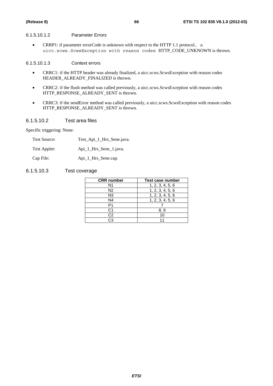#### 6.1.5.10.1.2 Parameter Errors

• CRRP1: if parameter errorCode is unknown with respect to the HTTP 1.1 protocol, a uicc.scws.ScwsException with reason codes HTTP\_CODE\_UNKNOWN is thrown.

#### 6.1.5.10.1.3 Context errors

- CRRC1: if the HTTP header was already finalized, a uicc.scws.ScwsException with reason codes HEADER\_ALREADY\_FINALIZED is thrown.
- CRRC2: if the flush method was called previously, a uicc.scws.ScwsException with reason codes HTTP\_RESPONSE\_ALREADY\_SENT is thrown.
- CRRC3: if the sendError method was called previously, a uicc.scws.ScwsException with reason codes HTTP\_RESPONSE\_ALREADY\_SENT is thrown.

#### 6.1.5.10.2 Test area files

Specific triggering: None:

| <b>Test Source:</b> | Test_Api_1_Hrs_Sene.java. |
|---------------------|---------------------------|
| Test Applet:        | Api_1_Hrs_Sene_1.java.    |
| Cap File:           | Api_1_Hrs_Sene.cap.       |

#### 6.1.5.10.3 Test coverage

| <b>CRR</b> number | Test case number |
|-------------------|------------------|
| N1                | 1, 2, 3, 4, 5, 6 |
| N <sub>2</sub>    | 1, 2, 3, 4, 5, 6 |
| N <sub>3</sub>    | 1, 2, 3, 4, 5, 6 |
| N4                | 1, 2, 3, 4, 5, 6 |
| P1                |                  |
| C1                | 8.9              |
| C <sub>2</sub>    | 10               |
| ?.∩               |                  |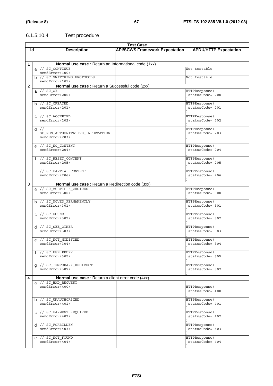# 6.1.5.10.4 Test procedure

|             | <b>Test Case</b> |                                                      |                                       |                                      |  |
|-------------|------------------|------------------------------------------------------|---------------------------------------|--------------------------------------|--|
|             | ld               | <b>Description</b>                                   | <b>API/SCWS Framework Expectation</b> | <b>APDU/HTTP Expectation</b>         |  |
|             |                  |                                                      |                                       |                                      |  |
|             |                  |                                                      |                                       |                                      |  |
| $\mathbf 1$ |                  | Normal use case : Return an Informational code (1xx) |                                       |                                      |  |
|             |                  | $a$ // $sc$ continue                                 |                                       | Not testable                         |  |
|             |                  | sendError(100)                                       |                                       |                                      |  |
|             |                  | b // SC_SWITCHING_PROTOCOLS                          |                                       | Not testable                         |  |
|             |                  | $\overline{\text{sendError}}(101)$                   |                                       |                                      |  |
| 2           |                  | Normal use case : Return a Successful code (2xx)     |                                       |                                      |  |
|             |                  | $a$ // $\overline{SC}$ OK                            |                                       | HTTPResponse (                       |  |
|             |                  | sendError(200)                                       |                                       | statusCode= 200                      |  |
|             |                  |                                                      |                                       |                                      |  |
|             |                  | $b$ // SC CREATED                                    |                                       | HTTPResponse (                       |  |
|             |                  | sendError(201)                                       |                                       | statusCode= 201                      |  |
|             |                  |                                                      |                                       |                                      |  |
|             |                  | C // SC_ACCEPTED                                     |                                       | HTTPResponse (                       |  |
|             |                  | sendError(202)                                       |                                       | statusCode= 202                      |  |
|             |                  |                                                      |                                       |                                      |  |
|             |                  | $d$ //                                               |                                       | HTTPResponse (                       |  |
|             |                  | SC_NON_AUTHORITATIVE_INFORMATION                     |                                       | statusCode= 203                      |  |
|             |                  | sendError(203)                                       |                                       |                                      |  |
|             |                  |                                                      |                                       |                                      |  |
|             |                  | $e$ // $SCNO$ CONTENT                                |                                       | HTTPResponse (                       |  |
|             |                  | sendError(204)                                       |                                       | statusCode= 204                      |  |
|             |                  |                                                      |                                       |                                      |  |
|             |                  | f // SC_RESET_CONTENT<br>sendError(205)              |                                       | HTTPResponse (<br>$statusCode = 205$ |  |
|             |                  |                                                      |                                       |                                      |  |
|             |                  | // SC PARTIAL CONTENT                                |                                       | HTTPResponse(                        |  |
|             |                  | sendError(206)                                       |                                       | statusCode= 206                      |  |
|             |                  |                                                      |                                       |                                      |  |
| 3           |                  | Normal use case : Return a Redirection code (3xx)    |                                       |                                      |  |
|             |                  | a // SC_MULTIPLE_CHOICES                             |                                       | HTTPResponse(                        |  |
|             |                  | sendError(300)                                       |                                       | statusCode= 300                      |  |
|             |                  |                                                      |                                       |                                      |  |
|             |                  | $b$ // SC MOVED PERMANENTLY                          |                                       | HTTPResponse (                       |  |
|             |                  | sendError(301)                                       |                                       | statusCode= 301                      |  |
|             |                  |                                                      |                                       |                                      |  |
|             |                  | $C$ // $SC_FOUND$                                    |                                       | HTTPResponse (                       |  |
|             |                  | sendError(302)                                       |                                       | statusCode= 302                      |  |
|             |                  |                                                      |                                       |                                      |  |
|             |                  | $d$ // SC SEE OTHER                                  |                                       | HTTPResponse (                       |  |
|             |                  | sendError(303)                                       |                                       | statusCode= 303                      |  |
|             |                  |                                                      |                                       |                                      |  |
|             | e                | // SC NOT MODIFIED                                   |                                       | HTTPResponse (                       |  |
|             |                  | sendError(304)                                       |                                       | statusCode= 304                      |  |
|             |                  | f // SC USE PROXY                                    |                                       | HTTPResponse (                       |  |
|             |                  | sendError(305)                                       |                                       | statusCode= 305                      |  |
|             |                  |                                                      |                                       |                                      |  |
|             | a                | // SC_TEMPORARY_REDIRECT                             |                                       | HTTPResponse (                       |  |
|             |                  | sendError(307)                                       |                                       | statusCode= 307                      |  |
|             |                  |                                                      |                                       |                                      |  |
| 4           |                  | Normal use case : Return a client error code (4xx)   |                                       |                                      |  |
|             |                  | $a$ // $SC$ BAD REQUEST                              |                                       |                                      |  |
|             |                  | sendError(400)                                       |                                       | HTTPResponse (                       |  |
|             |                  |                                                      |                                       | statusCode= 400                      |  |
|             |                  |                                                      |                                       |                                      |  |
|             |                  | $b$ // SC UNAUTHORIZED                               |                                       | HTTPResponse (                       |  |
|             |                  | sendError(401)                                       |                                       | statusCode= 401                      |  |
|             |                  |                                                      |                                       |                                      |  |
|             |                  | C // SC_PAYMENT_REQUIRED                             |                                       | HTTPResponse (                       |  |
|             |                  | sendError(402)                                       |                                       | statusCode= 402                      |  |
|             |                  |                                                      |                                       |                                      |  |
|             |                  | $d$ // SC FORBIDDEN                                  |                                       | HTTPResponse (                       |  |
|             |                  | sendError(403)                                       |                                       | statusCode= 403                      |  |
|             |                  |                                                      |                                       |                                      |  |
|             |                  | $e$ // $SCNOT$ FOUND                                 |                                       | HTTPResponse (                       |  |
|             |                  | sendError(404)                                       |                                       | statusCode= 404                      |  |
|             |                  |                                                      |                                       |                                      |  |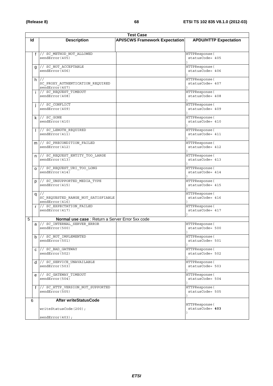|   | <b>Test Case</b> |                                                   |                                       |                                   |
|---|------------------|---------------------------------------------------|---------------------------------------|-----------------------------------|
|   | ld               | <b>Description</b>                                | <b>API/SCWS Framework Expectation</b> | <b>APDU/HTTP Expectation</b>      |
|   |                  |                                                   |                                       |                                   |
|   |                  |                                                   |                                       |                                   |
|   |                  | f // SC_METHOD_NOT_ALLOWED                        |                                       | HTTPResponse (                    |
|   |                  | sendError(405)                                    |                                       | statusCode= 405                   |
|   |                  |                                                   |                                       |                                   |
|   | g                | $\frac{1}{2}$ SC NOT ACCEPTABLE<br>sendError(406) |                                       | HTTPResponse (<br>statusCode= 406 |
|   |                  |                                                   |                                       |                                   |
|   |                  | $h$ //                                            |                                       | HTTPResponse (                    |
|   |                  | SC PROXY AUTHENTICATION REQUIRED                  |                                       | statusCode= 407                   |
|   |                  | sendError(407)                                    |                                       |                                   |
|   |                  | // SC_REQUEST_TIMEOUT                             |                                       | HTTPResponse (                    |
|   |                  | sendError(408)                                    |                                       | statusCode= 408                   |
|   |                  |                                                   |                                       |                                   |
|   |                  | // SC_CONFLICT                                    |                                       | HTTPResponse (                    |
|   |                  | sendError (409)                                   |                                       | statusCode= 409                   |
|   |                  |                                                   |                                       |                                   |
|   |                  | $k$ // SC GONE<br>sendError(410)                  |                                       | HTTPResponse (<br>statusCode= 410 |
|   |                  |                                                   |                                       |                                   |
|   | $\mathbf{I}$     | // SC_LENGTH_REQUIRED                             |                                       | HTTPResponse (                    |
|   |                  | sendError(411)                                    |                                       | statusCode= 411                   |
|   |                  |                                                   |                                       |                                   |
|   |                  | $m$ // SC PRECONDITION FAILED                     |                                       | HTTPResponse (                    |
|   |                  | sendError(412)                                    |                                       | statusCode= 412                   |
|   |                  |                                                   |                                       |                                   |
|   |                  | n // SC_REQUEST_ENTITY_TOO_LARGE                  |                                       | HTTPResponse (                    |
|   |                  | $s$ endError $(413)$                              |                                       | statusCode= 413                   |
|   |                  |                                                   |                                       |                                   |
|   |                  | 0 // SC_REQUEST_URI_TOO_LONG                      |                                       | HTTPResponse (                    |
|   |                  | sendError(414)                                    |                                       | statusCode= 414                   |
|   |                  |                                                   |                                       |                                   |
|   |                  | p // SC_UNSUPPORTED_MEDIA_TYPE<br>sendError(415)  |                                       | HTTPResponse (<br>statusCode= 415 |
|   |                  |                                                   |                                       |                                   |
|   |                  | q $\sqrt{7}$                                      |                                       | HTTPResponse (                    |
|   |                  | SC_REQUESTED_RANGE_NOT_SATISFIABLE                |                                       | statusCode= 416                   |
|   |                  | sendError(416)                                    |                                       |                                   |
|   |                  | r // SC_EXPECTATION_FAILED                        |                                       | HTTPResponse (                    |
|   |                  | sendError(417)                                    |                                       | statusCode= 417                   |
|   |                  |                                                   |                                       |                                   |
| 5 |                  | Normal use case : Return a Server Error 5xx code  |                                       |                                   |
|   |                  | a // SC_INTERNAL_SERVER ERROR                     |                                       | HTTPResponse (                    |
|   |                  | sendError(500)                                    |                                       | statusCode= 500                   |
|   |                  |                                                   |                                       |                                   |
|   |                  | b // SC_NOT_IMPLEMENTED<br>sendError(501)         |                                       | HTTPResponse (<br>statusCode= 501 |
|   |                  |                                                   |                                       |                                   |
|   |                  | C // SC_BAD_GATEWAY                               |                                       | HTTPResponse (                    |
|   |                  | sendError(502)                                    |                                       | statusCode= 502                   |
|   |                  |                                                   |                                       |                                   |
|   |                  | $d$ // SC SERVICE UNAVAILABLE                     |                                       | HTTPResponse (                    |
|   |                  | sendError(503)                                    |                                       | statusCode= 503                   |
|   |                  |                                                   |                                       |                                   |
|   |                  | e // SC_GATEWAY_TIMEOUT                           |                                       | HTTPResponse (                    |
|   |                  | sendError(504)                                    |                                       | statusCode= 504                   |
|   |                  |                                                   |                                       |                                   |
|   |                  | f // SC_HTTP_VERSION_NOT_SUPPORTED                |                                       | HTTPResponse (                    |
|   |                  | sendError(505)                                    |                                       | statusCode= 505                   |
|   | 6                | <b>After writeStatusCode</b>                      |                                       |                                   |
|   |                  |                                                   |                                       | HTTPResponse (                    |
|   |                  | writeStatusCode(200);                             |                                       | statusCode= 403                   |
|   |                  |                                                   |                                       |                                   |
|   |                  | sendError(403);                                   |                                       |                                   |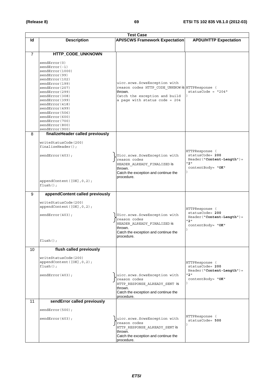|                | <b>Test Case</b>                                                                                                                                                                                                                                                                                                                    |                                                                                                                                                                |                                                                                                 |  |
|----------------|-------------------------------------------------------------------------------------------------------------------------------------------------------------------------------------------------------------------------------------------------------------------------------------------------------------------------------------|----------------------------------------------------------------------------------------------------------------------------------------------------------------|-------------------------------------------------------------------------------------------------|--|
| ld             | <b>Description</b>                                                                                                                                                                                                                                                                                                                  | <b>API/SCWS Framework Expectation</b>                                                                                                                          | <b>APDU/HTTP Expectation</b>                                                                    |  |
|                |                                                                                                                                                                                                                                                                                                                                     |                                                                                                                                                                |                                                                                                 |  |
|                |                                                                                                                                                                                                                                                                                                                                     |                                                                                                                                                                |                                                                                                 |  |
| $\overline{7}$ | HTTP_CODE_UNKNOWN<br>sendError(0)<br>$sendError(-1)$<br>sendError(1000)<br>sendError(99)<br>sendError(102)<br>sendError(199)<br>sendError(207)<br>sendError(299)<br>sendError(308)<br>sendError(399)<br>sendError (418)<br>sendError(499)<br>sendError(506)<br>sendError(600)<br>sendError(700)<br>sendError(800)<br>sendError(900) | uicc.scws.ScwsException with<br>reason codes HTTP CODE UNKNOW is HTTPResponse (<br>thrown.<br>Catch the exception and build<br>a page with status $code = 204$ | $statusCode = "204"$                                                                            |  |
| 8              | finalizeHeader called previously<br>writeStatusCode(200)<br>$finalizeHeader()$ ;<br>sendError(403);<br>appendContent([OK], 0, 2);<br>$flush()$ ;                                                                                                                                                                                    | Uicc.scws.ScwsException with<br>reason codes<br>HEADER ALREADY FINALIZED is<br>thrown.<br>Catch the exception and continue the<br>procedure.                   | HTTPResponse (<br>statusCode= 200<br>Header ("Content-Length") =<br>"2"<br>contentBody= "OK"    |  |
| 9              | appendContent called previously                                                                                                                                                                                                                                                                                                     |                                                                                                                                                                |                                                                                                 |  |
|                | writeStatusCode(200)<br>appendContent([OK], 0, 2);<br>sendError(403);<br>$flush()$ ;                                                                                                                                                                                                                                                | Uicc.scws.ScwsException with<br>reason codes<br>HEADER_ALREADY_FINALIZED is<br>thrown.<br>Catch the exception and continue the<br>procedure.                   | HTTPResponse (<br>statusCode= 200<br>$Header('Content-Length') =$<br>"2"<br>contentBody= "OK"   |  |
| 10             | flush called previously                                                                                                                                                                                                                                                                                                             |                                                                                                                                                                |                                                                                                 |  |
|                | writeStatusCode(200)<br>appendContent([OK], 0, 2);<br>$flush()$ ;<br>sendError(403);                                                                                                                                                                                                                                                | uicc.scws.ScwsException with<br>reason codes<br>HTTP RESPONSE ALREADY SENT is<br>thrown.<br>Catch the exception and continue the<br>procedure.                 | HTTPResponse (<br>statusCode= 200<br>$Header('Content-Length") =$<br>" 2 "<br>contentBody= "OK" |  |
| 11             | sendError called previously                                                                                                                                                                                                                                                                                                         |                                                                                                                                                                |                                                                                                 |  |
|                | sendError(500);<br>sendError(403);                                                                                                                                                                                                                                                                                                  | uicc.scws.ScwsException with<br>reason codes<br>HTTP RESPONSE ALREADY SENT is<br>thrown.<br>Catch the exception and continue the<br>procedure.                 | HTTPResponse (<br>statusCode= 500                                                               |  |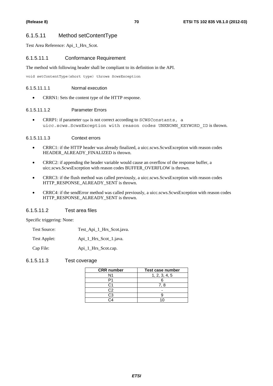### 6.1.5.11 Method setContentType

Test Area Reference: Api\_1\_Hrs\_Scot.

#### 6.1.5.11.1 Conformance Requirement

The method with following header shall be compliant to its definition in the API.

void setContentType(short type) throws ScwsException

#### 6.1.5.11.1.1 Normal execution

• CRRN1: Sets the content type of the HTTP response.

#### 6.1.5.11.1.2 Parameter Errors

• CRRP1: if parameter type is not correct according to SCWSConstants, a uicc.scws.ScwsException with reason codes UNKNOWN\_KEYWORD\_ID is thrown.

6.1.5.11.1.3 Context errors

- CRRC1: if the HTTP header was already finalized, a uicc.scws.ScwsException with reason codes HEADER\_ALREADY\_FINALIZED is thrown.
- CRRC2: if appending the header variable would cause an overflow of the response buffer, a uicc.scws.ScwsException with reason codes BUFFER\_OVERFLOW is thrown.
- CRRC3: if the flush method was called previously, a uicc.scws.ScwsException with reason codes HTTP\_RESPONSE\_ALREADY\_SENT is thrown.
- CRRC4: if the sendError method was called previously, a uicc.scws.ScwsException with reason codes HTTP\_RESPONSE\_ALREADY\_SENT is thrown.

### 6.1.5.11.2 Test area files

Specific triggering: None:

| Test Source: | Test_Api_1_Hrs_Scot.java. |
|--------------|---------------------------|
|--------------|---------------------------|

Test Applet: Api\_1\_Hrs\_Scot\_1.java.

Cap File: Api\_1\_Hrs\_Scot.cap.

#### 6.1.5.11.3 Test coverage

| <b>CRR</b> number | Test case number |
|-------------------|------------------|
| N1                | 1, 2, 3, 4, 5    |
|                   |                  |
| C 1               | 7. 8             |
| C2                |                  |
| СЗ                |                  |
|                   |                  |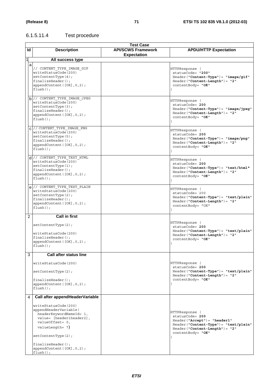# 6.1.5.11.4 Test procedure

|              | <b>Test Case</b>                |                           |                                         |  |  |  |
|--------------|---------------------------------|---------------------------|-----------------------------------------|--|--|--|
| ld           | <b>Description</b>              | <b>API/SCWS Framework</b> | <b>APDU/HTTP Expectation</b>            |  |  |  |
|              |                                 | <b>Expectation</b>        |                                         |  |  |  |
| $\mathbf{1}$ | All success type                |                           |                                         |  |  |  |
|              |                                 |                           |                                         |  |  |  |
| a            |                                 |                           |                                         |  |  |  |
|              | // CONTENT TYPE IMAGE GIF       |                           | HTTPResponse (                          |  |  |  |
|              | writeStatusCode(200)            |                           | statusCode= "200"                       |  |  |  |
|              | setContextType(4);              |                           | $Header("Content-Type") = "image/gif"$  |  |  |  |
|              | $finalizeHeader()$ ;            |                           | $Header("Content-Length") = "2"$        |  |  |  |
|              | appendContent $([OK], 0, 2)$ ;  |                           | contentBody= "OK"                       |  |  |  |
|              | $flush()$ ;                     |                           |                                         |  |  |  |
|              |                                 |                           |                                         |  |  |  |
|              |                                 |                           |                                         |  |  |  |
|              | b // CONTENT TYPE IMAGE JPEG    |                           | HTTPResponse (                          |  |  |  |
|              | writeStatusCode(200)            |                           | statusCode= 200                         |  |  |  |
|              | setContextType(3);              |                           | $Header("Content-Type") = "image/jpeg"$ |  |  |  |
|              | $finalizeHeader()$ ;            |                           | Header("Content-Length")= "2"           |  |  |  |
|              | appendContent([OK], 0, 2);      |                           |                                         |  |  |  |
|              | $flush()$ ;                     |                           | contentBody= "OK"                       |  |  |  |
|              |                                 |                           |                                         |  |  |  |
|              | $C$ // CONTENT TYPE IMAGE PNG   |                           |                                         |  |  |  |
|              | writeStatusCode(200)            |                           | HTTPResponse (                          |  |  |  |
|              |                                 |                           | statusCode= 200                         |  |  |  |
|              | setContextType(5);              |                           | $Header("Content-Type") = "image/pnq"$  |  |  |  |
|              | $finalizeHeader()$ ;            |                           | $Header("Content-Length") = "2"$        |  |  |  |
|              | appendContent([OK], 0, 2);      |                           | contentBody= "OK"                       |  |  |  |
|              | $flush()$ ;                     |                           |                                         |  |  |  |
|              |                                 |                           |                                         |  |  |  |
|              | $d$ // CONTENT TYPE TEXT HTML   |                           | HTTPResponse (                          |  |  |  |
|              | writeStatusCode(200)            |                           | statusCode= 200                         |  |  |  |
|              | setContextType(1);              |                           | Header ("Content-Type") = "text/html"   |  |  |  |
|              | $finalizeHeader()$ ;            |                           |                                         |  |  |  |
|              | appendContent ([OK], 0, 2);     |                           | $Header("Content-Length") = "2"$        |  |  |  |
|              | $flush()$ ;                     |                           | contentBody= "OK"                       |  |  |  |
|              |                                 |                           |                                         |  |  |  |
|              | e // CONTENT_TYPE_TEXT_PLAIN    |                           |                                         |  |  |  |
|              | writeStatusCode(200)            |                           | HTTPResponse (                          |  |  |  |
|              | setContextType(2);              |                           | statusCode= 200                         |  |  |  |
|              | $finalizeHeader()$ ;            |                           | Header("Content-Type")= "text/plain"    |  |  |  |
|              |                                 |                           | Header("Content-Length")= "2"           |  |  |  |
|              | appendContent([OK], 0, 2);      |                           | contentBody= "OK"                       |  |  |  |
|              | $flush()$ ;                     |                           |                                         |  |  |  |
|              |                                 |                           |                                         |  |  |  |
| 2            | <b>Call in first</b>            |                           |                                         |  |  |  |
|              |                                 |                           | HTTPResponse (                          |  |  |  |
|              | setContextType(2);              |                           | statusCode= 200                         |  |  |  |
|              |                                 |                           | $Header("Content-Type") = "text/plain"$ |  |  |  |
|              | writeStatusCode(200)            |                           | $Header("Content-Length") = "2"$        |  |  |  |
|              | $finalizeHeader()$ ;            |                           | contentBody= "OK"                       |  |  |  |
|              | appendContent([OK], 0, 2);      |                           |                                         |  |  |  |
|              | $flush()$ ;                     |                           |                                         |  |  |  |
|              |                                 |                           |                                         |  |  |  |
| 3            | <b>Call after status line</b>   |                           |                                         |  |  |  |
|              |                                 |                           |                                         |  |  |  |
|              | writeStatusCode(200)            |                           | HTTPResponse (                          |  |  |  |
|              |                                 |                           | statusCode= 200                         |  |  |  |
|              | setContextType(2);              |                           | Header("Content-Type")= "text/plain"    |  |  |  |
|              |                                 |                           | $Header('Content-Length") = "2"$        |  |  |  |
|              | $finalizeHeader()$ ;            |                           | contentBody= "OK"                       |  |  |  |
|              | appendContent([OK], 0, 2);      |                           |                                         |  |  |  |
|              | $flush()$ ;                     |                           |                                         |  |  |  |
|              |                                 |                           |                                         |  |  |  |
| 4            | Call after appendHeaderVariable |                           |                                         |  |  |  |
|              |                                 |                           |                                         |  |  |  |
|              | writeStatusCode(200)            |                           |                                         |  |  |  |
|              |                                 |                           |                                         |  |  |  |
|              | appendHeaderVariable(           |                           | HTTPResponse (                          |  |  |  |
|              | headerKeywordNameId= 1,         |                           | statusCode= 200                         |  |  |  |
|              | value= [header1header2],        |                           | Header("Accept")= "header1"             |  |  |  |
|              | valueOffset= 0,                 |                           | Header("Content-Type")= "text/plain"    |  |  |  |
|              | valueLength= 7)                 |                           | Header("Content-Length")= "2"           |  |  |  |
|              |                                 |                           |                                         |  |  |  |
|              | setContextType(2);              |                           | contentBody= "OK"                       |  |  |  |
|              |                                 |                           |                                         |  |  |  |
|              | $finalizeHeader()$ ;            |                           |                                         |  |  |  |
|              | appendContent([OK], 0, 2);      |                           |                                         |  |  |  |
|              |                                 |                           |                                         |  |  |  |
|              | $flush()$ ;                     |                           |                                         |  |  |  |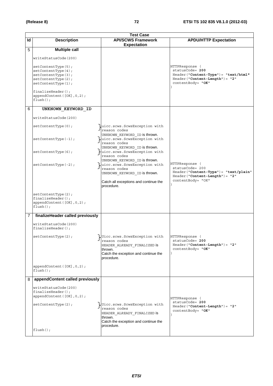|    | <b>Test Case</b>                                                                                           |                                                                                                                                              |                                                                                                                                                     |  |  |  |  |
|----|------------------------------------------------------------------------------------------------------------|----------------------------------------------------------------------------------------------------------------------------------------------|-----------------------------------------------------------------------------------------------------------------------------------------------------|--|--|--|--|
| ld | <b>Description</b>                                                                                         | <b>API/SCWS Framework</b><br><b>Expectation</b>                                                                                              | <b>APDU/HTTP Expectation</b>                                                                                                                        |  |  |  |  |
| 5  | <b>Multiple call</b>                                                                                       |                                                                                                                                              |                                                                                                                                                     |  |  |  |  |
|    | writeStatusCode(200)                                                                                       |                                                                                                                                              |                                                                                                                                                     |  |  |  |  |
|    | setContextType(5);<br>setContextType(4);<br>setContextType(3);<br>setContextType(2);<br>setContentType(1); |                                                                                                                                              | HTTPResponse (<br>statusCode= 200<br>Header("Content-Type")= "text/html"<br>$Header('Content-Length") = "2"$<br>contentBody= "OK"                   |  |  |  |  |
|    | $finalizeHeader()$ ;<br>appendContent([OK], 0, 2);<br>$flush()$ ;                                          |                                                                                                                                              |                                                                                                                                                     |  |  |  |  |
| 6  | UNKNOWN KEYWORD ID                                                                                         |                                                                                                                                              |                                                                                                                                                     |  |  |  |  |
|    | writeStatusCode(200)                                                                                       |                                                                                                                                              |                                                                                                                                                     |  |  |  |  |
|    | setContentType(0);                                                                                         | uicc.scws.ScwsException with<br>reason codes                                                                                                 |                                                                                                                                                     |  |  |  |  |
|    | $setContextType(-1);$                                                                                      | UNKNOWN KEYWORD ID is thrown.<br>uicc.scws.ScwsException with<br>reason codes                                                                |                                                                                                                                                     |  |  |  |  |
|    | setContextType(6);                                                                                         | UNKNOWN KEYWORD ID is thrown.<br>uicc.scws.ScwsException with<br>reason codes                                                                |                                                                                                                                                     |  |  |  |  |
|    | $setContextType(-2);$                                                                                      | UNKNOWN KEYWORD ID is thrown.<br>$\downarrow$ uicc.scws.ScwsException with<br>reason codes<br>UNKNOWN_KEYWORD_ID is thrown.                  | HTTPResponse (<br>statusCode= 200<br>Header("Content-Type")= "text/plain"<br>$\texttt{Header}("\texttt{Content-Length"})= "2"$<br>contentBody= "OK" |  |  |  |  |
|    |                                                                                                            | Catch all exceptions and continue the<br>procedure.                                                                                          |                                                                                                                                                     |  |  |  |  |
|    | setContextType(2);<br>$finalizeHeader()$ ;<br>appendContent ([OK], 0, 2);<br>$flush()$ ;                   |                                                                                                                                              |                                                                                                                                                     |  |  |  |  |
| 7  | finalizeHeader called previously                                                                           |                                                                                                                                              |                                                                                                                                                     |  |  |  |  |
|    | writeStatusCode(200)<br>$finalizeHeader()$ ;                                                               |                                                                                                                                              |                                                                                                                                                     |  |  |  |  |
|    | setContentType(2);                                                                                         | Uicc.scws.ScwsException with<br>reason codes<br>HEADER_ALREADY_FINALIZED is<br>thrown.<br>Catch the exception and continue the<br>procedure. | HTTPResponse (<br>statusCode= 200<br>$Header('Content-Length") = "2"$<br>contentBody= "OK"                                                          |  |  |  |  |
|    | appendContent([OK], 0, 2);<br>$flush()$ ;                                                                  |                                                                                                                                              |                                                                                                                                                     |  |  |  |  |
| 8  | appendContent called previously                                                                            |                                                                                                                                              |                                                                                                                                                     |  |  |  |  |
|    | writeStatusCode(200)<br>finalizeHeader();<br>appendContent ([OK], 0, 2);                                   |                                                                                                                                              | HTTPResponse (                                                                                                                                      |  |  |  |  |
|    | setContextType(2);                                                                                         | UUicc.scws.ScwsException with<br>reason codes<br>HEADER ALREADY FINALIZED IS<br>thrown.<br>Catch the exception and continue the              | statusCode= 200<br>Header("Content-Length")= "2"<br>contentBody= "OK"                                                                               |  |  |  |  |
|    | $flush()$ ;                                                                                                | procedure.                                                                                                                                   |                                                                                                                                                     |  |  |  |  |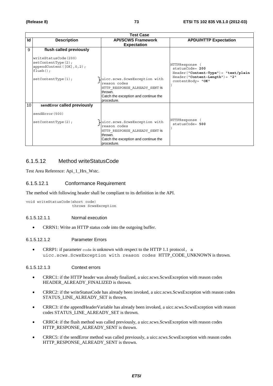|                 | <b>Test Case</b>                                                                                                                         |                                                                                                                                                |                                                                                                                                       |  |  |
|-----------------|------------------------------------------------------------------------------------------------------------------------------------------|------------------------------------------------------------------------------------------------------------------------------------------------|---------------------------------------------------------------------------------------------------------------------------------------|--|--|
| Id              | <b>Description</b>                                                                                                                       | <b>API/SCWS Framework</b><br><b>Expectation</b>                                                                                                | <b>APDU/HTTP Expectation</b>                                                                                                          |  |  |
| 9               | flush called previously<br>writeStatusCode(200)<br>setContextType(2);<br>appendContent([OK], 0, 2);<br>$flush()$ ;<br>setContextType(1); | uicc.scws.ScwsException with<br>reason codes<br>HTTP RESPONSE ALREADY SENT IS<br>thrown.<br>Catch the exception and continue the<br>procedure. | HTTPResponse<br>$statusCode = 200$<br>$Header("Content-Type") = "text/plain$<br>$Header('Content-Length") = "2"$<br>contentBody= "OK" |  |  |
| 10 <sup>°</sup> | sendError called previously<br>sendError (500)<br>setContextType(2);                                                                     | uicc.scws.ScwsException with<br>reason codes<br>HTTP RESPONSE ALREADY SENT IS<br>thrown.<br>Catch the exception and continue the<br>procedure. | HTTPResponse (<br>$statusCode = 500$                                                                                                  |  |  |

## 6.1.5.12 Method writeStatusCode

Test Area Reference: Api\_1\_Hrs\_Wstc.

## 6.1.5.12.1 Conformance Requirement

The method with following header shall be compliant to its definition in the API.

void writeStatusCode(short code) throws ScwsException

#### 6.1.5.12.1.1 Normal execution

• CRRN1: Write an HTTP status code into the outgoing buffer.

### 6.1.5.12.1.2 Parameter Errors

• CRRP1: if parameter code is unknown with respect to the HTTP 1.1 protocol, a uicc.scws.ScwsException with reason codes HTTP\_CODE\_UNKNOWN is thrown.

#### 6.1.5.12.1.3 Context errors

- CRRC1: if the HTTP header was already finalized, a uicc.scws.ScwsException with reason codes HEADER\_ALREADY\_FINALIZED is thrown.
- CRRC2: if the writeStatusCode has already been invoked, a uicc.scws.ScwsException with reason codes STATUS\_LINE\_ALREADY\_SET is thrown.
- CRRC3: if the appendHeaderVariable has already been invoked, a uicc.scws.ScwsException with reason codes STATUS\_LINE\_ALREADY\_SET is thrown.
- CRRC4: if the flush method was called previously, a uicc.scws.ScwsException with reason codes HTTP\_RESPONSE\_ALREADY\_SENT is thrown.
- CRRC5: if the sendError method was called previously, a uicc.scws.ScwsException with reason codes HTTP\_RESPONSE\_ALREADY\_SENT is thrown.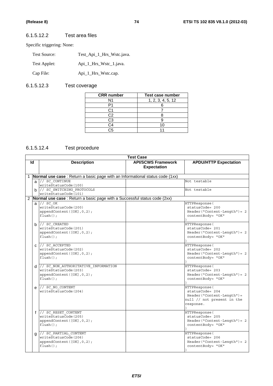## 6.1.5.12.2 Test area files

Specific triggering: None:

| Test Source: | Test_Api_1_Hrs_Wstc.java. |
|--------------|---------------------------|
| Test Applet: | Api_1_Hrs_Wstc_1.java.    |
| Cap File:    | Api_1_Hrs_Wstc.cap.       |

# 6.1.5.12.3 Test coverage

| <b>CRR</b> number | <b>Test case number</b> |  |
|-------------------|-------------------------|--|
| N <sub>1</sub>    | 1, 2, 3, 4, 5, 12       |  |
|                   |                         |  |
|                   |                         |  |
| 32                |                         |  |
| C3                |                         |  |
|                   |                         |  |
|                   |                         |  |

# 6.1.5.12.4 Test procedure

|                | <b>Test Case</b> |                                                                                                            |  |                                                                                                          |  |
|----------------|------------------|------------------------------------------------------------------------------------------------------------|--|----------------------------------------------------------------------------------------------------------|--|
| ld             |                  | <b>API/SCWS Framework</b><br><b>APDU/HTTP Expectation</b><br><b>Description</b><br><b>Expectation</b>      |  |                                                                                                          |  |
|                |                  | 1 <b>Normal use case</b> : Return a basic page with an Informational status code (1xx)                     |  |                                                                                                          |  |
|                |                  | $a$ // sc $\overline{CONTINUE}$<br>writeStatusCode(100)                                                    |  | Not testable                                                                                             |  |
|                |                  | b // SC SWITCHING PROTOCOLS<br>$write \overline{S}$ tatusCode $(101)$                                      |  | Not testable                                                                                             |  |
| $\overline{2}$ |                  | Normal use case: Return a basic page with a Successful status code (2xx)                                   |  |                                                                                                          |  |
|                |                  | $a$ // sc $OK$<br>writeStatusCode(200)<br>appendContent ([OK], 0, 2);<br>$flush()$ ;                       |  | HTTPResponse (<br>statusCode= 200<br>$Header("Content-Length") = 2$<br>contentBody= "OK"                 |  |
|                |                  | $b$ // SC CREATED<br>writeStatusCode(201)<br>appendContent([OK], 0, 2);<br>$flush()$ ;                     |  | HTTPResponse(<br>statusCode= 201<br>$Header("Content-Length") = 2$<br>contentBody= "OK"                  |  |
|                |                  | $C$ // SC ACCEPTED<br>writeStatusCode(202)<br>appendContent ([OK], 0, 2);<br>$flush()$ ;                   |  | HTTPResponse(<br>statusCode= 202<br>$Header("Content-Length") = 2$<br>contentBody= "OK"                  |  |
|                |                  | d // SC NON AUTHORITATIVE INFORMATION<br>writeStatusCode(203)<br>appendContent([OK], 0, 2);<br>$flush()$ ; |  | HTTPResponse(<br>statusCode= 203<br>$Header("Content-Length") = 2$<br>contentBody= "OK"                  |  |
|                |                  | $e$ // $SCNO$ CONTENT<br>writeStatusCode(204)                                                              |  | HTTPResponse(<br>statusCode= 204<br>Header("Content-Length")=<br>null // not present in the<br>response. |  |
|                |                  | f // SC RESET CONTENT<br>writeStatusCode(205)<br>appendContent([OK], 0, 2);<br>$flush()$ ;                 |  | HTTPResponse (<br>statusCode= 205<br>$Header('Content-Length") = 2$<br>contentBody= "OK"                 |  |
|                | a                | // SC PARTIAL CONTENT<br>writeStatusCode(206)<br>appendContent ([OK], 0, 2);<br>$flush()$ ;                |  | HTTPResponse (<br>statusCode= 206<br>$Header('Content-Length") = 2$<br>contentBody= "OK"                 |  |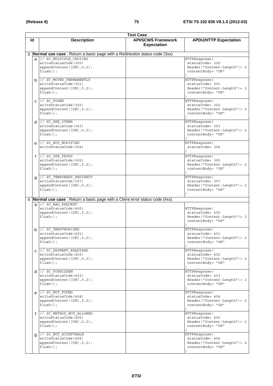|                                                                                     | <b>Test Case</b> |                                                                                                  |                                                 |                                                                                          |  |
|-------------------------------------------------------------------------------------|------------------|--------------------------------------------------------------------------------------------------|-------------------------------------------------|------------------------------------------------------------------------------------------|--|
| ld                                                                                  |                  | <b>Description</b>                                                                               | <b>API/SCWS Framework</b><br><b>Expectation</b> | <b>APDU/HTTP Expectation</b>                                                             |  |
| 3 <b>Normal use case</b> : Return a basic page with a Redirection status code (3xx) |                  |                                                                                                  |                                                 |                                                                                          |  |
|                                                                                     |                  | a // SC MULTIPLE CHOICES<br>writeStatusCode(300)<br>appendContent([OK], 0, 2);<br>$flush()$ ;    |                                                 | HTTPResponse (<br>statusCode= 300<br>$Header('Content-Length") = 2$<br>contentBody= "OK" |  |
|                                                                                     |                  | $b$ // SC MOVED PERMANENTLY<br>writeStatusCode(301)<br>appendContent([OK], 0, 2);<br>$flush()$ ; |                                                 | HTTPResponse (<br>statusCode= 301<br>$Header('Content-Length") = 2$<br>contentBody= "OK" |  |
|                                                                                     |                  | $c$ // $sc$ FOUND<br>writeStatusCode(302)<br>appendContent([OK], 0, 2);<br>$flush()$ ;           |                                                 | HTTPResponse(<br>statusCode= 302<br>$Header('Content-Length") = 2$<br>contentBody= "OK"  |  |
|                                                                                     |                  | $d$ // SC_SEE_OTHER<br>writeStatusCode(303)<br>appendContent([OK], 0, 2);<br>$flush()$ ;         |                                                 | HTTPResponse(<br>statusCode= 303<br>$Header('Content-Length") = 2$<br>contentBody= "OK"  |  |
|                                                                                     |                  | $e$ // SC NOT MODIFIED<br>writeStatusCode(304)                                                   |                                                 | HTTPResponse (<br>statusCode= 304                                                        |  |
|                                                                                     |                  | $f$ // SC USE PROXY<br>writeStatusCode(305)<br>appendContent([OK], 0, 2);<br>$flush()$ ;         |                                                 | HTTPResponse (<br>statusCode= 305<br>$Header('Content-Length") = 2$<br>contentBody= "OK" |  |
|                                                                                     | a                | // SC TEMPORARY REDIRECT<br>writeStatusCode(307)<br>appendContent([OK], 0, 2);<br>$flush()$ ;    |                                                 | HTTPResponse(<br>statusCode= 307<br>$Header('Content-Length") = 2$<br>contentBody= "OK"  |  |
| 4                                                                                   |                  | Normal use case: Return a basic page with a Client error status code (4xx)                       |                                                 |                                                                                          |  |
|                                                                                     |                  | a // SC_BAD REQUEST<br>writeStatusCode(400)<br>appendContent([OK], 0, 2);<br>$flush()$ ;         |                                                 | HTTPResponse (<br>statusCode= 400<br>$Header('Content-Length") = 2$<br>contentBody= "OK" |  |
|                                                                                     | b                | // SC UNAUTHORIZED<br>writeStatusCode(401)<br>appendContent ([OK], 0, 2);<br>$flush()$ ;         |                                                 | HTTPResponse(<br>statusCode= 401<br>$Header('Content-Length") = 2$<br>contentBody= "OK"  |  |
|                                                                                     |                  | C // SC PAYMENT REQUIRED<br>writeStatusCode(402)<br>appendContent([OK], 0, 2);<br>$flush()$ ;    |                                                 | HTTPResponse(<br>statusCode= 402<br>$Header('Content-Length") = 2$<br>contentBody= "OK"  |  |
|                                                                                     |                  | $d$ // $SC$ FORBIDDEN<br>writeStatusCode(403)<br>appendContent([OK], 0, 2);<br>$flush()$ ;       |                                                 | HTTPResponse (<br>statusCode= 403<br>$Header('Content-Length") = 2$<br>contentBody= "OK" |  |
|                                                                                     |                  | $e$ // $SCNOT$ FOUND<br>writeStatusCode(404)<br>appendContent([OK], 0, 2);<br>$flush()$ ;        |                                                 | HTTPResponse (<br>statusCode= 404<br>$Header('Content-Length") = 2$<br>contentBody= "OK" |  |
|                                                                                     |                  | f // SC METHOD NOT ALLOWED<br>writeStatusCode(405)<br>appendContent([OK], 0, 2);<br>$flush()$ ;  |                                                 | HTTPResponse (<br>statusCode= 405<br>$Header('Content-Length") = 2$<br>contentBody= "OK" |  |
|                                                                                     | g                | // SC NOT ACCEPTABLE<br>writeStatusCode(406)<br>appendContent([OK], 0, 2);<br>$flush()$ ;        |                                                 | HTTPResponse (<br>statusCode= 406<br>$Header('Content-Length") = 2$<br>contentBody= "OK" |  |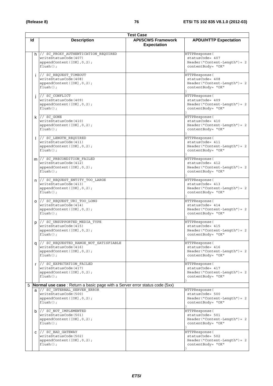|    | <b>Test Case</b>                                                                                             |  |                                                                                          |  |  |
|----|--------------------------------------------------------------------------------------------------------------|--|------------------------------------------------------------------------------------------|--|--|
| ld | <b>API/SCWS Framework</b><br><b>Description</b><br><b>Expectation</b>                                        |  | <b>APDU/HTTP Expectation</b>                                                             |  |  |
|    | h  // SC PROXY AUTHENTICATION REQUIRED<br>writeStatusCode(407)<br>appendContent([OK], 0, 2);<br>$flush()$ ;  |  | HTTPResponse (<br>statusCode= 407<br>$Header('Content-Length") = 2$<br>contentBody= "OK" |  |  |
| i. | // SC REQUEST TIMEOUT<br>writeStatusCode(408)<br>appendContent ([OK], 0, 2);<br>$flush()$ ;                  |  | HTTPResponse (<br>statusCode= 408<br>$Header('Content-Length') = 2$<br>contentBody= "OK" |  |  |
|    | // SC_CONFLICT<br>writeStatusCode(409)<br>appendContent ([OK], 0, 2);<br>$flush()$ ;                         |  | HTTPResponse (<br>statusCode= 409<br>$Header('Content-Length') = 2$<br>contentBody= "OK" |  |  |
|    | $k$ // SC GONE<br>writeStatusCode(410)<br>appendContent ([OK], 0, 2);<br>$flush()$ ;                         |  | HTTPResponse (<br>statusCode= 410<br>$Header('Content-Length") = 2$<br>contentBody= "OK" |  |  |
|    | // SC LENGTH REQUIRED<br>writeStatusCode(411)<br>appendContent ([OK], 0, 2);<br>$flush()$ ;                  |  | HTTPResponse (<br>statusCode= 411<br>$Header('Content-Length") = 2$<br>contentBody= "OK" |  |  |
|    | $m$ // SC PRECONDITION FAILED<br>writeStatusCode(412)<br>appendContent ([OK], 0, 2);<br>$flush()$ ;          |  | HTTPResponse (<br>statusCode= 412<br>$Header('Content-Length') = 2$<br>contentBody= "OK" |  |  |
|    | n  // SC REQUEST ENTITY TOO LARGE<br>writeStatusCode(413)<br>appendContent([OK], 0, 2);<br>$flush()$ ;       |  | HTTPResponse (<br>statusCode= 413<br>$Header('Content-Length") = 2$<br>contentBody= "OK" |  |  |
|    | 0 // SC_REQUEST_URI_TOO LONG<br>writeStatusCode(414)<br>appendContent ([OK], 0, 2);<br>$flush()$ ;           |  | HTTPResponse (<br>statusCode= 414<br>$Header('Content-Length") = 2$<br>contentBody= "OK" |  |  |
| p  | // SC UNSUPPORTED MEDIA TYPE<br>writeStatusCode(415)<br>appendContent ([OK], 0, 2);<br>$flush()$ ;           |  | HTTPResponse (<br>statusCode= 415<br>$Header('Content-Length") = 2$<br>contentBody= "OK" |  |  |
|    | q // SC_REQUESTED_RANGE_NOT_SATISFIABLE<br>writeStatusCode(416)<br>appendContent([OK], 0, 2);<br>$flush()$ ; |  | HTTPResponse (<br>statusCode= 416<br>$Header('Content-Length") = 2$<br>contentBody= "OK" |  |  |
| r  | // SC EXPECTATION FAILED<br>writeStatusCode(417)<br>appendContent ([OK], 0, 2);<br>$flush()$ ;               |  | HTTPResponse (<br>statusCode= 417<br>$Header('Content-Length') = 2$<br>contentBody= "OK" |  |  |
| 5  | Normal use case: Return a basic page with a Server error status code (5xx)                                   |  |                                                                                          |  |  |
|    | a // SC_INTERNAL_SERVER ERROR<br>writeStatusCode(500)<br>appendContent ([OK], 0, 2);<br>$flush()$ ;          |  | HTTPResponse (<br>statusCode= 500<br>$Header('Content-Length") = 2$<br>contentBody= "OK" |  |  |
|    | b // SC_NOT_IMPLEMENTED<br>writeStatusCode(501)<br>appendContent ([OK], 0, 2);<br>$flush()$ ;                |  | HTTPResponse (<br>statusCode= 501<br>$Header('Content-Length') = 2$<br>contentBody= "OK" |  |  |
| C  | // SC BAD GATEWAY<br>writeStatusCode(502)<br>appendContent ([OK], 0, 2);<br>$flush()$ ;                      |  | HTTPResponse (<br>statusCode= 502<br>$Header("Content-Length") = 2$<br>contentBody= "OK" |  |  |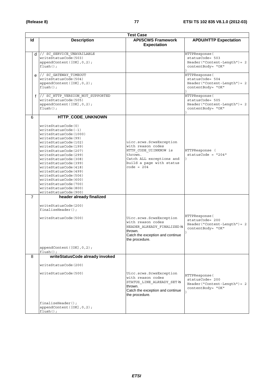|    | <b>Test Case</b>                             |                                     |                                  |  |  |
|----|----------------------------------------------|-------------------------------------|----------------------------------|--|--|
| ld | <b>Description</b>                           | <b>API/SCWS Framework</b>           | <b>APDU/HTTP Expectation</b>     |  |  |
|    |                                              | <b>Expectation</b>                  |                                  |  |  |
|    |                                              |                                     |                                  |  |  |
|    | d // SC SERVICE UNAVAILABLE                  |                                     | HTTPResponse(                    |  |  |
|    | writeStatusCode(503)                         |                                     | statusCode= 503                  |  |  |
|    | appendContent([OK], 0, 2);                   |                                     | $Header("Content-Length") = 2$   |  |  |
|    | $flush()$ ;                                  |                                     | contentBody= "OK"                |  |  |
|    |                                              |                                     |                                  |  |  |
|    | $e$ // SC GATEWAY TIMEOUT                    |                                     | HTTPResponse (                   |  |  |
|    | writeStatusCode(504)                         |                                     | statusCode= 504                  |  |  |
|    | appendContent([OK], 0, 2);                   |                                     | $Header('Content-Length") = 2$   |  |  |
|    | $flush()$ ;                                  |                                     | contentBody= "OK"                |  |  |
|    |                                              |                                     |                                  |  |  |
| f  | // SC HTTP VERSION NOT SUPPORTED             |                                     | HTTPResponse(                    |  |  |
|    | writeStatusCode(505)                         |                                     | statusCode= 505                  |  |  |
|    | appendContent ([OK], 0, 2);                  |                                     | $Header('Content-Length") = 2$   |  |  |
|    | $flush()$ ;                                  |                                     | contentBody= "OK"                |  |  |
|    |                                              |                                     |                                  |  |  |
| 6  | HTTP_CODE_UNKNOWN                            |                                     |                                  |  |  |
|    |                                              |                                     |                                  |  |  |
|    | writeStatusCode(0)                           |                                     |                                  |  |  |
|    | writeStatusCode(-1)                          |                                     |                                  |  |  |
|    | writeStatusCode(1000)                        |                                     |                                  |  |  |
|    | writeStatusCode(99)                          |                                     |                                  |  |  |
|    | writeStatusCode(102)                         | uicc.scws.ScwsException             |                                  |  |  |
|    | writeStatusCode(199)                         | with reason codes                   |                                  |  |  |
|    | writeStatusCode(207)                         | HTTP CODE UIINKNOW is               | HTTPResponse (                   |  |  |
|    | writeStatusCode(299)                         | thrown.<br>Catch ALL exceptions and | $statusCode = "204"$             |  |  |
|    | writeStatusCode(308)                         | build a page with status            |                                  |  |  |
|    | writeStatusCode(399)<br>writeStatusCode(418) | $code = 204$                        |                                  |  |  |
|    | writeStatusCode(499)                         |                                     |                                  |  |  |
|    | writeStatusCode(506)                         |                                     |                                  |  |  |
|    | writeStatusCode(600)                         |                                     |                                  |  |  |
|    | writeStatusCode(700)                         |                                     |                                  |  |  |
|    | writeStatusCode(800)                         |                                     |                                  |  |  |
|    | writeStatusCode(900)                         |                                     |                                  |  |  |
| 7  | header already finalized                     |                                     |                                  |  |  |
|    |                                              |                                     |                                  |  |  |
|    | writeStatusCode(200)                         |                                     |                                  |  |  |
|    | $finalizeHeader()$ ;                         |                                     |                                  |  |  |
|    |                                              |                                     | HTTPResponse(                    |  |  |
|    | writeStatusCode(500)                         | Uicc.scws.ScwsException             | statusCode= 200                  |  |  |
|    |                                              | with reason codes                   | $Header('Content-Length") = 2$   |  |  |
|    |                                              | HEADER ALREADY FINALIZED IS         | contentBody= "OK"                |  |  |
|    |                                              | thrown.                             |                                  |  |  |
|    |                                              | Catch the exception and continue    |                                  |  |  |
|    |                                              | the procedure.                      |                                  |  |  |
|    |                                              |                                     |                                  |  |  |
|    | appendContent([OK], 0, 2);                   |                                     |                                  |  |  |
|    | $flush()$ ;                                  |                                     |                                  |  |  |
| 8  | writeStatusCode already invoked              |                                     |                                  |  |  |
|    | writeStatusCode(200)                         |                                     |                                  |  |  |
|    |                                              |                                     |                                  |  |  |
|    | writeStatusCode(500)                         | Uicc.scws.ScwsException             |                                  |  |  |
|    |                                              | with reason codes                   | HTTPResponse(<br>statusCode= 200 |  |  |
|    |                                              | STATUS LINE ALREADY SET is          | $Header('Content-Length') = 2$   |  |  |
|    |                                              | thrown.                             | contentBody= "OK"                |  |  |
|    |                                              | Catch the exception and continue    |                                  |  |  |
|    |                                              | the procedure.                      |                                  |  |  |
|    |                                              |                                     |                                  |  |  |
|    | $finalizeHeader()$ ;                         |                                     |                                  |  |  |
|    | appendContent([OK], 0, 2);                   |                                     |                                  |  |  |
|    | $flush()$ ;                                  |                                     |                                  |  |  |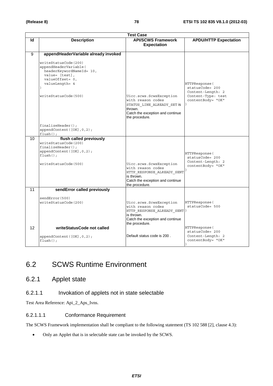|                 | <b>Test Case</b>                                                                                                                                                                                 |                                                                                                                                                 |                                                                                                  |  |  |
|-----------------|--------------------------------------------------------------------------------------------------------------------------------------------------------------------------------------------------|-------------------------------------------------------------------------------------------------------------------------------------------------|--------------------------------------------------------------------------------------------------|--|--|
| Id              | <b>Description</b>                                                                                                                                                                               | <b>API/SCWS Framework</b><br><b>Expectation</b>                                                                                                 | <b>APDU/HTTP Expectation</b>                                                                     |  |  |
|                 |                                                                                                                                                                                                  |                                                                                                                                                 |                                                                                                  |  |  |
| 9               | appendHeaderVariable already invoked<br>writeStatusCode(200)<br>appendHeaderVariable(<br>headerKeywordNameId= 10,<br>value= [test],<br>valueOffset= 0,<br>valueLength= 4<br>writeStatusCode(500) | Uicc.scws.ScwsException<br>with reason codes<br>STATUS LINE ALREADY SET is<br>thrown.<br>Catch the exception and continue<br>the procedure.     | HTTPResponse(<br>statusCode= 200<br>Content-Length: 2<br>Content-Type: test<br>contentBody= "OK" |  |  |
|                 | $finalizeHeader()$ ;<br>appendContent([OK], 0, 2);<br>$flush()$ ;                                                                                                                                |                                                                                                                                                 |                                                                                                  |  |  |
| 10 <sup>1</sup> | flush called previously<br>writeStatusCode(200)<br>$finalizeHeader()$ ;<br>appendContent([OK], 0, 2);<br>$flush()$ ;<br>writeStatusCode(500)                                                     | Uicc.scws.ScwsException<br>with reason codes<br>HTTP RESPONSE ALREADY SENT<br>is thrown.<br>Catch the exception and continue<br>the procedure.  | HTTPResponse(<br>statusCode= 200<br>Content-Length: 2<br>contentBody= "OK"                       |  |  |
| 11              | sendError called previously                                                                                                                                                                      |                                                                                                                                                 |                                                                                                  |  |  |
|                 | sendError(500)<br>writeStatusCode(200)                                                                                                                                                           | Uicc.scws.ScwsException<br>with reason codes<br>HTTP RESPONSE ALREADY SENT)<br>is thrown.<br>Catch the exception and continue<br>the procedure. | HTTPResponse (<br>$statusCode = 500$                                                             |  |  |
| 12              | writeStatusCode not called<br>appendContent([OK], 0, 2);<br>$flush()$ ;                                                                                                                          | Default status code is 200.                                                                                                                     | HTTPResponse(<br>statusCode= 200<br>Content-Length: 2<br>contentBody= "OK"                       |  |  |

# 6.2 SCWS Runtime Environment

# 6.2.1 Applet state

# 6.2.1.1 Invokation of applets not in state selectable

Test Area Reference: Api\_2\_Aps\_Ivns.

## 6.2.1.1.1 Conformance Requirement

The SCWS Framework implementation shall be compliant to the following statement (TS 102 588 [2], clause 4.3):

• Only an Applet that is in selectable state can be invoked by the SCWS.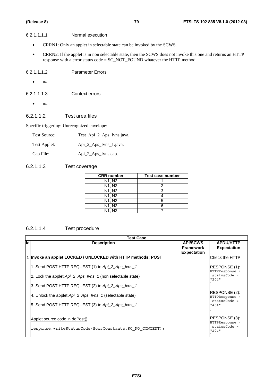#### 6.2.1.1.1.1 Normal execution

- CRRN1: Only an applet in selectable state can be invoked by the SCWS.
- CRRN2: If the applet is in non selectable state, then the SCWS does not invoke this one and returns an HTTP response with a error status code = SC\_NOT\_FOUND whatever the HTTP method.

#### 6.2.1.1.1.2 Parameter Errors

- $\bullet$  n/a.
- 6.2.1.1.1.3 Context errors
	- $\bullet$  n/a.

### 6.2.1.1.2 Test area files

Specific triggering: Unrecognized envelope:

| Test Source: | Test_Api_2_Aps_Ivns.java. |
|--------------|---------------------------|
| Test Applet: | Api_2_Aps_Ivns_1.java.    |
| Cap File:    | Api_2_Aps_Ivns.cap.       |

#### 6.2.1.1.3 Test coverage

| <b>CRR</b> number               | Test case number |
|---------------------------------|------------------|
| N1, N2                          |                  |
| N <sub>1</sub> , N <sub>2</sub> |                  |
| N1, N2                          |                  |
| N <sub>1</sub> , N <sub>2</sub> |                  |
| N <sub>1</sub> , N <sub>2</sub> |                  |
| N <sub>1</sub> , N <sub>2</sub> |                  |
| N1. N2                          |                  |

# 6.2.1.1.4 Test procedure

|     | <b>Test Case</b>                                             |                                                           |                                                        |  |  |
|-----|--------------------------------------------------------------|-----------------------------------------------------------|--------------------------------------------------------|--|--|
| lld | <b>Description</b>                                           | <b>API/SCWS</b><br><b>Framework</b><br><b>Expectation</b> | <b>APDU/HTTP</b><br><b>Expectation</b>                 |  |  |
|     | 1 Invoke an applet LOCKED / UNLOCKED with HTTP methods: POST |                                                           | Check the HTTP                                         |  |  |
|     | 1. Send POST HTTP REQUEST (1) to Api_2_Aps_lvns_1            |                                                           | RESPONSE (1):<br>HTTPResponse                          |  |  |
|     | 2. Lock the applet Api 2 Aps Ivns 1 (non selectable state)   |                                                           | $statusCode =$<br>"204"                                |  |  |
|     | 3. Send POST HTTP REQUEST (2) to Api_2_Aps_lvns_1            |                                                           |                                                        |  |  |
|     | 4. Unlock the applet Api 2 Aps Ivns 1 (selectable state)     |                                                           | RESPONSE (2):<br><b>HTTPResponse</b><br>$statusCode =$ |  |  |
|     | 5. Send POST HTTP REQUEST (3) to Api_2_Aps_lvns_1            |                                                           | "404"                                                  |  |  |
|     | Applet source code in doPost()                               |                                                           | RESPONSE (3):<br><b>HTTPResponse</b><br>$statusCode =$ |  |  |
|     | response.writeStatusCode(ScwsConstants.SC NO CONTENT);       |                                                           | "204"                                                  |  |  |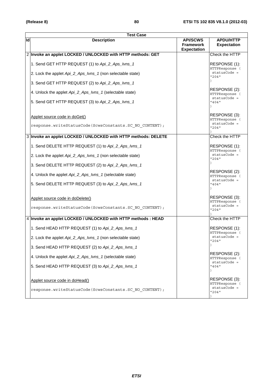|    | <b>Test Case</b>                                               |                                                           |                                                   |  |  |
|----|----------------------------------------------------------------|-----------------------------------------------------------|---------------------------------------------------|--|--|
| ld | <b>Description</b>                                             | <b>API/SCWS</b><br><b>Framework</b><br><b>Expectation</b> | <b>APDU/HTTP</b><br><b>Expectation</b>            |  |  |
|    | 2 Invoke an applet LOCKED / UNLOCKED with HTTP methods: GET    |                                                           | Check the HTTP                                    |  |  |
|    | 1. Send GET HTTP REQUEST (1) to Api_2_Aps_lvns_1               |                                                           | RESPONSE (1):<br>HTTPResponse (                   |  |  |
|    | 2. Lock the applet Api_2_Aps_Ivns_1 (non selectable state)     |                                                           | statusCode =<br>"204"                             |  |  |
|    | 3. Send GET HTTP REQUEST (2) to Api_2_Aps_lvns_1               |                                                           |                                                   |  |  |
|    | 4. Unlock the applet Api_2_Aps_Ivns_1 (selectable state)       |                                                           | RESPONSE (2):<br>HTTPResponse (<br>$statusCode =$ |  |  |
|    | 5. Send GET HTTP REQUEST (3) to Api_2_Aps_lvns_1               |                                                           | "404"                                             |  |  |
|    | Applet source code in doGet()                                  |                                                           | RESPONSE (3):<br>HTTPResponse (                   |  |  |
|    | response.writeStatusCode(ScwsConstants.SC NO CONTENT);         |                                                           | statusCode =<br>"204"                             |  |  |
|    | 3 Invoke an applet LOCKED / UNLOCKED with HTTP methods: DELETE |                                                           | Check the HTTP                                    |  |  |
|    | 1. Send DELETE HTTP REQUEST (1) to Api_2_Aps_lvns_1            |                                                           | RESPONSE (1):<br>HTTPResponse (                   |  |  |
|    | 2. Lock the applet Api_2_Aps_Ivns_1 (non selectable state)     |                                                           | $statusCode =$<br>"204"                           |  |  |
|    | 3. Send DELETE HTTP REQUEST (2) to Api_2_Aps_lvns_1            |                                                           |                                                   |  |  |
|    | 4. Unlock the applet Api_2_Aps_Ivns_1 (selectable state)       |                                                           | RESPONSE (2):<br>HTTPResponse (<br>statusCode =   |  |  |
|    | 5. Send DELETE HTTP REQUEST (3) to Api_2_Aps_lvns_1            |                                                           | "404"                                             |  |  |
|    | Applet source code in doDelete()                               |                                                           | RESPONSE (3):<br>HTTPResponse (                   |  |  |
|    | response.writeStatusCode(ScwsConstants.SC NO CONTENT);         |                                                           | statusCode =<br>"204"                             |  |  |
|    | 4 Invoke an applet LOCKED / UNLOCKED with HTTP methods : HEAD  |                                                           | Check the HTTP                                    |  |  |
|    | 1. Send HEAD HTTP REQUEST (1) to Api_2_Aps_lvns_1              |                                                           | RESPONSE (1):<br>HTTPResponse (                   |  |  |
|    | 2. Lock the applet Api_2_Aps_Ivns_1 (non selectable state)     |                                                           | statusCode =<br>"204"                             |  |  |
|    | 3. Send HEAD HTTP REQUEST (2) to Api_2_Aps_lvns_1              |                                                           |                                                   |  |  |
|    | 4. Unlock the applet Api_2_Aps_Ivns_1 (selectable state)       |                                                           | RESPONSE (2):<br>HTTPResponse (<br>statusCode =   |  |  |
|    | 5. Send HEAD HTTP REQUEST (3) to Api_2_Aps_lvns_1              |                                                           | "404"                                             |  |  |
|    | Applet source code in doHead()                                 |                                                           | RESPONSE (3):<br>HTTPResponse (                   |  |  |
|    | response.writeStatusCode(ScwsConstants.SC NO CONTENT);         |                                                           | statusCode =<br>"204"                             |  |  |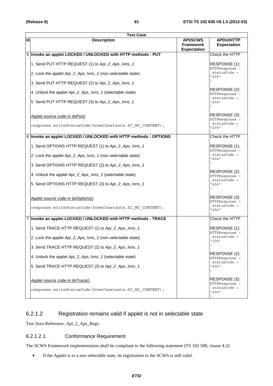|           | <b>Test Case</b>                                                 |                                                           |                                                 |  |  |
|-----------|------------------------------------------------------------------|-----------------------------------------------------------|-------------------------------------------------|--|--|
| <b>Id</b> | <b>Description</b>                                               | <b>API/SCWS</b><br><b>Framework</b><br><b>Expectation</b> | <b>APDU/HTTP</b><br><b>Expectation</b>          |  |  |
|           | 5 Invoke an applet LOCKED / UNLOCKED with HTTP methods : PUT     |                                                           | Check the HTTP                                  |  |  |
|           | 1. Send PUT HTTP REQUEST (1) to Api_2_Aps_lvns_1                 |                                                           | RESPONSE (1):<br>HTTPResponse (                 |  |  |
|           | 2. Lock the applet Api_2_Aps_Ivns_1 (non selectable state)       |                                                           | statusCode =<br>"204"                           |  |  |
|           | 3. Send PUT HTTP REQUEST (2) to Api_2_Aps_lvns_1                 |                                                           |                                                 |  |  |
|           | 4. Unlock the applet Api_2_Aps_Ivns_1 (selectable state)         |                                                           | RESPONSE (2):<br>HTTPResponse (<br>statusCode = |  |  |
|           | 5. Send PUT HTTP REQUEST (3) to Api_2_Aps_lvns_1                 |                                                           | "404"                                           |  |  |
|           | Applet source code in doPut()                                    |                                                           | RESPONSE (3):<br>HTTPResponse (                 |  |  |
|           | response.writeStatusCode(ScwsConstants.SC NO CONTENT);           |                                                           | $statusCode =$<br>"204"                         |  |  |
|           | 6 Invoke an applet LOCKED / UNLOCKED with HTTP methods : OPTIONS |                                                           | Check the HTTP                                  |  |  |
|           | 1. Send OPTIONS HTTP REQUEST (1) to Api_2_Aps_lvns_1             |                                                           | RESPONSE (1):<br>HTTPResponse (                 |  |  |
|           | 2. Lock the applet Api_2_Aps_Ivns_1 (non selectable state)       |                                                           | $statusCode =$<br>"204"                         |  |  |
|           | 3. Send OPTIONS HTTP REQUEST (2) to Api_2_Aps_lvns_1             |                                                           |                                                 |  |  |
|           | 4. Unlock the applet Api_2_Aps_Ivns_1 (selectable state)         |                                                           | RESPONSE (2):<br>HTTPResponse (                 |  |  |
|           | 5. Send OPTIONS HTTP REQUEST (3) to Api_2_Aps_lvns_1             |                                                           | $statusCode =$<br>"404"                         |  |  |
|           | Applet source code in doOptions()                                |                                                           | RESPONSE (3):                                   |  |  |
|           | response.writeStatusCode(ScwsConstants.SC NO CONTENT);           |                                                           | HTTPResponse (<br>$statusCode =$                |  |  |
|           |                                                                  |                                                           | "204"                                           |  |  |
|           | 7 Invoke an applet LOCKED / UNLOCKED with HTTP methods : TRACE   |                                                           | Check the HTTP                                  |  |  |
|           | 1. Send TRACE HTTP REQUEST (1) to Api_2_Aps_lvns_1               |                                                           | RESPONSE (1):<br>HTTPResponse (                 |  |  |
|           | 2. Lock the applet Api_2_Aps_Ivns_1 (non selectable state)       |                                                           | statusCode =<br>"204"                           |  |  |
|           | 3. Send TRACE HTTP REQUEST (2) to Api_2_Aps_lvns_1               |                                                           |                                                 |  |  |
|           | 4. Unlock the applet Api_2_Aps_Ivns_1 (selectable state)         |                                                           | RESPONSE (2):<br>HTTPResponse (<br>statusCode = |  |  |
|           | 5. Send TRACE HTTP REQUEST (3) to Api_2_Aps_lvns_1               |                                                           | "404"                                           |  |  |
|           | Applet source code in doTrace()                                  |                                                           | RESPONSE (3):                                   |  |  |
|           | response.writeStatusCode(ScwsConstants.SC_NO_CONTENT);           |                                                           | HTTPResponse (<br>statusCode =<br>"204"         |  |  |

# 6.2.1.2 Registration remains valid if applet is not in selectable state

Test Area Reference: Api\_2\_Aps\_Regv.

## 6.2.1.2.1 Conformance Requirement

The SCWS Framework implementation shall be compliant to the following statement (TS 102 588, clause 4.2):

• If the Applet is in a non selectable state, its registration to the SCWS is still valid.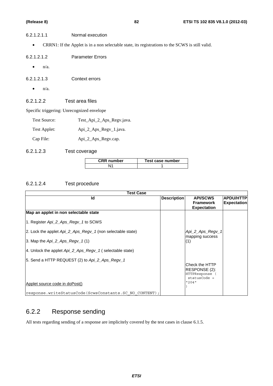| CRRN1: If the Applet is in a non selectable state, its registrations to the SCWS is still valid.<br>$\bullet$<br>6.2.1.2.1.2<br><b>Parameter Errors</b><br>$n/a$ .<br>$\bullet$<br>6.2.1.2.1.3<br>Context errors<br>$n/a$ .<br>$\bullet$<br>6.2.1.2.2<br>Test area files | 6.2.1.2.1.1 | Normal execution |
|--------------------------------------------------------------------------------------------------------------------------------------------------------------------------------------------------------------------------------------------------------------------------|-------------|------------------|
|                                                                                                                                                                                                                                                                          |             |                  |
|                                                                                                                                                                                                                                                                          |             |                  |
|                                                                                                                                                                                                                                                                          |             |                  |
|                                                                                                                                                                                                                                                                          |             |                  |
|                                                                                                                                                                                                                                                                          |             |                  |
|                                                                                                                                                                                                                                                                          |             |                  |

Specific triggering: Unrecognized envelope

| Test Source: | Test_Api_2_Aps_Regv.java. |
|--------------|---------------------------|
|--------------|---------------------------|

Test Applet: Api\_2\_Aps\_Regv\_1.java.

Cap File:  $\text{Api\_2\_Aps\_Regv.cap.}$ 

6.2.1.2.3 Test coverage

| <b>CRR</b> number | Test case number |
|-------------------|------------------|
|                   |                  |

# 6.2.1.2.4 Test procedure

| <b>Test Case</b>                                                                 |                    |                                                                              |                                        |
|----------------------------------------------------------------------------------|--------------------|------------------------------------------------------------------------------|----------------------------------------|
| Id                                                                               | <b>Description</b> | <b>API/SCWS</b><br><b>Framework</b><br><b>Expectation</b>                    | <b>APDU/HTTP</b><br><b>Expectation</b> |
| Map an applet in non selectable state                                            |                    |                                                                              |                                        |
| 1. Register Api_2_Aps_Regv_1 to SCWS                                             |                    |                                                                              |                                        |
| 2. Lock the applet Api_2_Aps_Regv_1 (non selectable state)                       |                    | Api_2_Aps_Regv_1<br>mapping success                                          |                                        |
| 3. Map the $Api 2$ $Aps$ $Regv 1(1)$                                             |                    | (1)                                                                          |                                        |
| 4. Unlock the applet Api_2_Aps_Regy_1 (selectable state)                         |                    |                                                                              |                                        |
| 5. Send a HTTP REQUEST (2) to Api_2_Aps_Regv_1<br>Applet source code in doPost() |                    | Check the HTTP<br>RESPONSE (2):<br>HTTPResponse (<br>$statusCode =$<br>"204" |                                        |
|                                                                                  |                    |                                                                              |                                        |
| response.writeStatusCode(ScwsConstants.SC NO CONTENT);                           |                    |                                                                              |                                        |

# 6.2.2 Response sending

All tests regarding sending of a response are implicitely covered by the test cases in clause 6.1.5.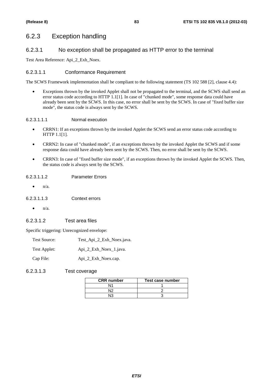# 6.2.3 Exception handling

# 6.2.3.1 No exception shall be propagated as HTTP error to the terminal

Test Area Reference: Api\_2\_Exh\_Noex.

### 6.2.3.1.1 Conformance Requirement

The SCWS Framework implementation shall be compliant to the following statement (TS 102 588 [2], clause 4.4):

• Exceptions thrown by the invoked Applet shall not be propagated to the terminal, and the SCWS shall send an error status code according to HTTP 1.1[1]. In case of "chunked mode", some response data could have already been sent by the SCWS. In this case, no error shall be sent by the SCWS. In case of "fixed buffer size mode", the status code is always sent by the SCWS.

### 6.2.3.1.1.1 Normal execution

- CRRN1: If an exceptions thrown by the invoked Applet the SCWS send an error status code according to HTTP 1.1[1].
- CRRN2: In case of "chunked mode", if an exceptions thrown by the invoked Applet the SCWS and if some response data could have already been sent by the SCWS. Then, no error shall be sent by the SCWS.
- CRRN3: In case of "fixed buffer size mode", if an exceptions thrown by the invoked Applet the SCWS. Then, the status code is always sent by the SCWS.

### 6.2.3.1.1.2 Parameter Errors

• n/a.

### 6.2.3.1.1.3 Context errors

• n/a.

### 6.2.3.1.2 Test area files

Specific triggering: Unrecognized envelope:

| Test Source: | Test_Api_2_Exh_Noex.java. |
|--------------|---------------------------|
| Test Applet: | Api 2 Exh Noex 1. java.   |
| Cap File:    | Api_2_Exh_Noex.cap.       |

### 6.2.3.1.3 Test coverage

| <b>CRR</b> number | Test case number |
|-------------------|------------------|
|                   |                  |
| \I 2              |                  |
| ୳୧                |                  |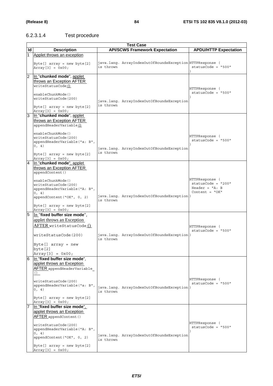# 6.2.3.1.4 Test procedure

|                | <b>Test Case</b>                                                                 |           |                                                          |                                        |
|----------------|----------------------------------------------------------------------------------|-----------|----------------------------------------------------------|----------------------------------------|
| ld             | <b>Description</b>                                                               |           | <b>API/SCWS Framework Expectation</b>                    | <b>APDU/HTTP Expectation</b>           |
| 1.             | Applet throws an exception                                                       |           |                                                          |                                        |
|                | Byte[] $array = new byte[2]$<br>$Array[3] = 0x00;$                               | is thrown | java.lang. ArrayIndexOutOfBoundsException HTTPResponse ( | $statusCode = "500"$                   |
| CV.            | In "chunked mode", applet                                                        |           |                                                          |                                        |
|                | throws an Exception AFTER                                                        |           |                                                          |                                        |
|                | writeStatusCode()<br>enableChunkMode()                                           |           |                                                          | HTTPResponse (<br>$statusCode = "500"$ |
|                | writeStatusCode(200)<br>Byte[] $array = new byte[2]$                             | is thrown | java.lang. ArrayIndexOutOfBoundsException                |                                        |
|                | $Array[3] = 0x00;$                                                               |           |                                                          |                                        |
| 3              | In "chunked mode", applet<br>throws an Exception AFTER<br>appendHeaderVariable() |           |                                                          |                                        |
|                | enableChunkMode()<br>writeStatusCode(200)<br>appendHeaderVariable("a: B",        |           |                                                          | HTTPResponse (<br>$statusCode = "500"$ |
|                | 0, 4)                                                                            |           | java.lang. ArrayIndexOutOfBoundsException                |                                        |
|                | Byte[] $array = new byte[2]$<br>$Array[3] = 0x00;$                               | is thrown |                                                          |                                        |
| $\overline{4}$ | In "chunked mode", applet                                                        |           |                                                          |                                        |
|                | throws an Exception AFTER<br>appendContent()                                     |           |                                                          |                                        |
|                | enableChunkMode()                                                                |           |                                                          | HTTPResponse (<br>$statusCode = "200"$ |
|                | writeStatusCode(200)<br>appendHeaderVariable("A: B",                             |           |                                                          | Header = $"A: B$                       |
|                | 0, 4)<br>appendContent ("OK", 0, 2)                                              | is thrown | java.lang. ArrayIndexOutOfBoundsException)               | Content = $"OK"$                       |
|                | Byte[] $array = new byte[2]$<br>$Array[3] = 0x00;$                               |           |                                                          |                                        |
| 5              | In "fixed buffer size mode",                                                     |           |                                                          |                                        |
|                | applet throws an Exception                                                       |           |                                                          |                                        |
|                | AFTER writeStatusCode ()                                                         |           |                                                          | HTTPResponse (                         |
|                | writeStatusCode(200)                                                             | is thrown | java.lang. ArrayIndexOutOfBoundsException)               | $statusCode = "500"$                   |
|                | Byte $[]$ array = new                                                            |           |                                                          |                                        |
|                | byte [2]<br>$Array[3] = 0x00;$                                                   |           |                                                          |                                        |
| 6              | In "fixed buffer size mode",                                                     |           |                                                          |                                        |
|                | applet throws an Exception                                                       |           |                                                          |                                        |
|                | AFTER appendHeaderVariable<br>( )                                                |           |                                                          |                                        |
|                | writeStatusCode(200)                                                             |           |                                                          | HTTPResponse (                         |
|                | appendHeaderVariable("a: B",                                                     |           | java.lang. ArrayIndexOutOfBoundsException)               | $statusCode = "500"$                   |
|                | 0, 4)                                                                            | is thrown |                                                          |                                        |
|                | Byte[] $array = new byte[2]$<br>$Array[3] = 0x00;$                               |           |                                                          |                                        |
|                | In "fixed buffer size mode",                                                     |           |                                                          |                                        |
|                | applet throws an Exception<br>AFTER appendContent ()                             |           |                                                          |                                        |
|                |                                                                                  |           |                                                          | HTTPResponse (                         |
|                | writeStatusCode(200)<br>appendHeaderVariable("A: B",                             |           |                                                          | $statusCode = "500"$                   |
|                | 0, 4)<br>appendContent ("OK", 0, 2)                                              | is thrown | java.lang. ArrayIndexOutOfBoundsException                |                                        |
|                | Byte[] $array = new byte[2]$<br>$Array[3] = 0x00;$                               |           |                                                          |                                        |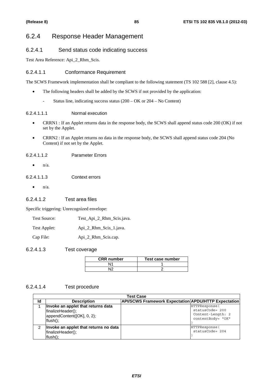# 6.2.4 Response Header Management

# 6.2.4.1 Send status code indicating success

Test Area Reference: Api\_2\_Rhm\_Scis.

### 6.2.4.1.1 Conformance Requirement

The SCWS Framework implementation shall be compliant to the following statement (TS 102 588 [2], clause 4.5):

- The following headers shall be added by the SCWS if not provided by the application:
	- Status line, indicating success status  $(200 OK)$  or  $204 No$  Content)

#### 6.2.4.1.1.1 Normal execution

- CRRN1 : If an Applet returns data in the response body, the SCWS shall append status code 200 (OK) if not set by the Applet.
- CRRN2 : If an Applet returns no data in the response body, the SCWS shall append status code 204 (No Content) if not set by the Applet.

#### 6.2.4.1.1.2 Parameter Errors

 $\bullet$   $n/a$ .

#### 6.2.4.1.1.3 Context errors

 $n/a$ .

### 6.2.4.1.2 Test area files

Specific triggering: Unrecognized envelope:

- Test Source: Test\_Api\_2\_Rhm\_Scis.java.
- Test Applet: Api\_2\_Rhm\_Scis\_1.java.

Cap File: Api\_2\_Rhm\_Scis.cap.

### 6.2.4.1.3 Test coverage

| <b>CRR</b> number | Test case number |
|-------------------|------------------|
|                   |                  |
|                   |                  |

### 6.2.4.1.4 Test procedure

|    | <b>Test Case</b>                                                                                     |                                                             |                                                                                |  |  |
|----|------------------------------------------------------------------------------------------------------|-------------------------------------------------------------|--------------------------------------------------------------------------------|--|--|
| ld | <b>Description</b>                                                                                   | <b>API/SCWS Framework Expectation APDU/HTTP Expectation</b> |                                                                                |  |  |
|    | Invoke an applet that returns data<br>finalizeHeader();<br>appendContent([OK], 0, 2);<br>$flush()$ ; |                                                             | HTTPResponse (<br>$statusCode = 200$<br>Content-Length: 2<br>contentBody= "OK" |  |  |
|    | Invoke an applet that returns no data<br>finalizeHeader();<br>$flush()$ ;                            |                                                             | HTTPResponse (<br>statusCode= 204                                              |  |  |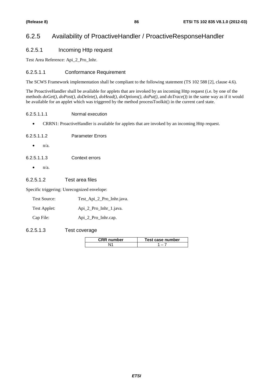# 6.2.5 Availability of ProactiveHandler / ProactiveResponseHandler

# 6.2.5.1 Incoming Http request

Test Area Reference: Api\_2\_Pro\_Inhr.

### 6.2.5.1.1 Conformance Requirement

The SCWS Framework implementation shall be compliant to the following statement (TS 102 588 [2], clause 4.6).

The ProactiveHandler shall be available for applets that are invoked by an incoming Http request (i.e. by one of the methods *doGet()*, *doPost()*, *doDelete()*, *doHead()*, *doOptions()*, *doPut()*, and *doTrace()*) in the same way as if it would be available for an applet which was triggered by the method processToolkit() in the current card state.

#### 6.2.5.1.1.1 Normal execution

• CRRN1: ProactiveHandler is available for applets that are invoked by an incoming Http request.

- $\bullet$   $n/a$ .
- 6.2.5.1.1.3 Context errors
	- $\bullet$   $n/a$ .

### 6.2.5.1.2 Test area files

Specific triggering: Unrecognized envelope:

| Test Source: | Test_Api_2_Pro_Inhr.java. |
|--------------|---------------------------|
|              |                           |

| Test Applet: | Api_2_Pro_Inhr_1.java. |
|--------------|------------------------|
|              |                        |

Cap File: Api\_2\_Pro\_Inhr.cap.

### 6.2.5.1.3 Test coverage

| <b>CRR</b> number | Test case number |
|-------------------|------------------|
|                   |                  |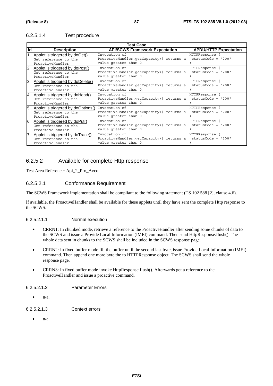## 6.2.5.1.4 Test procedure

|                | <b>Test Case</b>                                                                |                                                                                    |                                      |  |
|----------------|---------------------------------------------------------------------------------|------------------------------------------------------------------------------------|--------------------------------------|--|
| ld             | <b>Description</b>                                                              | <b>API/SCWS Framework Expectation</b>                                              | <b>APDU/HTTP Expectation</b>         |  |
|                | Applet is triggered by doGet()<br>Get reference to the<br>ProactiveHandler.     | Invocation of<br>ProactiveHandler.getCapacity() returns a<br>value greater than 0. | HTTPResponse<br>$statusCode = "200"$ |  |
| 2              | Applet is triggered by doPost()<br>Get reference to the<br>ProactiveHandler.    | Invocation of<br>ProactiveHandler.getCapacity() returns a<br>value greater than 0. | HTTPResponse<br>$statusCode = "200"$ |  |
| 3              | Applet is triggered by doDelete()<br>Get reference to the<br>ProactiveHandler.  | Invocation of<br>ProactiveHandler.getCapacity() returns a<br>value qreater than 0. | HTTPResponse<br>$statusCode = "200"$ |  |
| $\overline{A}$ | Applet is triggered by doHead()<br>Get reference to the<br>ProactiveHandler.    | Invocation of<br>ProactiveHandler.getCapacity() returns a<br>value greater than 0. | HTTPResponse<br>$statusCode = "200"$ |  |
| $5^{\circ}$    | Applet is triggered by doOptions()<br>Get reference to the<br>ProactiveHandler. | Invocation of<br>ProactiveHandler.getCapacity() returns a<br>value greater than 0. | HTTPResponse<br>$statusCode = "200"$ |  |
| 6              | Applet is triggered by doPut()<br>Get reference to the<br>ProactiveHandler.     | Invocation of<br>ProactiveHandler.getCapacity() returns a<br>value greater than 0. | HTTPResponse<br>$statusCode = "200"$ |  |
| $\overline{7}$ | Applet is triggered by doTrace()<br>Get reference to the<br>ProactiveHandler.   | Invocation of<br>ProactiveHandler.getCapacity() returns a<br>value greater than 0. | HTTPResponse<br>$statusCode = "200"$ |  |

## 6.2.5.2 Available for complete Http response

Test Area Reference: Api\_2\_Pro\_Avco.

### 6.2.5.2.1 Conformance Requirement

The SCWS Framework implementation shall be compliant to the following statement (TS 102 588 [2], clause 4.6).

If available, the ProactiveHandler shall be available for these applets until they have sent the complete Http response to the SCWS.

### 6.2.5.2.1.1 Normal execution

- CRRN1: In chunked mode, retrieve a reference to the ProactiveHandler after sending some chunks of data to the SCWS and issue a Provide Local Information (IMEI) command. Then send HttpResponse.flush(). The whole data sent in chunks to the SCWS shall be included in the SCWS response page.
- CRRN2: In fixed buffer mode fill the buffer until the second last byte, issue Provide Local Information (IMEI) command. Then append one more byte the to HTTPResponse object. The SCWS shall send the whole response page.
- CRRN3: In fixed buffer mode invoke HttpResponse.flush(). Afterwards get a reference to the ProactiveHandler and issue a proactive command.

### 6.2.5.2.1.2 Parameter Errors

 $n/a$ .

#### 6.2.5.2.1.3 Context errors

 $\bullet$   $n/a$ .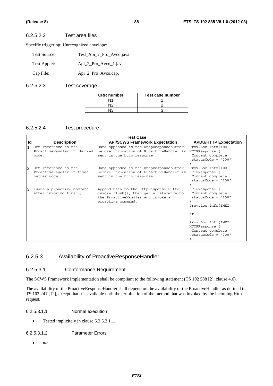## 6.2.5.2.2 Test area files

Specific triggering: Unrecognized envelope:

| <b>Test Source:</b> | Test_Api_2_Pro_Avco.java. |
|---------------------|---------------------------|
| Test Applet:        | Api_2_Pro_Avco_1.java.    |
| Cap File:           | Api_2_Pro_Avco.cap.       |

## 6.2.5.2.3 Test coverage

| <b>CRR</b> number | Test case number |
|-------------------|------------------|
| Ν١                |                  |
| מות               |                  |
| N۱                |                  |

## 6.2.5.2.4 Test procedure

|                | <b>Test Case</b>                                                  |                                                                                                                                               |                                                                                                                                                                            |
|----------------|-------------------------------------------------------------------|-----------------------------------------------------------------------------------------------------------------------------------------------|----------------------------------------------------------------------------------------------------------------------------------------------------------------------------|
| ld             | <b>Description</b>                                                | <b>API/SCWS Framework Expectation</b>                                                                                                         | <b>APDU/HTTP Expectation</b>                                                                                                                                               |
|                | Get reference to the<br>ProactiveHandler in chunked<br>mode.      | Data appended to the HttpResponsebuffer<br>before invocation of ProactiveHandler is<br>sent in the http response.                             | Prov.Loc.Info(IMEI)<br>HTTPResponse (<br>Content complete<br>$statusCode = "200"$                                                                                          |
| $\overline{2}$ | Get reference to the<br>ProactiveHandler in fixed<br>buffer mode. | Data appended to the HttpResponsebuffer<br>before invocation of ProactiveHandler is<br>sent in the http response.                             | Prov.Loc.Info(IMEI)<br>HTTPResponse<br>Content complete<br>$statusCode = "200"$                                                                                            |
| l3.            | Issue a proactive command<br>after invoking flush()               | Append Data to the HttpResponse Buffer,<br>invoke flush(), then get a reference to<br>the ProactiveHandler and invoke a<br>proactive command. | HTTPResponse<br>Content complete<br>$statusCode = "200"$<br>Prov.Loc.Info(IMEI)<br>or<br>Prov.Loc.Info(IMEI)<br>HTTPResponse (<br>Content complete<br>$statusCode = "200"$ |

## 6.2.5.3 Availability of ProactiveResponseHandler

### 6.2.5.3.1 Conformance Requirement

The SCWS Framework implementation shall be compliant to the following statement (TS 102 588 [2], clause 4.6).

The availability of the ProactiveResponseHandler shall depend on the availability of the ProactiveHandler as defined in TS 102 241 [12], except that it is available until the termination of the method that was invoked by the incoming Http request.

#### 6.2.5.3.1.1 Normal execution

• Tested implicitely in clause 6.2.5.2.1.1.

#### 6.2.5.3.1.2 Parameter Errors

 $\bullet$  n/a.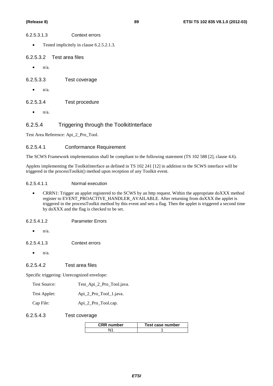#### 6.2.5.3.1.3 Context errors

- Tested implicitely in clause 6.2.5.2.1.3.
- 6.2.5.3.2 Test area files
	- $\bullet$   $n/a$ .

6.2.5.3.3 Test coverage

 $\bullet$  n/a.

### 6.2.5.3.4 Test procedure

 $\bullet$   $n/a$ .

## 6.2.5.4 Triggering through the ToolkitInterface

Test Area Reference: Api\_2\_Pro\_Tool.

#### 6.2.5.4.1 Conformance Requirement

The SCWS Framework implementation shall be compliant to the following statement (TS 102 588 [2], clause 4.6).

Applets implementing the ToolkitInterface as defined in TS 102 241 [12] in addition to the SCWS interface will be triggered in the processToolkit() method upon reception of any Toolkit event.

#### 6.2.5.4.1.1 Normal execution

• CRRN1: Trigger an applet registered to the SCWS by an http request. Within the appropriate doXXX method register to EVENT\_PROACTIVE\_HANDLER\_AVAILABLE. After returning from doXXX the applet is triggered in the processToolkit method by this event and sets a flag. Then the applet is triggered a second time by doXXX and the flag is checked to be set.

6.2.5.4.1.2 Parameter Errors

 $\bullet$   $n/a$ .

6.2.5.4.1.3 Context errors

 $\bullet$   $n/a$ 

#### 6.2.5.4.2 Test area files

Specific triggering: Unrecognized envelope:

- Test Source: Test Api 2 Pro Tool.java.
- Test Applet: Api\_2\_Pro\_Tool\_1.java.

Cap File: Api\_2\_Pro\_Tool.cap.

#### 6.2.5.4.3 Test coverage

| <b>CRR</b> number | Test case number |
|-------------------|------------------|
|                   |                  |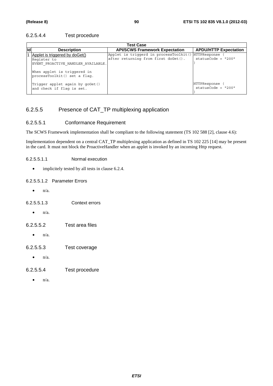### 6.2.5.4.4 Test procedure

| Test Case |                                                                                                                    |                                                                               |                                      |
|-----------|--------------------------------------------------------------------------------------------------------------------|-------------------------------------------------------------------------------|--------------------------------------|
|           | <b>Description</b>                                                                                                 | <b>API/SCWS Framework Expectation</b>                                         | <b>APDU/HTTP Expectation</b>         |
|           | Applet is triggered by doGet()<br>Register to<br>EVENT PROACTIVE HANDLER AVAILABLE.<br>When applet is triggered in | Applet is triggerd in processToolkit()<br>after returning from first doGet(). | HTTPResponse<br>$statusCode = "200"$ |
|           | processToolkit() set a flag.<br>Trigger applet again by goGet()<br>and check if flag is set.                       |                                                                               | HTTPResponse<br>$statusCode = "200"$ |

# 6.2.5.5 Presence of CAT\_TP multiplexing application

### 6.2.5.5.1 Conformance Requirement

The SCWS Framework implementation shall be compliant to the following statement (TS 102 588 [2], clause 4.6):

Implementation dependent on a central CAT\_TP multiplexing application as defined in TS 102 225 [14] may be present in the card. It must not block the ProactiveHandler when an applet is invoked by an incoming Http request.

6.2.5.5.1.1 Normal execution

• implicitely tested by all tests in clause 6.2.4.

#### 6.2.5.5.1.2 Parameter Errors

- $\bullet$   $n/a$ .
- 6.2.5.5.1.3 Context errors
	- $\bullet$  n/a.
- 6.2.5.5.2 Test area files
	- $\bullet$  n/a.
- 6.2.5.5.3 Test coverage
	- n/a.
- 6.2.5.5.4 Test procedure
	- $n/a$ .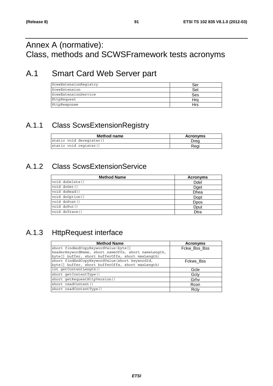# Annex A (normative): Class, methods and SCWSFramework tests acronyms

# A.1 Smart Card Web Server part

| ScwsExtensionReqistry | Ser |
|-----------------------|-----|
| ScwsExtension         | Set |
| ScwsExtensionService  | Ses |
| HttpRequest           | Hra |
| HttpResponse          | Hrs |

# A.1.1 Class ScwsExtensionRegistry

| Method name              | <b>Acronyms</b> |
|--------------------------|-----------------|
| static void deregister() | Drea            |
| static void register()   | Reai            |

# A.1.2 Class ScwsExtensionService

| <b>Method Name</b> | <b>Acronyms</b> |
|--------------------|-----------------|
| void doDelete()    | Ddel            |
| void doGet()       | Dget            |
| void doHead()      | Dhea            |
| void doOption()    | Dopt            |
| void doPost()      | <b>D</b> pos    |
| void doPut()       | Dput            |
| void doTrace()     | Dtra            |

# A.1.3 HttpRequest interface

| <b>Method Name</b>                                   | <b>Acronyms</b> |
|------------------------------------------------------|-----------------|
| short findAndCopyKeywordValue(byte[]                 | Fckw_Bss_Bss    |
| headerKeywordName, short nameOffs, short nameLength, |                 |
| byte[] buffer, short bufferOffs, short maxLength)    |                 |
| short findAndCopyKeywordValue(short keywordId,       | Fckws Bss       |
| byte[] buffer, short bufferOffs, short maxLength)    |                 |
| int getContentLength()                               | Gcle            |
| short getContentType()                               | Gcty            |
| short getRequestHttpVersion()                        | Grhv            |
| short readContent()                                  | Rcon            |
| short readContentType()                              | Rcty            |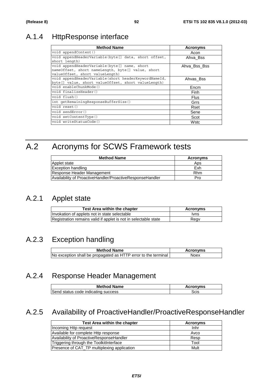# A.1.4 HttpResponse interface

| <b>Method Name</b>                                                                                                                   | <b>Acronyms</b> |
|--------------------------------------------------------------------------------------------------------------------------------------|-----------------|
| void appendContent()                                                                                                                 | Acon            |
| void appendHeaderVariable(byte[] data, short offset,<br>short length)                                                                | Ahva Bss        |
| void appendHeaderVariable(byte[] name, short<br>nameOffset, short nameLength, byte[] value, short<br>valueOffset, short valueLength) | Ahva Bss Bss    |
| void appendHeaderVariable (short headerKeywordNameId,<br>byte[] value, short valueOffset, short valueLength)                         | Ahvas Bss       |
| void enableChunkMode()                                                                                                               | Encm            |
| void finalizeHeader()                                                                                                                | Finh            |
| void flush()                                                                                                                         | <b>Flus</b>     |
| int getRemainingResponseBufferSize()                                                                                                 | Grrs            |
| void reset ()                                                                                                                        | Rset            |
| void sendError()                                                                                                                     | Sene            |
| void setContentType()                                                                                                                | Scot            |
| void writeStatusCode()                                                                                                               | Wstc            |

# A.2 Acronyms for SCWS Framework tests

| <b>Method Name</b>                                        | <b>Acronyms</b> |
|-----------------------------------------------------------|-----------------|
| Applet state                                              | Aps             |
| <b>Exception handling</b>                                 | Exh             |
| Response Header Management                                | <b>Rhm</b>      |
| Availability of ProactiveHandler/ProactiveResponseHandler | Pro             |

# A.2.1 Applet state

| <b>Test Area within the chapter</b>                             | <b>Acronyms</b> |
|-----------------------------------------------------------------|-----------------|
| Invokation of applets not in state selectable                   | <b>Ivns</b>     |
| Registration remains valid if applet is not in selectable state | Regv            |

# A.2.3 Exception handling

| <b>Method Name</b>                                             | <b>Acronyms</b> |
|----------------------------------------------------------------|-----------------|
| No exception shall be propagated as HTTP error to the terminal | Noex            |

# A.2.4 Response Header Management

| <b>Method Name</b>                  | <b>Acronyms</b> |
|-------------------------------------|-----------------|
| Send status code indicating success | Scis            |

# A.2.5 Availability of ProactiveHandler/ProactiveResponseHandler

| <b>Test Area within the chapter</b>         | Acronyms |
|---------------------------------------------|----------|
| Incoming Http request                       | Inhr     |
| Available for complete Http response        | Avco     |
| Availability of ProactiveResponseHandler    | Resp     |
| Triggering through the ToolkitInterface     | Tool     |
| Presence of CAT_TP multiplexing application | Mult     |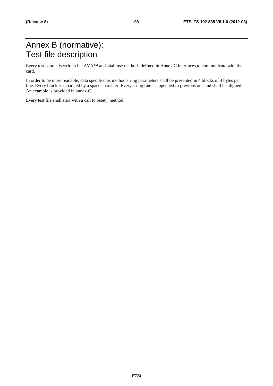# Annex B (normative): Test file description

Every test source is written in JAVA™ and shall use methods defined in Annex C interfaces to communicate with the card.

In order to be more readable, data specified as method string parameters shall be presented in 4 blocks of 4 bytes per line. Every block is separated by a space character. Every string line is appended to previous one and shall be aligned. An example is provided in annex C.

Every test file shall start with a call to reset() method.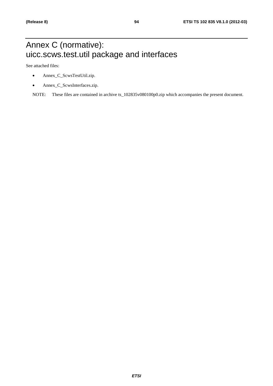# Annex C (normative): uicc.scws.test.util package and interfaces

See attached files:

- Annex\_C\_ScwsTestUtil.zip.
- Annex\_C\_ScwsInterfaces.zip.

NOTE: These files are contained in archive ts\_102835v080100p0.zip which accompanies the present document.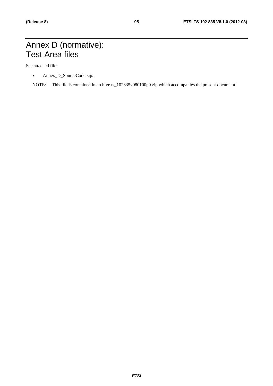# Annex D (normative): Test Area files

See attached file:

- Annex\_D\_SourceCode.zip.
- NOTE: This file is contained in archive ts\_102835v080100p0.zip which accompanies the present document.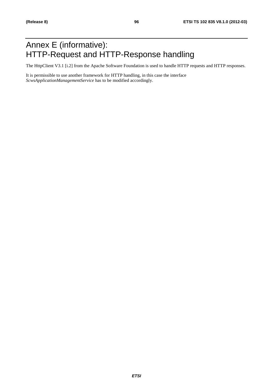# Annex E (informative): HTTP-Request and HTTP-Response handling

The HttpClient V3.1 [i.2] from the Apache Software Foundation is used to handle HTTP requests and HTTP responses.

It is permissible to use another framework for HTTP handling, in this case the interface *ScwsApplicationManagementService* has to be modified accordingly.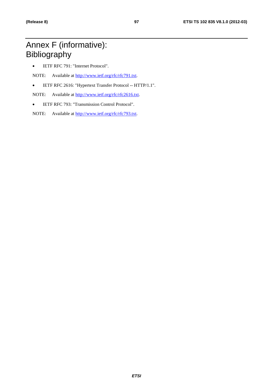# Annex F (informative): Bibliography

• IETF RFC 791: "Internet Protocol".

NOTE: Available at [http://www.ietf.org/rfc/rfc791.txt.](http://www.ietf.org/rfc/rfc791.txt)

• IETF RFC 2616: "Hypertext Transfer Protocol -- HTTP/1.1".

NOTE: Available at [http://www.ietf.org/rfc/rfc2616.txt.](http://www.ietf.org/rfc/rfc2616.txt)

• IETF RFC 793: "Transmission Control Protocol".

NOTE: Available at [http://www.ietf.org/rfc/rfc793.txt.](http://www.ietf.org/rfc/rfc793.txt)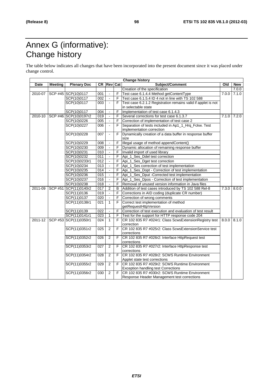# Annex G (informative): Change history

The table below indicates all changes that have been incorporated into the present document since it was placed under change control.

| <b>Change history</b> |                |                       |                  |                |                |                                                               |       |            |
|-----------------------|----------------|-----------------------|------------------|----------------|----------------|---------------------------------------------------------------|-------|------------|
| Date                  | <b>Meeting</b> | <b>Plenary Doc</b>    |                  | CR Rev Cat     |                | Subject/Comment                                               | Old   | <b>New</b> |
|                       |                |                       |                  |                |                | Creation of the specification                                 |       | 7.0.0      |
| 2010-07               |                | SCP #45 SCP(10)0117   | 001              |                | $\overline{F}$ | Test case 6.1.4.4 Method getContentType                       | 7.0.0 | 7.1.0      |
|                       |                | SCP(10)0117           | 002              | $\omega$       | F              | Test case 6.1.5.4 ID 4 not in line with TS 102 588            |       |            |
|                       |                | SCP(10)0117           | 003              | $\blacksquare$ | F              | Test case 6.2.1.2 Registration remains valid if applet is not |       |            |
|                       |                |                       |                  |                |                | in selectable state                                           |       |            |
|                       |                | SCP(10)0117           | 004              | $\omega$       | F              | Implementation of test case 6.1.4.3                           |       |            |
| 2010-10               |                | SCP #46 SCP(10)0197r2 | 019              | $\blacksquare$ | F              | Several corrections for test case 6.1.3.7                     | 7.1.0 | 7.2.0      |
|                       |                | SCP(10)0226           | 005              |                | F              | Correction of implementation of test case 2                   |       |            |
|                       |                | SCP(10)0227           | 006              | $\mathbf{r}$   | $\overline{F}$ | Separation of tests included in Ap1_1_Hrq_Fckw. Test          |       |            |
|                       |                |                       |                  |                |                | implementation correction                                     |       |            |
|                       |                | SCP(10)0228           | 007              | $\mathbf{r}$   | F              | Dynamically creation of a data buffer in response buffer      |       |            |
|                       |                |                       |                  |                |                | size                                                          |       |            |
|                       |                | SCP(10)0229           | 008              |                | F              | Illegal usage of method appendContent()                       |       |            |
|                       |                | SCP(10)0230           | 009              |                | F              | Dynamic allocation of remaining response buffer               |       |            |
|                       |                | SCP(10)0231           | 010              | $\blacksquare$ | $\overline{F}$ | Invalid import of used library                                |       |            |
|                       |                | SCP(10)0232           | 011              | $\blacksquare$ | $\mathsf F$    | Api_1_Ses_Ddel test correction                                |       |            |
|                       |                | SCP(10)0233r1         | 012              |                | F              | Api_1_Ses_Dget test correction                                |       |            |
|                       |                | SCP(10)0234           | 013              | $\blacksquare$ | $\overline{F}$ | Api_1_Ses correction of test implementation                   |       |            |
|                       |                | SCP(10)0235           | 014              | $\blacksquare$ | $\overline{F}$ | Api_1_Ses_Dopt - Correction of test implementation            |       |            |
|                       |                | SCP(10)0236           | 015              | $\blacksquare$ | F              | Api_1_Ses_Dput -Corrected test implementation                 |       |            |
|                       |                | SCP(10)0237           | 016              |                | F              | Api_1_Ses_Dpos - Correction of test implementation            |       |            |
|                       |                | SCP(10)0238           | 018              | $\blacksquare$ | F              | Removal of unused version information in Java files           |       |            |
| 2011-09               |                | SCP #51 SCP(11)0140r2 | 017              | $\sqrt{2}$     | B              | Addition of test cases introduced by TS 102 588 Rel-8         | 7.3.0 | 8.0.0      |
|                       |                | SCP(11)0136           | 019              |                | $\overline{F}$ | Corrections in AID coding (duplicate CR number)               |       |            |
|                       |                | SCP(11)0137           | 020              | $\omega$       | F              | Correction of wrong comments                                  |       |            |
|                       |                | SCP(11)0138r1         | 021              | $\mathbf{1}$   | $\overline{F}$ | Correct test implementation of method                         |       |            |
|                       |                |                       |                  |                |                | getRequestHttpVersion                                         |       |            |
|                       |                | SCP(11)0139           | $\overline{022}$ | $\omega$       | F              | Correction of test execution and evaluation of test result    |       |            |
|                       |                | SCP(11)0141r1         | 023              | 1              | F              | Test for the support for HTTP response code 204               |       |            |
| 2011-12               |                | SCP #53 SCP(11)0350r1 | 024              | $\overline{1}$ | F              | CR 102 835 R7 #024r1: Class ScwsExtensionRegistry test        | 8.0.0 | 8.1.0      |
|                       |                |                       |                  |                |                | correction                                                    |       |            |
|                       |                | SCP(11)0351r2         | 025              | $\overline{2}$ | F              | CR 102 835 R7 #025r2: Class ScwsExtensionService test         |       |            |
|                       |                |                       |                  |                |                | corrections                                                   |       |            |
|                       |                | SCP(11)0352r2         | 026              | $\overline{2}$ | F              | CR 102 835 R7 #026r2: Interface HttpRequest test              |       |            |
|                       |                |                       |                  |                |                | corrections                                                   |       |            |
|                       |                | SCP(11)0353r2         | 027              | $\overline{2}$ | F.             | CR 102 835 R7 #027r2: Interface HttpResponse test             |       |            |
|                       |                |                       |                  |                |                | corrections                                                   |       |            |
|                       |                | SCP(11)0354r2         | 028              | 2              | F.             | CR 102 835 R7 #028r2: SCWS Runtime Environment                |       |            |
|                       |                |                       |                  |                |                | Applet state test corrections                                 |       |            |
|                       |                | SCP(11)0355r2         | 029              | $\overline{2}$ | F.             | ICR 102 835 R7 #029r2: SCWS Runtime Environment               |       |            |
|                       |                |                       |                  |                |                | <b>Exception handling test Corrections</b>                    |       |            |
|                       |                | SCP(11)0356r2         | 030              | 2              | F              | CR 102 835 R7 #030r2: SCWS Runtime Environment                |       |            |
|                       |                |                       |                  |                |                | Response Header Management test corrections                   |       |            |